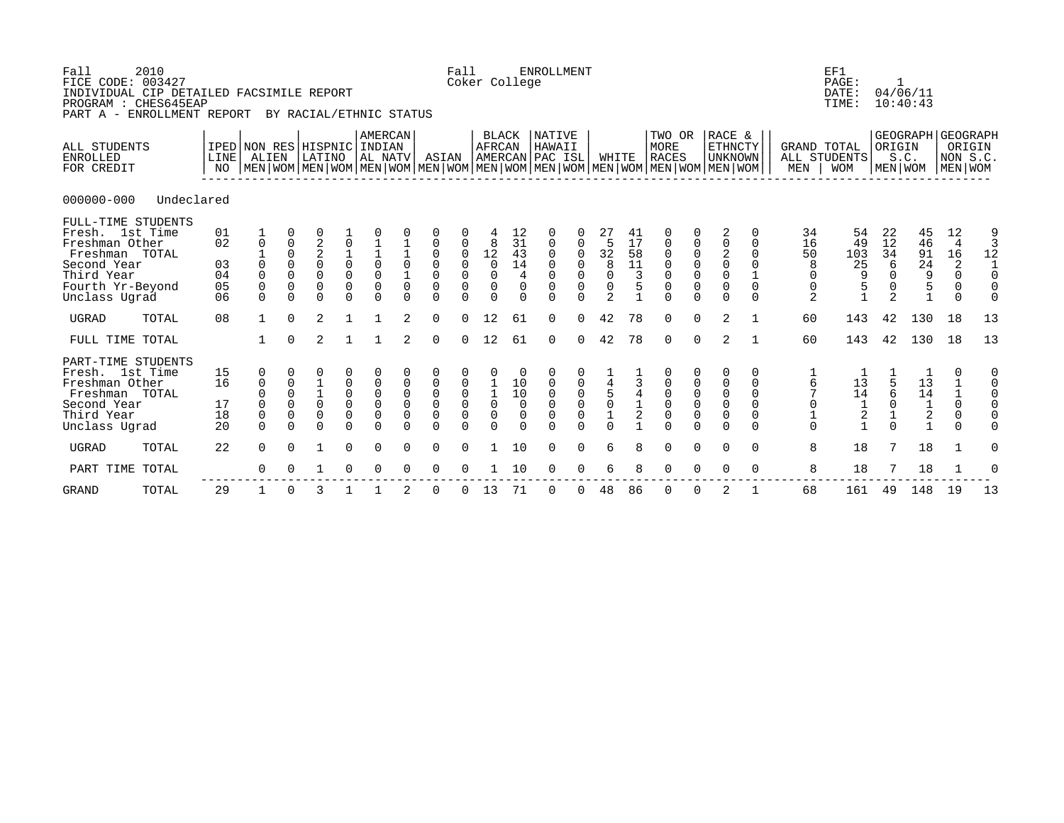| Fall<br>FICE CODE: 003427                                                                                             | 2010<br>INDIVIDUAL CIP DETAILED FACSIMILE REPORT<br>PROGRAM : CHES645EAP<br>PART A - ENROLLMENT REPORT |                                  |                                                                 |                                                                    | BY RACIAL/ETHNIC STATUS                                                              |                                                                  |                                                                                      |                                                                      |                                                                                          | Fall                                                             | Coker College                                                                        |                                                      | <b>ENROLLMENT</b>                                                    |                                                 |                                                                                           |                                                   |                                                                                                                                                      |                                                                         |                                                                                              |                                                    |                                                                 | EF1<br>PAGE:<br>DATE:<br>TIME:                                                         | $\mathbf{1}$                                                          | 04/06/11<br>10:40:43                                               |                                                                                 |                                      |
|-----------------------------------------------------------------------------------------------------------------------|--------------------------------------------------------------------------------------------------------|----------------------------------|-----------------------------------------------------------------|--------------------------------------------------------------------|--------------------------------------------------------------------------------------|------------------------------------------------------------------|--------------------------------------------------------------------------------------|----------------------------------------------------------------------|------------------------------------------------------------------------------------------|------------------------------------------------------------------|--------------------------------------------------------------------------------------|------------------------------------------------------|----------------------------------------------------------------------|-------------------------------------------------|-------------------------------------------------------------------------------------------|---------------------------------------------------|------------------------------------------------------------------------------------------------------------------------------------------------------|-------------------------------------------------------------------------|----------------------------------------------------------------------------------------------|----------------------------------------------------|-----------------------------------------------------------------|----------------------------------------------------------------------------------------|-----------------------------------------------------------------------|--------------------------------------------------------------------|---------------------------------------------------------------------------------|--------------------------------------|
| ALL STUDENTS<br><b>ENROLLED</b><br>FOR CREDIT                                                                         |                                                                                                        | LINE <sup>[</sup><br>NO          | IPED NON RES HISPNIC INDIAN<br>ALIEN                            |                                                                    | LATINO                                                                               |                                                                  | <b>AMERCAN</b><br> AL NATV                                                           |                                                                      | ASIAN                                                                                    |                                                                  | <b>BLACK</b><br>AFRCAN                                                               |                                                      | NATIVE<br>HAWAII<br>AMERCAN PAC ISL                                  |                                                 | WHITE                                                                                     |                                                   | TWO OR<br><b>MORE</b><br><b>RACES</b><br>  MEN   WOM   MEN   WOM   MEN   WOM   MEN   WOM   MEN   WOM   MEN   WOM   MEN   WOM   MEN   WOM   MEN   WOM |                                                                         | RACE &<br><b>ETHNCTY</b><br><b>UNKNOWN</b>                                                   |                                                    | <b>GRAND TOTAL</b><br>MEN                                       | ALL STUDENTS<br><b>WOM</b>                                                             | ORIGIN<br>S.C.                                                        | GEOGRAPH GEOGRAPH<br>  MEN   WOM   MEN   WOM                       | NON S.C.                                                                        | ORIGIN                               |
| $000000 - 000$                                                                                                        | Undeclared                                                                                             |                                  |                                                                 |                                                                    |                                                                                      |                                                                  |                                                                                      |                                                                      |                                                                                          |                                                                  |                                                                                      |                                                      |                                                                      |                                                 |                                                                                           |                                                   |                                                                                                                                                      |                                                                         |                                                                                              |                                                    |                                                                 |                                                                                        |                                                                       |                                                                    |                                                                                 |                                      |
| Fresh. 1st Time<br>Freshman Other<br>Freshman TOTAL<br>Second Year<br>Third Year<br>Fourth Yr-Beyond<br>Unclass Ugrad | FULL-TIME STUDENTS                                                                                     | 01<br>02<br>03<br>04<br>05<br>06 | 0<br>$\mathbf 0$<br>$\mathbf 0$<br>$\mathbf 0$<br>$\Omega$      | 0<br>$\mathbf 0$<br>$\Omega$<br>$\Omega$<br>$\Omega$<br>$\Omega$   | $\begin{array}{c} 2 \\ 2 \\ 0 \end{array}$<br>$\Omega$<br>$\overline{0}$<br>$\Omega$ | $\begin{matrix} 1 \\ 0 \\ 0 \end{matrix}$<br>0<br>$\Omega$       | $\begin{array}{c} 1 \\ 1 \\ 0 \end{array}$<br>$\mathbf 0$<br>$\mathbf 0$<br>$\Omega$ | $\begin{matrix} 1 \\ 1 \\ 0 \end{matrix}$<br>$\mathbf 0$<br>$\Omega$ | $\mathsf{O}\xspace$<br>$\mathsf 0$<br>$\mbox{O}$<br>$\overline{0}$<br>0                  | $\mathbf 0$<br>$\mathsf{O}\xspace$<br>$\overline{0}$<br>$\Omega$ | 8<br>12<br>$\overline{0}$<br>$\mathbf 0$<br>$\mathbf 0$<br>$\Omega$                  | 12<br>31<br>43<br>14<br>4<br>$\mathbf 0$<br>$\Omega$ | 0<br>0<br>0<br>$\mathbf 0$<br>$\mathbf 0$<br>$\mathbf 0$<br>$\Omega$ | 0<br>$\Omega$<br>0<br>$\mathbf 0$<br>$\Omega$   | 5<br>$\begin{array}{c} 32 \\ 8 \end{array}$<br>0<br>$\mathsf{O}\xspace$<br>$\overline{2}$ | 41<br>17<br>58<br>11<br>3<br>5                    | $\boldsymbol{0}$<br>$\begin{smallmatrix}0\\0\end{smallmatrix}$<br>$\begin{matrix} 0 \\ 0 \\ 0 \end{matrix}$                                          | 0<br>$\overline{0}$<br>$\bar{0}$<br>$\overline{0}$                      | 2<br>$\mathsf 0$<br>$\sqrt{2}$<br>$\mathsf{O}$<br>$\mathsf{O}\xspace$<br>$\overline{0}$      | 0<br>0<br>$\Omega$<br>$\Omega$<br>$\Omega$         | 34<br>16<br>50<br>8<br>0<br>0<br>2                              | 54<br>49<br>103<br>25<br>9<br>$\begin{array}{c} 5 \\ 1 \end{array}$                    | 22<br>12<br>34<br>6<br>$\Omega$<br>0<br>$\overline{2}$                | 45<br>46<br>91<br>24<br>$\begin{array}{c} 9 \\ 5 \\ 1 \end{array}$ | 12<br>$\overline{4}$<br>16<br>$\sqrt{2}$<br>$\Omega$<br>$\mathbf 0$<br>$\Omega$ | 9<br>3<br>12<br>$\mathbf{1}$<br>0    |
| <b>UGRAD</b>                                                                                                          | TOTAL                                                                                                  | 08                               | $\mathbf{1}$                                                    | $\Omega$                                                           | $\overline{2}$                                                                       |                                                                  |                                                                                      | 2                                                                    | $\mathbf 0$                                                                              | $\Omega$                                                         | 12                                                                                   | 61                                                   | $\Omega$                                                             | $\Omega$                                        | 42                                                                                        | 78                                                | $\mathbf 0$                                                                                                                                          | $\mathbf 0$                                                             | 2                                                                                            |                                                    | 60                                                              | 143                                                                                    | 42                                                                    | 130                                                                | 18                                                                              | 13                                   |
| FULL TIME TOTAL                                                                                                       |                                                                                                        |                                  | $\mathbf{1}$                                                    | $\Omega$                                                           | 2                                                                                    |                                                                  |                                                                                      | $\overline{2}$                                                       | $\mathbf 0$                                                                              | 0                                                                | 12                                                                                   | 61                                                   | $\mathbf 0$                                                          | $\Omega$                                        | 42                                                                                        | 78                                                | $\mathbf 0$                                                                                                                                          | $\mathbf 0$                                                             | 2                                                                                            | 1                                                  | 60                                                              | 143                                                                                    | 42                                                                    | 130                                                                | 18                                                                              | 13                                   |
| Fresh. 1st Time<br>Freshman Other<br>Freshman TOTAL<br>Second Year<br>Third Year<br>Unclass Ugrad                     | PART-TIME STUDENTS                                                                                     | 15<br>16<br>17<br>18<br>20       | 0<br>$\mathbf 0$<br>0<br>$\mathbf 0$<br>$\mathsf 0$<br>$\Omega$ | $\mathbf 0$<br>0<br>$\mathsf{O}\xspace$<br>$\mathbf 0$<br>$\Omega$ | 0<br>$\mathbf 1$<br>$1\,$<br>$\mathsf 0$<br>$\overline{0}$<br>$\Omega$               | 0<br>$\mathsf{O}\xspace$<br>$\mathsf{O}\xspace$<br>0<br>$\Omega$ | $\mathsf 0$<br>$\mathbb O$<br>$\mathbf 0$<br>$\mathbf 0$<br>$\Omega$                 | $\mathbf 0$<br>$\mathbf 0$<br>$\mathsf 0$<br>$\mathbf 0$<br>$\Omega$ | $\mathsf{O}\xspace$<br>$\mathsf{O}$<br>$\overline{0}$<br>$\mathsf{O}\xspace$<br>$\Omega$ | 0<br>$\overline{0}$<br>0<br>$\mathsf{O}\xspace$<br>$\Omega$      | $\Omega$<br>$\begin{smallmatrix}1\\1\\0\end{smallmatrix}$<br>$\mathbf 0$<br>$\Omega$ | 10<br>10<br>$\mathbf 0$<br>$\mathbf 0$               | $\mathbf 0$<br>$\mathbf 0$<br>$\mathbf 0$<br>$\mathbf 0$<br>$\cap$   | 0<br>$\overline{0}$<br>$\mathsf{O}\xspace$<br>0 | $\begin{array}{c} 4 \\ 5 \\ 0 \end{array}$<br>$\frac{1}{0}$                               | 3<br>$\overline{4}$<br>$\mathbf 1$<br>$\mathbf 2$ | $\begin{matrix} 0 \\ 0 \\ 0 \end{matrix}$<br>$\overline{0}$                                                                                          | $\begin{matrix} 0 \\ 0 \end{matrix}$<br>$\mathsf{O}\xspace$<br>$\Omega$ | $\Omega$<br>$\mathsf 0$<br>$\mathsf{O}\xspace$<br>$\overline{0}$<br>$\mathsf{O}$<br>$\Omega$ | 0<br>$\mathbf 0$<br>0<br>$\Omega$<br>0<br>$\Omega$ | $\frac{1}{6}$<br>$\overline{7}$<br>$\mathsf 0$<br>$\frac{1}{0}$ | $\begin{array}{c} 13 \\ 14 \end{array}$<br>$\begin{bmatrix} 1 \\ 2 \\ 1 \end{bmatrix}$ | $\begin{array}{c} 5 \\ 6 \end{array}$<br>$\mathsf 0$<br>$\frac{1}{0}$ | $1\overline{3}$<br>$1\overline{4}$<br>$1\overline{2}$<br>$1$       | $\Omega$<br>$\mathbf 1$<br>$\mathsf{O}\xspace$<br>$\mathsf{O}$<br>$\Omega$      | $\begin{matrix} 0 \\ 0 \end{matrix}$ |
| <b>UGRAD</b>                                                                                                          | TOTAL                                                                                                  | 22                               | $\Omega$                                                        | $\Omega$                                                           | $\mathbf{1}$                                                                         | $\Omega$                                                         | $\Omega$                                                                             | $\Omega$                                                             | $\Omega$                                                                                 | $\Omega$                                                         |                                                                                      | 10                                                   | $\Omega$                                                             | $\Omega$                                        | 6                                                                                         | 8                                                 | $\mathbf 0$                                                                                                                                          | $\mathbf 0$                                                             | $\Omega$                                                                                     | $\Omega$                                           | 8                                                               | 18                                                                                     | 7                                                                     | 18                                                                 | $\mathbf{1}$                                                                    | 0                                    |
| PART TIME                                                                                                             | TOTAL                                                                                                  |                                  | $\Omega$                                                        | $\Omega$                                                           |                                                                                      | 0                                                                | $\Omega$                                                                             | $\Omega$                                                             | $\Omega$                                                                                 |                                                                  |                                                                                      | 10                                                   | $\Omega$                                                             | $\Omega$                                        | 6                                                                                         | 8                                                 | 0                                                                                                                                                    | 0                                                                       | $\Omega$                                                                                     | 0                                                  | 8                                                               | 18                                                                                     | 7                                                                     | 18                                                                 | 1                                                                               |                                      |
| <b>GRAND</b>                                                                                                          | TOTAL                                                                                                  | 29                               | 1                                                               | 0                                                                  | 3                                                                                    |                                                                  |                                                                                      | 2                                                                    | 0                                                                                        | $\Omega$                                                         | 13                                                                                   | 71                                                   | 0                                                                    | $\Omega$                                        | 48                                                                                        | 86                                                | 0                                                                                                                                                    | 0                                                                       | 2                                                                                            |                                                    | 68                                                              | 161                                                                                    | 49                                                                    | 148                                                                | 19                                                                              | 13                                   |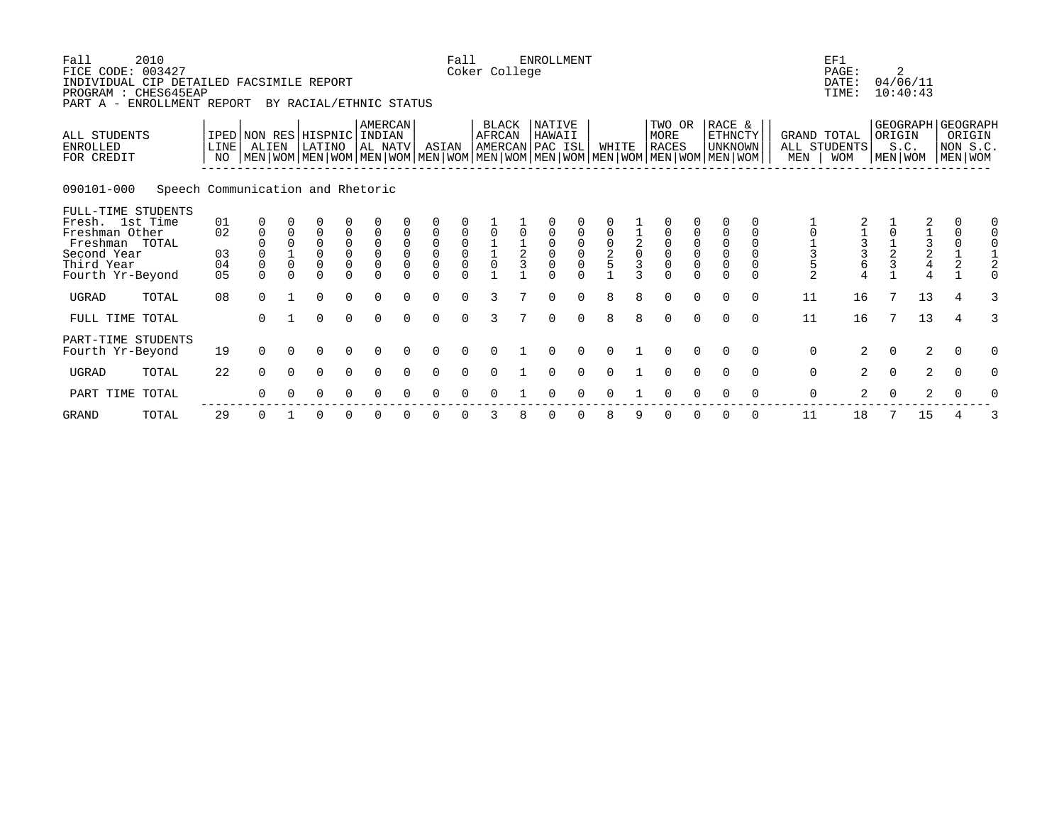| Fall            | 2010<br>FICE CODE: 003427<br>INDIVIDUAL CIP DETAILED FACSIMILE REPORT<br>PROGRAM : CHES645EAP<br>PART A - ENROLLMENT REPORT |                            |                                                                                                                                                           |                         | BY RACIAL/ETHNIC STATUS                                                    |                                       |                                                          |                                        |                                                                                 | Fall                                      | Coker College                              |               | ENROLLMENT       |                                           |                                            |                                             |                                                            |                                                       |                                                       |                  |             | EF1<br>PAGE:<br>DATE:<br>TIME:            |               | 2<br>04/06/11<br>10:40:43                 |                                           |                                                    |
|-----------------|-----------------------------------------------------------------------------------------------------------------------------|----------------------------|-----------------------------------------------------------------------------------------------------------------------------------------------------------|-------------------------|----------------------------------------------------------------------------|---------------------------------------|----------------------------------------------------------|----------------------------------------|---------------------------------------------------------------------------------|-------------------------------------------|--------------------------------------------|---------------|------------------|-------------------------------------------|--------------------------------------------|---------------------------------------------|------------------------------------------------------------|-------------------------------------------------------|-------------------------------------------------------|------------------|-------------|-------------------------------------------|---------------|-------------------------------------------|-------------------------------------------|----------------------------------------------------|
| <b>ENROLLED</b> | ALL STUDENTS<br>FOR CREDIT                                                                                                  | <b>LINE</b><br>NO.         | IPED   NON RES   HISPNIC   INDIAN<br>ALIEN<br>  MEN   WOM   MEN   WOM   MEN   WOM   MEN   WOM   MEN   WOM   MEN   WOM   MEN   WOM   MEN   WOM   MEN   WOM |                         | LATINO                                                                     |                                       | AMERCAN<br>AL NATV                                       |                                        | ASIAN                                                                           |                                           | BLACK<br>AFRCAN<br>AMERCAN PAC ISL         |               | NATIVE<br>HAWAII |                                           | WHITE                                      |                                             | MORE<br><b>RACES</b>                                       | TWO OR                                                | RACE &<br><b>ETHNCTY</b><br>UNKNOWN                   |                  | MEN         | GRAND TOTAL<br>ALL STUDENTS<br><b>WOM</b> |               | ORIGIN<br>S.C.<br>MEN   WOM               |                                           | GEOGRAPH GEOGRAPH<br>ORIGIN<br>NON S.C.<br>MEN WOM |
|                 | 090101-000<br>Speech Communication and Rhetoric                                                                             |                            |                                                                                                                                                           |                         |                                                                            |                                       |                                                          |                                        |                                                                                 |                                           |                                            |               |                  |                                           |                                            |                                             |                                                            |                                                       |                                                       |                  |             |                                           |               |                                           |                                           |                                                    |
|                 | FULL-TIME STUDENTS<br>Fresh. 1st Time<br>Freshman Other<br>Freshman TOTAL<br>Second Year<br>Third Year<br>Fourth Yr-Beyond  | 01<br>02<br>03<br>04<br>05 | $\mathbf 0$<br>$\Omega$<br>$\mathbf 0$<br>$\Omega$                                                                                                        | $\mathbf 0$<br>$\Omega$ | $\overline{0}$<br>$\overline{0}$<br>$\overline{0}$<br>$\Omega$<br>$\Omega$ | $\mathsf{O}\xspace$<br>$\overline{0}$ | $\mathbf 0$<br>$\mathsf 0$<br>$\overline{0}$<br>$\Omega$ | $\mathbf 0$<br>$\mathbf 0$<br>$\Omega$ | $\mathsf{O}\xspace$<br>$\begin{smallmatrix} 0\\0 \end{smallmatrix}$<br>$\Omega$ | $\begin{matrix} 0 \\ 0 \\ 0 \end{matrix}$ | $\begin{array}{c} 1 \\ 1 \\ 0 \end{array}$ | $\frac{1}{2}$ | $\overline{0}$   | $\begin{matrix} 0 \\ 0 \\ 0 \end{matrix}$ | $\begin{array}{c} 0 \\ 2 \\ 5 \end{array}$ | $\overline{a}$ <sub>0</sub><br>$\mathbf{z}$ | $\begin{matrix} 0 \\ 0 \\ 0 \\ 0 \end{matrix}$<br>$\Omega$ | $\begin{matrix} 0 \\ 0 \\ 0 \end{matrix}$<br>$\Omega$ | $\begin{matrix} 0 \\ 0 \\ 0 \end{matrix}$<br>$\Omega$ | 0<br>$\mathbf 0$ | 01352       | $\frac{1}{3}$<br>6                        | $\frac{1}{2}$ | $1\overline{3}$<br>$2\overline{4}$<br>$4$ | $\begin{matrix} 0 \\ 1 \\ 2 \end{matrix}$ |                                                    |
| <b>UGRAD</b>    | TOTAL                                                                                                                       | 08                         | $\Omega$                                                                                                                                                  |                         | $\Omega$                                                                   | $\Omega$                              | $\Omega$                                                 |                                        | $\Omega$                                                                        | $\cap$                                    | 3                                          |               | $\Omega$         |                                           | 8                                          |                                             | $\Omega$                                                   | $\Omega$                                              | $\Omega$                                              | $\Omega$         | 11          | 16                                        |               | 13                                        | 4                                         |                                                    |
|                 | FULL TIME TOTAL                                                                                                             |                            | $\Omega$                                                                                                                                                  |                         | $\Omega$                                                                   | $\Omega$                              | $\Omega$                                                 | $\Omega$                               | $\Omega$                                                                        | $\Omega$                                  | 3                                          |               | $\Omega$         | $\Omega$                                  | 8                                          | 8                                           | $\mathbf 0$                                                | $\mathbf 0$                                           | $\Omega$                                              | $\Omega$         | 11          | 16                                        | 7             | 13                                        | $\overline{4}$                            |                                                    |
|                 | PART-TIME STUDENTS<br>Fourth Yr-Beyond                                                                                      | 19                         | $\Omega$                                                                                                                                                  | $\Omega$                | $\Omega$                                                                   | $\Omega$                              | $\Omega$                                                 | $\Omega$                               | $\Omega$                                                                        | $\Omega$                                  | $\Omega$                                   |               | 0                | $\Omega$                                  | $\Omega$                                   |                                             | $\Omega$                                                   | $\Omega$                                              | $\Omega$                                              | $\Omega$         | $\mathbf 0$ | $\overline{2}$                            | $\mathbf 0$   | $\overline{2}$                            | $\Omega$                                  | $\Omega$                                           |
| <b>UGRAD</b>    | TOTAL                                                                                                                       | 22                         | $\Omega$                                                                                                                                                  | $\Omega$                | $\Omega$                                                                   | $\Omega$                              | $\Omega$                                                 |                                        | $\Omega$                                                                        |                                           |                                            |               |                  |                                           |                                            |                                             | $\Omega$                                                   | $\Omega$                                              |                                                       | $\Omega$         | $\mathbf 0$ | $\overline{2}$                            | $\Omega$      | 2                                         | $\Omega$                                  |                                                    |
|                 | PART TIME TOTAL                                                                                                             |                            | ∩                                                                                                                                                         |                         | 0                                                                          | 0                                     |                                                          |                                        |                                                                                 |                                           |                                            |               |                  |                                           |                                            |                                             |                                                            |                                                       |                                                       | $\Omega$         | 0           | $\overline{a}$                            | $\Omega$      | $\overline{a}$                            | $\Omega$                                  |                                                    |

GRAND TOTAL 29 0 1 0 0 0 0 0 0 3 8 0 0 8 9 0 0 0 0 11 18 7 15 4 3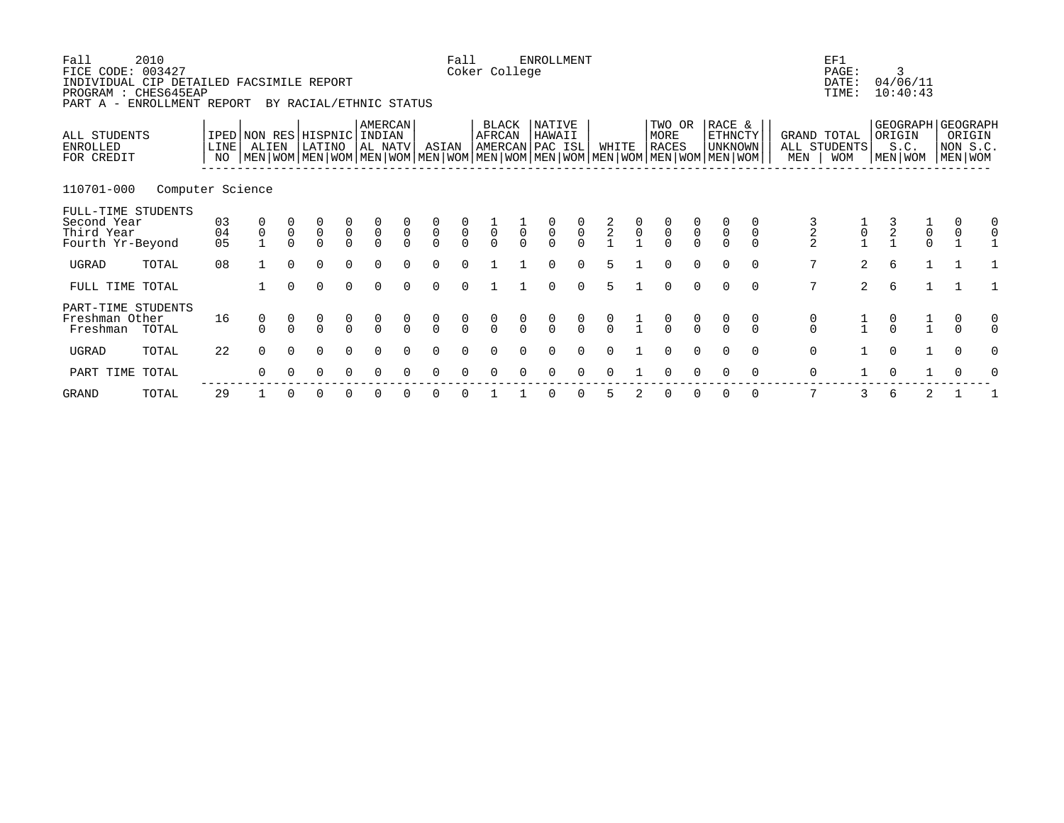| Fall<br>FICE CODE: 003427<br>INDIVIDUAL CIP DETAILED FACSIMILE REPORT<br>PROGRAM : CHES645EAP<br>PART A - | 2010<br>ENROLLMENT REPORT |                            |                                      |                | BY RACIAL/ETHNIC STATUS                   |                                           |                                           |                            |                                           | Fall                                      | Coker College   |                | <b>ENROLLMENT</b>                                                                                                                                  |                                           |                |                |                                     |                                           |                                           |                                      |                                      | EF1<br>PAGE:<br>DATE:<br>TIME: | 3                 | 04/06/11<br>10:40:43                      |                                   |   |
|-----------------------------------------------------------------------------------------------------------|---------------------------|----------------------------|--------------------------------------|----------------|-------------------------------------------|-------------------------------------------|-------------------------------------------|----------------------------|-------------------------------------------|-------------------------------------------|-----------------|----------------|----------------------------------------------------------------------------------------------------------------------------------------------------|-------------------------------------------|----------------|----------------|-------------------------------------|-------------------------------------------|-------------------------------------------|--------------------------------------|--------------------------------------|--------------------------------|-------------------|-------------------------------------------|-----------------------------------|---|
| ALL STUDENTS<br>ENROLLED<br>FOR CREDIT                                                                    |                           | LINE<br>NO                 | ALIEN                                |                | IPED NON RES HISPNIC<br>LATINO            |                                           | AMERCAN<br>INDIAN<br>AL NATV              |                            | ASIAN                                     |                                           | BLACK<br>AFRCAN |                | NATIVE<br>HAWAII<br>AMERCAN PAC ISL<br>  MEN   WOM   MEN   WOM   MEN   WOM   MEN   WOM   MEN   WOM   MEN   WOM   MEN   WOM   MEN   WOM   MEN   WOM |                                           | WHITE          |                | TWO OR<br>MORE<br><b>RACES</b>      |                                           | RACE &<br>ETHNCTY<br>UNKNOWN              |                                      | GRAND TOTAL<br>MEN                   | ALL STUDENTS<br><b>WOM</b>     | ORIGIN<br>MEN WOM | GEOGRAPH GEOGRAPH<br>S.C.                 | ORIGIN<br>NON S.C.<br>  MEN   WOM |   |
| 110701-000                                                                                                | Computer Science          |                            |                                      |                |                                           |                                           |                                           |                            |                                           |                                           |                 |                |                                                                                                                                                    |                                           |                |                |                                     |                                           |                                           |                                      |                                      |                                |                   |                                           |                                   |   |
| FULL-TIME STUDENTS<br>Second Year<br>Third Year<br>Fourth Yr-Beyond                                       |                           | 03<br>04<br>0 <sub>5</sub> | $\begin{matrix} 0 \\ 0 \end{matrix}$ | $\overline{0}$ | $\begin{matrix} 0 \\ 0 \\ 0 \end{matrix}$ | $\begin{matrix} 0 \\ 0 \\ 0 \end{matrix}$ | $\begin{matrix} 0 \\ 0 \\ 0 \end{matrix}$ | $\overline{0}$<br>$\Omega$ | $\begin{matrix} 0 \\ 0 \\ 0 \end{matrix}$ | $\begin{matrix} 0 \\ 0 \\ 0 \end{matrix}$ | $\overline{0}$  | $\overline{0}$ | $\begin{matrix} 0 \\ 0 \\ 0 \end{matrix}$                                                                                                          | $\begin{matrix} 0 \\ 0 \\ 0 \end{matrix}$ | $\frac{2}{2}$  | $\overline{0}$ | $\begin{matrix}0\\0\\0\end{matrix}$ | $\begin{matrix} 0 \\ 0 \\ 0 \end{matrix}$ | $\begin{matrix} 0 \\ 0 \\ 0 \end{matrix}$ | $\mathsf 0$                          | $\frac{2}{2}$                        | $\overline{0}$                 | $\frac{3}{2}$     | $\begin{matrix} 0 \\ 0 \\ 0 \end{matrix}$ | $\overline{0}$                    |   |
| UGRAD                                                                                                     | TOTAL                     | 08                         |                                      | $\Omega$       | $\Omega$                                  | $\Omega$                                  | $\Omega$                                  |                            | $\Omega$                                  |                                           |                 |                | O                                                                                                                                                  | $\Omega$                                  | 5              |                | $\Omega$                            | $\Omega$                                  | $\Omega$                                  | $\Omega$                             | 7                                    | $\overline{2}$                 | 6                 | $\mathbf{1}$                              |                                   |   |
| FULL TIME TOTAL                                                                                           |                           |                            |                                      | $\Omega$       | $\Omega$                                  | $\Omega$                                  | $\Omega$                                  |                            | $\Omega$                                  | $\Omega$                                  |                 |                | $\Omega$                                                                                                                                           | $\Omega$                                  | $\overline{5}$ |                | $\Omega$                            | $\Omega$                                  | $\Omega$                                  | $\Omega$                             | 7                                    | 2                              | 6                 | $\mathbf{1}$                              |                                   |   |
| PART-TIME STUDENTS<br>Freshman Other<br>Freshman                                                          | TOTAL                     | 16                         | $\frac{0}{0}$                        |                | $\begin{matrix} 0 \\ 0 \end{matrix}$      | $\begin{matrix} 0 \\ 0 \end{matrix}$      | $\frac{0}{0}$                             | $\frac{0}{0}$              | $\begin{matrix} 0 \\ 0 \end{matrix}$      | $\int_{0}^{0}$                            | $\frac{0}{0}$   | $\frac{0}{0}$  | $\begin{matrix} 0 \\ 0 \end{matrix}$                                                                                                               | $\begin{matrix} 0 \\ 0 \end{matrix}$      | $\int_{0}^{0}$ | $\frac{1}{1}$  | $\frac{0}{0}$                       | $\frac{0}{0}$                             |                                           | $\begin{matrix} 0 \\ 0 \end{matrix}$ | $\begin{matrix} 0 \\ 0 \end{matrix}$ |                                |                   | $\frac{1}{1}$                             | $\frac{0}{0}$                     | 0 |
| UGRAD                                                                                                     | TOTAL                     | 22                         | $\Omega$                             | $\Omega$       | $\Omega$                                  | $\Omega$                                  | ∩                                         |                            | $\Omega$                                  | $\cap$                                    |                 |                | ∩                                                                                                                                                  |                                           |                |                | $\Omega$                            | $\Omega$                                  | $\Omega$                                  | $\Omega$                             | $\mathbf 0$                          |                                | $\Omega$          | $\mathbf{1}$                              | $\Omega$                          | O |
| PART TIME TOTAL                                                                                           |                           |                            | 0                                    | $\Omega$       | 0                                         | 0                                         | $\Omega$                                  | $\Omega$                   | $\Omega$                                  | $\Omega$                                  | $\Omega$        | $\Omega$       | 0                                                                                                                                                  | 0                                         | $\Omega$       |                | 0                                   | $\Omega$                                  | $\Omega$                                  | $\Omega$                             | $\mathbf 0$                          | 1                              | $\Omega$          |                                           | $\mathbf 0$                       | 0 |

-------------------------------------------------------------------------------------------------------------

TOTAL 29 1 0 0 0 0 0 0 0 1 1 0 0 5 2 0 0 0 0 0 7 3 6 2 1 1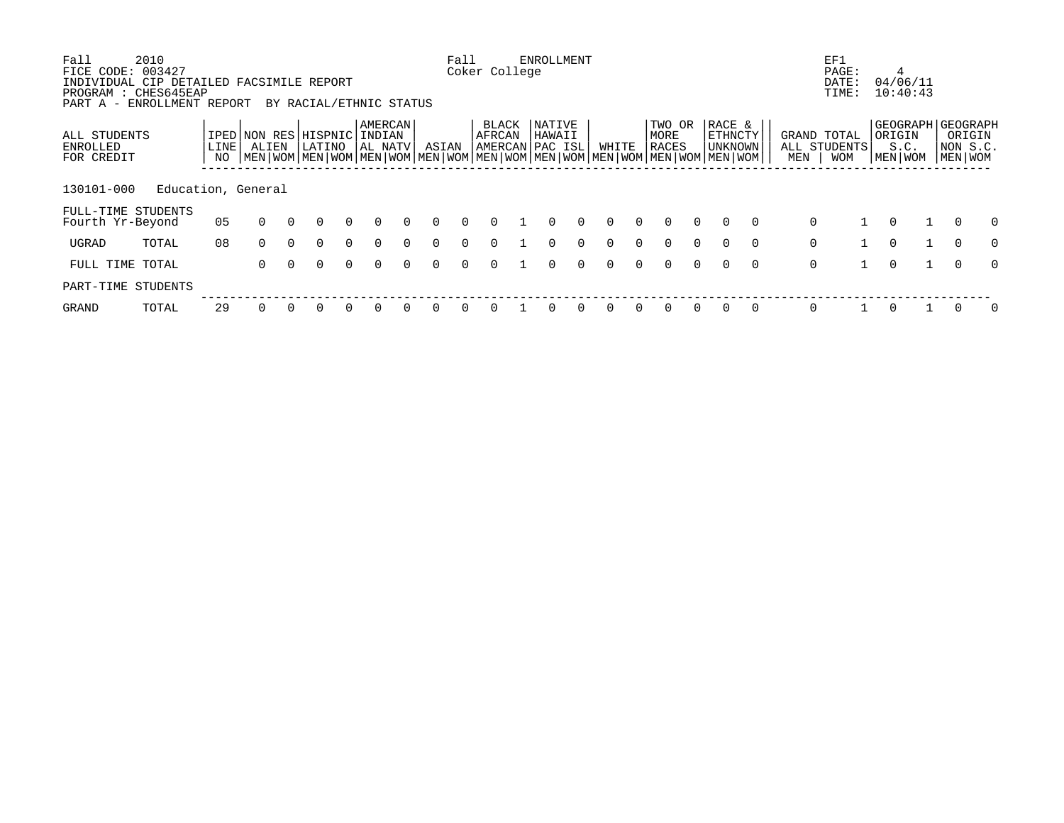| Fall                                   | 2010                                                                                            |            |                                                                                                                                      |          |                         |          |                              |          |          | Fall     |                                            | <b>ENROLLMENT</b> |          |          |          |                         |          |                              |          |     | EF1                                |              |                                                      |    |                               |          |
|----------------------------------------|-------------------------------------------------------------------------------------------------|------------|--------------------------------------------------------------------------------------------------------------------------------------|----------|-------------------------|----------|------------------------------|----------|----------|----------|--------------------------------------------|-------------------|----------|----------|----------|-------------------------|----------|------------------------------|----------|-----|------------------------------------|--------------|------------------------------------------------------|----|-------------------------------|----------|
| FICE CODE:<br>PART A -                 | 003427<br>INDIVIDUAL CIP DETAILED FACSIMILE REPORT<br>PROGRAM : CHES645EAP<br>ENROLLMENT REPORT |            |                                                                                                                                      |          | BY RACIAL/ETHNIC STATUS |          |                              |          |          |          | Coker College                              |                   |          |          |          |                         |          |                              |          |     | PAGE:<br>DATE:<br>TIME:            |              | 4<br>04/06/11<br>10:40:43                            |    |                               |          |
| ALL STUDENTS<br>ENROLLED<br>FOR CREDIT |                                                                                                 | LINE<br>NO | IPED NON RES<br>ALIEN<br>  MEN   WOM   MEN   WOM   MEN   WOM   MEN   WOM   MEN   WOM   MEN   WOM   MEN   WOM   MEN   WOM   MEN   WOM |          | HISPNIC <br>LATINO      |          | AMERCAN<br>INDIAN<br>AL NATV |          | ASIAN    |          | <b>BLACK</b><br>AFRCAN<br> AMERCAN PAC ISL | NATIVE<br>HAWAII  |          | WHITE    |          | TWO OR<br>MORE<br>RACES |          | RACE &<br>ETHNCTY<br>UNKNOWN |          | MEN | GRAND TOTAL<br>ALL STUDENTS<br>WOM |              | GEOGRAPH   GEOGRAPH<br>ORIGIN<br>S.C.<br>  MEN   WOM |    | ORIGIN<br>NON S.C.<br>MEN WOM |          |
| 130101-000                             | Education, General                                                                              |            |                                                                                                                                      |          |                         |          |                              |          |          |          |                                            |                   |          |          |          |                         |          |                              |          |     |                                    |              |                                                      |    |                               |          |
| Fourth Yr-Beyond                       | FULL-TIME STUDENTS                                                                              | 05         | $\Omega$                                                                                                                             | $\Omega$ | 0                       | $\Omega$ | $\Omega$                     | $\Omega$ | $\Omega$ | $\Omega$ | $\Omega$                                   | $\Omega$          | $\Omega$ | $\Omega$ | $\Omega$ | $\Omega$                | $\Omega$ | $\Omega$                     | $\Omega$ |     | 0                                  |              | $\Omega$                                             |    |                               | $\Omega$ |
| UGRAD                                  | TOTAL                                                                                           | 08         | $\Omega$                                                                                                                             | $\Omega$ | $\Omega$                | $\Omega$ | $\Omega$                     | $\Omega$ | $\Omega$ | $\Omega$ | $\Omega$                                   | $\Omega$          | $\Omega$ | $\Omega$ | $\Omega$ | $\Omega$                | $\Omega$ | $\Omega$                     | $\Omega$ |     | $\mathbf 0$                        |              | $\Omega$                                             | 1. | $\Omega$                      | $\Omega$ |
| FULL TIME TOTAL                        |                                                                                                 |            | $\Omega$                                                                                                                             | $\Omega$ | $\Omega$                | $\Omega$ | $\Omega$                     | $\Omega$ | $\Omega$ | $\Omega$ | $\Omega$                                   | $\Omega$          | $\Omega$ | $\Omega$ | $\Omega$ | $\Omega$                | $\Omega$ | $\Omega$                     | $\Omega$ |     | $\mathbf 0$                        | $\mathbf{1}$ | $\Omega$                                             |    | $\Omega$                      | $\Omega$ |
| PART-TIME                              | STUDENTS                                                                                        |            |                                                                                                                                      |          |                         |          |                              |          |          |          |                                            |                   |          |          |          |                         |          |                              |          |     |                                    |              |                                                      |    |                               |          |
| <b>GRAND</b>                           | TOTAL                                                                                           | 29         |                                                                                                                                      |          |                         |          |                              |          |          |          |                                            |                   |          |          |          |                         |          |                              | $\Omega$ |     | $\Omega$                           |              | $\Omega$                                             |    |                               | O        |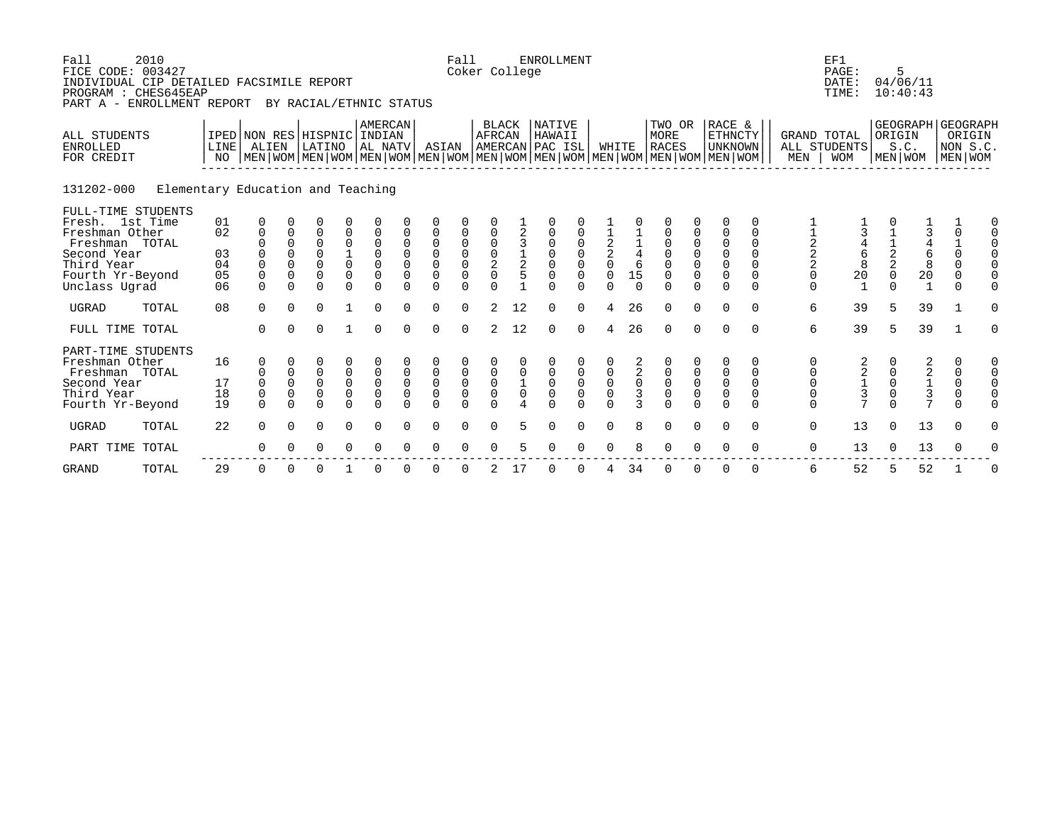| Fall<br>FICE CODE: 003427<br>INDIVIDUAL CIP DETAILED FACSIMILE REPORT<br>PROGRAM : CHES645EAP<br>PART A - ENROLLMENT REPORT                 | 2010                              |                                  |                                                            |                                                         | BY RACIAL/ETHNIC STATUS                                                        |                                                       |                                                                       |                                                       |                                                               | Fall<br>Coker College                                              |                                                       |                                 | <b>ENROLLMENT</b>                                                           |                                                               |                                          |                                                       |                                                                                                                                                      |                                                       |                                                                                                             |                                                      |                                                           | EF1<br>PAGE:<br>DATE:<br>TIME:                                  |                                               | 5<br>04/06/11<br>10:40:43                              |                |                                                           |          |
|---------------------------------------------------------------------------------------------------------------------------------------------|-----------------------------------|----------------------------------|------------------------------------------------------------|---------------------------------------------------------|--------------------------------------------------------------------------------|-------------------------------------------------------|-----------------------------------------------------------------------|-------------------------------------------------------|---------------------------------------------------------------|--------------------------------------------------------------------|-------------------------------------------------------|---------------------------------|-----------------------------------------------------------------------------|---------------------------------------------------------------|------------------------------------------|-------------------------------------------------------|------------------------------------------------------------------------------------------------------------------------------------------------------|-------------------------------------------------------|-------------------------------------------------------------------------------------------------------------|------------------------------------------------------|-----------------------------------------------------------|-----------------------------------------------------------------|-----------------------------------------------|--------------------------------------------------------|----------------|-----------------------------------------------------------|----------|
| <b>ALL STUDENTS</b><br><b>ENROLLED</b><br>FOR CREDIT                                                                                        |                                   | LINE<br>NO                       | IPED NON RES HISPNIC INDIAN<br>ALIEN                       |                                                         | LATINO                                                                         |                                                       | <b>AMERCAN</b><br>AL NATV                                             |                                                       | ASIAN                                                         |                                                                    | <b>BLACK</b><br>AFRCAN                                |                                 | <b>NATIVE</b><br>HAWAII<br>AMERCAN PAC ISL                                  |                                                               | WHITE                                    |                                                       | TWO OR<br><b>MORE</b><br><b>RACES</b><br>  MEN   WOM   MEN   WOM   MEN   WOM   MEN   WOM   MEN   WOM   MEN   WOM   MEN   WOM   MEN   WOM   MEN   WOM |                                                       | RACE &<br><b>ETHNCTY</b><br><b>UNKNOWN</b>                                                                  |                                                      | MEN                                                       | <b>GRAND TOTAL</b><br>ALL STUDENTS<br><b>WOM</b>                |                                               | GEOGRAPH GEOGRAPH<br>ORIGIN<br>S.C.<br>MEN   WOM       |                | ORIGIN<br>NON S.C<br>MEN WOM                              |          |
| 131202-000                                                                                                                                  | Elementary Education and Teaching |                                  |                                                            |                                                         |                                                                                |                                                       |                                                                       |                                                       |                                                               |                                                                    |                                                       |                                 |                                                                             |                                                               |                                          |                                                       |                                                                                                                                                      |                                                       |                                                                                                             |                                                      |                                                           |                                                                 |                                               |                                                        |                |                                                           |          |
| FULL-TIME STUDENTS<br>Fresh. 1st Time<br>Freshman Other<br>Freshman TOTAL<br>Second Year<br>Third Year<br>Fourth Yr-Beyond<br>Unclass Ugrad |                                   | 01<br>02<br>03<br>04<br>05<br>06 | 0<br>0<br>$\mathbf 0$<br>$\Omega$<br>$\mathbf 0$<br>$\cap$ | $\mathbf 0$<br>$\mathbf 0$<br>$\Omega$<br>0<br>$\Omega$ | $\Omega$<br>$\Omega$<br>$\overline{0}$<br>$\Omega$<br>$\overline{0}$<br>$\cap$ | $\frac{1}{0}$<br>0<br>$\Omega$                        | $\mathbf 0$<br>$\mathbf 0$<br>$\mathbf 0$<br>$\Omega$                 | 0<br>$\mathbf 0$<br>$\mathbf 0$<br>$\Omega$           | $\mathsf 0$<br>$\mathsf{O}\xspace$<br>$\mathsf 0$<br>$\Omega$ | $\begin{matrix} 0 \\ 0 \end{matrix}$<br>$\overline{0}$<br>$\Omega$ | $\frac{0}{2}$<br>$\cap$                               | $\frac{1}{2}$                   | $\begin{matrix} 0 \\ 0 \end{matrix}$<br>$\mathbf 0$<br>$\cap$               | $\begin{matrix} 0 \\ 0 \end{matrix}$<br>$\mathsf 0$<br>$\cap$ | $\frac{2}{2}$<br>$\mathbf 0$<br>$\cap$   | $\begin{array}{c} 4 \\ 6 \end{array}$<br>15<br>$\cap$ | $\begin{matrix} 0 \\ 0 \\ 0 \end{matrix}$<br>$\mathsf 0$<br>$\cap$                                                                                   | $\overline{0}$<br>$\overline{0}$<br>$\Omega$          | $\mathbf 0$<br>$\mathbf 0$<br>$\begin{smallmatrix}0\\0\end{smallmatrix}$<br>$\mathsf{O}\xspace$<br>$\Omega$ | 0<br>$\Omega$<br>$\Omega$<br>$\Omega$<br>0<br>$\cap$ | $\frac{1}{2}$<br>$\frac{2}{2}$<br>$\mathsf 0$<br>$\Omega$ | $\begin{array}{c} 4 \\ 6 \\ 8 \end{array}$<br>$20$ <sub>1</sub> | $\frac{1}{2}$<br>$\mathbf 0$<br>$\cap$        | $\frac{4}{6}$<br>$\frac{8}{20}$<br>$1$                 | $\overline{3}$ | $\mathbf 0$<br>$\frac{1}{0}$<br>$\Omega$<br>0<br>$\Omega$ |          |
| <b>UGRAD</b>                                                                                                                                | TOTAL                             | 08                               | $\Omega$                                                   | $\Omega$                                                | $\Omega$                                                                       |                                                       | $\Omega$                                                              |                                                       | $\Omega$                                                      | $\cap$                                                             | $\mathcal{D}$                                         | 12                              | $\Omega$                                                                    | $\Omega$                                                      | 4                                        | 26                                                    | $\Omega$                                                                                                                                             | $\Omega$                                              | $\Omega$                                                                                                    | $\Omega$                                             | 6                                                         | 39                                                              | 5                                             | 39                                                     |                |                                                           |          |
| FULL TIME TOTAL                                                                                                                             |                                   |                                  | $\Omega$                                                   | $\Omega$                                                | $\Omega$                                                                       |                                                       | $\Omega$                                                              |                                                       | $\Omega$                                                      | $\Omega$                                                           | $\mathfrak{D}$                                        | 12                              | $\Omega$                                                                    | $\Omega$                                                      |                                          | 26                                                    | $\Omega$                                                                                                                                             | $\Omega$                                              | $\Omega$                                                                                                    | $\Omega$                                             | 6                                                         | 39                                                              | 5                                             | 39                                                     |                | $\mathbf{1}$                                              | $\Omega$ |
| PART-TIME STUDENTS<br>Freshman Other<br>Freshman TOTAL<br>Second Year<br>Third Year<br>Fourth Yr-Beyond                                     |                                   | 16<br>17<br>18<br>19             | 0<br>0<br>$\mathsf 0$<br>$\mathsf 0$<br>$\Omega$           | 0<br>$\mathsf 0$<br>0<br>$\Omega$                       | 0<br>0<br>$\overline{0}$<br>0<br>$\Omega$                                      | $\begin{matrix} 0 \\ 0 \\ 0 \end{matrix}$<br>$\Omega$ | $\begin{smallmatrix}0\\0\end{smallmatrix}$<br>$\mathsf 0$<br>$\Omega$ | $\mathbf 0$<br>$\mathsf 0$<br>$\mathbf 0$<br>$\Omega$ | $\begin{matrix}0\\0\\0\end{matrix}$<br>$\Omega$               | $\begin{smallmatrix}0\\0\\0\end{smallmatrix}$<br>$\Omega$          | $\begin{matrix} 0 \\ 0 \\ 0 \end{matrix}$<br>$\Omega$ | $\frac{1}{0}$<br>$\overline{4}$ | $\begin{smallmatrix}0\\0\end{smallmatrix}$<br>$\mathsf{O}\xspace$<br>$\cap$ | $\mathsf{O}\xspace$                                           | $_{0}^{0}$<br>$\overline{0}$<br>$\Omega$ | $^2_{\rm 0}$<br>3<br>$\mathbf{z}$                     | $\begin{matrix} 0 \\ 0 \\ 0 \\ 0 \end{matrix}$                                                                                                       | $\begin{matrix} 0 \\ 0 \\ 0 \end{matrix}$<br>$\Omega$ | 0<br>$\begin{matrix} 0 \\ 0 \end{matrix}$<br>$\mathsf 0$<br>$\Omega$                                        | 0<br>$\mathbf 0$<br>$\mathbf 0$<br>0<br>$\Omega$     | 0<br>0<br>$\overline{0}$<br>$\mathsf 0$<br>$\Omega$       | 2<br>$\begin{array}{c}\n2 \\ 1 \\ 3 \\ 7\n\end{array}$          | $_{0}^{0}$<br>$\mathsf{O}\xspace$<br>$\Omega$ | $\begin{array}{c}\n2 \\ 2 \\ 1 \\ 3 \\ 7\n\end{array}$ |                | $\Omega$<br>$_{0}^{0}$<br>$\mathbf 0$<br>$\Omega$         |          |
| <b>UGRAD</b>                                                                                                                                | TOTAL                             | 22                               | $\Omega$                                                   | $\Omega$                                                | $\Omega$                                                                       | $\Omega$                                              | $\Omega$                                                              | $\Omega$                                              | $\Omega$                                                      | $\Omega$                                                           | $\Omega$                                              | 5.                              | $\Omega$                                                                    | $\Omega$                                                      | $\Omega$                                 | 8                                                     | 0                                                                                                                                                    | $\Omega$                                              | $\Omega$                                                                                                    | $\Omega$                                             | $\mathbf 0$                                               | 13                                                              | $\Omega$                                      | 13                                                     |                | $\Omega$                                                  | 0        |
| PART TIME                                                                                                                                   | TOTAL                             |                                  | $\Omega$                                                   |                                                         | 0                                                                              | $\Omega$                                              | O                                                                     |                                                       | <sup>0</sup>                                                  |                                                                    |                                                       |                                 |                                                                             | $\Omega$                                                      | ∩                                        | 8                                                     | $\Omega$                                                                                                                                             | $\Omega$                                              | $\Omega$                                                                                                    | $\mathbf 0$                                          | $\mathbf 0$                                               | 13                                                              | $\Omega$                                      | 13                                                     |                | 0                                                         |          |
| <b>GRAND</b>                                                                                                                                | TOTAL                             | 29                               | 0                                                          | 0                                                       | 0                                                                              |                                                       | 0                                                                     | 0                                                     | $\Omega$                                                      | 0                                                                  | 2                                                     | 17                              | $\mathbf 0$                                                                 | 0                                                             |                                          | 34                                                    | $\mathbf 0$                                                                                                                                          | 0                                                     | $\mathbf 0$                                                                                                 | 0                                                    | 6                                                         | 52                                                              | 5                                             | 52                                                     |                |                                                           | $\Omega$ |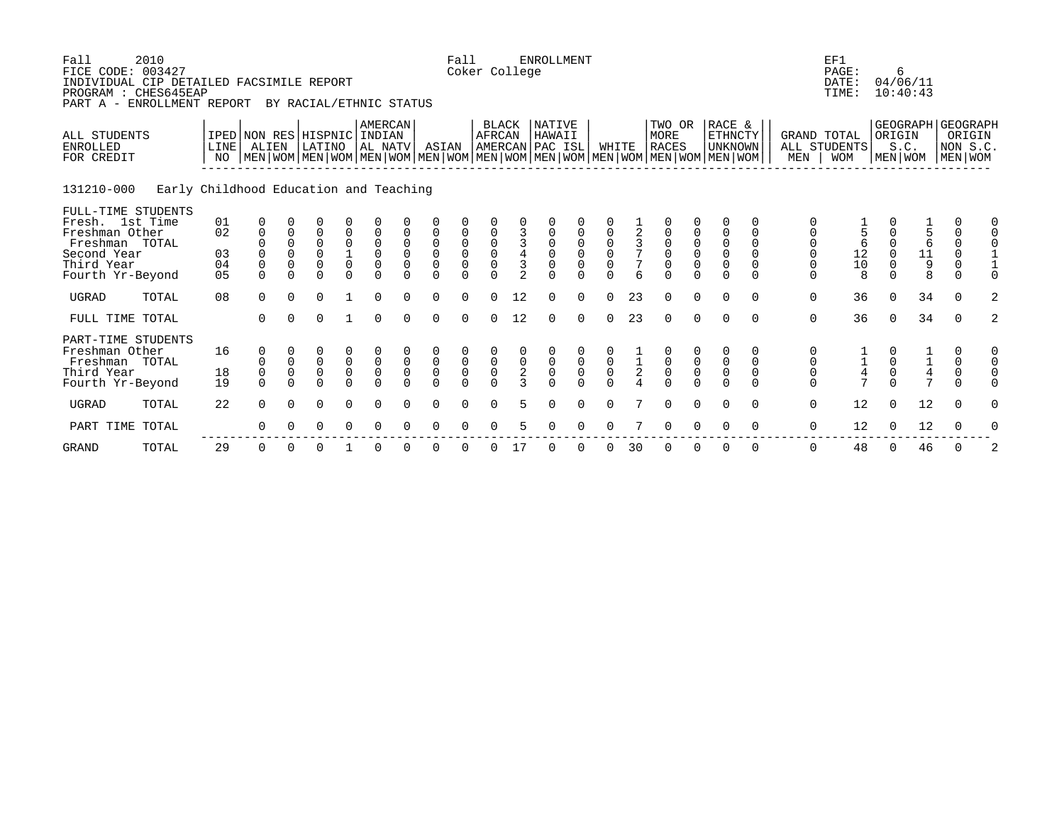| Fall<br>FICE CODE: 003427<br>INDIVIDUAL CIP DETAILED FACSIMILE REPORT<br>PROGRAM : CHES645EAP<br>PART A - ENROLLMENT REPORT | 2010                                   |                            |                                                         |                                                      | BY RACIAL/ETHNIC STATUS                                 |                                                            |                                                          |                                                          |                                                                    | Fall<br>Coker College                                                   |                                                     |                                       | <b>ENROLLMENT</b>                                          |                                                       |                                                            |                         |                                                             |                                                     |                                                                                                                                                    |                                                   |                                                                    | EF1<br>PAGE:<br>DATE:<br>TIME: |                                                 | 6<br>04/06/11<br>10:40:43                    |                                                                            |                    |
|-----------------------------------------------------------------------------------------------------------------------------|----------------------------------------|----------------------------|---------------------------------------------------------|------------------------------------------------------|---------------------------------------------------------|------------------------------------------------------------|----------------------------------------------------------|----------------------------------------------------------|--------------------------------------------------------------------|-------------------------------------------------------------------------|-----------------------------------------------------|---------------------------------------|------------------------------------------------------------|-------------------------------------------------------|------------------------------------------------------------|-------------------------|-------------------------------------------------------------|-----------------------------------------------------|----------------------------------------------------------------------------------------------------------------------------------------------------|---------------------------------------------------|--------------------------------------------------------------------|--------------------------------|-------------------------------------------------|----------------------------------------------|----------------------------------------------------------------------------|--------------------|
| ALL STUDENTS<br><b>ENROLLED</b><br>FOR CREDIT                                                                               |                                        | LINE<br>NO                 | ALIEN                                                   |                                                      | IPED NON RES HISPNIC INDIAN<br>LATINO                   |                                                            | AMERCAN<br>AL NATV                                       |                                                          | ASIAN                                                              |                                                                         | <b>BLACK</b><br>AFRCAN                              |                                       | <b>NATIVE</b><br>HAWAII<br>AMERCAN PAC ISL                 |                                                       | WHITE                                                      |                         | TWO OR<br><b>MORE</b><br><b>RACES</b>                       |                                                     | RACE &<br>ETHNCTY<br><b>UNKNOWN</b><br>  MEN   WOM   MEN   WOM   MEN   WOM   MEN   WOM   MEN   WOM   MEN   WOM   MEN   WOM   MEN   WOM   MEN   WOM |                                                   | <b>GRAND TOTAL</b><br>MEN                                          | ALL STUDENTS<br><b>WOM</b>     | ORIGIN                                          | GEOGRAPH GEOGRAPH<br>S.C.<br>MEN   WOM       | MEN WOM                                                                    | ORIGIN<br>NON S.C. |
| 131210-000                                                                                                                  | Early Childhood Education and Teaching |                            |                                                         |                                                      |                                                         |                                                            |                                                          |                                                          |                                                                    |                                                                         |                                                     |                                       |                                                            |                                                       |                                                            |                         |                                                             |                                                     |                                                                                                                                                    |                                                   |                                                                    |                                |                                                 |                                              |                                                                            |                    |
| FULL-TIME STUDENTS<br>Fresh. 1st Time<br>Freshman Other<br>Freshman TOTAL<br>Second Year<br>Third Year<br>Fourth Yr-Beyond  |                                        | 01<br>02<br>03<br>04<br>05 | 0<br>$\mathbf 0$<br>$\Omega$<br>$\mathsf 0$<br>$\Omega$ | 0<br>$\Omega$<br>$\Omega$<br>$\mathbf 0$<br>$\Omega$ | $\overline{0}$<br>$\Omega$<br>$\Omega$<br>0<br>$\Omega$ | 0<br>0<br>$\begin{matrix} 1 \\ 0 \end{matrix}$<br>$\Omega$ | $\mathsf 0$<br>$\mathsf 0$<br>$\overline{0}$<br>$\Omega$ | 0<br>$\mathbf 0$<br>$\mathbf 0$<br>$\mathsf 0$<br>$\cap$ | 0<br>$\mathsf 0$<br>$\mathsf 0$<br>$\mathsf{O}\xspace$<br>$\Omega$ | $\mathsf{O}\xspace$<br>$\begin{matrix} 0 \\ 0 \end{matrix}$<br>$\Omega$ | $\begin{matrix} 0 \\ 0 \\ 0 \end{matrix}$<br>$\cap$ | $\overline{4}$<br>3<br>$\overline{a}$ | 0<br>$\mathbf 0$<br>$\mathbf 0$<br>$\mathsf 0$<br>$\Omega$ | $\begin{matrix} 0 \\ 0 \\ 0 \end{matrix}$<br>$\Omega$ | 0<br>$\begin{matrix} 0 \\ 0 \\ 0 \end{matrix}$<br>$\Omega$ | $\frac{3}{7}$<br>7<br>6 | 0<br>$\mathsf{O}$<br>$\mathsf 0$<br>$\mathsf 0$<br>$\Omega$ | $\begin{matrix} 0 \\ 0 \\ 0 \end{matrix}$<br>$\cap$ | 0<br>$\mathsf 0$<br>$\mathsf{O}$<br>$\overline{0}$<br>$\Omega$                                                                                     | $\Omega$<br>$\Omega$<br>$\Omega$<br>0<br>$\Omega$ | 0<br>$\mathsf{O}\xspace$<br>$\mathsf 0$<br>$\mathsf 0$<br>$\Omega$ | 6<br>$\frac{12}{10}$<br>8      | $\Omega$<br>$\Omega$<br>$\mathbf 0$<br>$\Omega$ | $\frac{1}{5}$<br>6<br>11<br>$\mathsf 9$<br>8 | $\Omega$<br>$\mathbf 0$<br>$\Omega$<br>$\Omega$<br>$\mathbf 0$<br>$\Omega$ |                    |
| <b>UGRAD</b>                                                                                                                | TOTAL                                  | 08                         | $\Omega$                                                | $\Omega$                                             | 0                                                       |                                                            | $\Omega$                                                 | $\cap$                                                   | $\Omega$                                                           | $\cap$                                                                  | $\cap$                                              | 12                                    | $\Omega$                                                   | $\Omega$                                              | $\cap$                                                     | 23                      | $\Omega$                                                    | $\Omega$                                            | $\Omega$                                                                                                                                           | $\Omega$                                          | $\mathbf 0$                                                        | 36                             | $\Omega$                                        | 34                                           | $\Omega$                                                                   | 2                  |
| FULL TIME TOTAL                                                                                                             |                                        |                            | $\Omega$                                                | $\Omega$                                             | $\Omega$                                                |                                                            | $\Omega$                                                 | $\cap$                                                   | $\Omega$                                                           | $\cap$                                                                  | $\cap$                                              | 12                                    | $\Omega$                                                   | $\Omega$                                              | $\cap$                                                     | 23                      | $\Omega$                                                    | $\Omega$                                            | $\Omega$                                                                                                                                           | $\Omega$                                          | $\mathbf 0$                                                        | 36                             | $\Omega$                                        | 34                                           | $\Omega$                                                                   | 2                  |
| PART-TIME STUDENTS<br>Freshman Other<br>Freshman TOTAL<br>Third Year<br>Fourth Yr-Beyond                                    |                                        | 16<br>18<br>19             | 0<br>0<br>$\mathbf 0$<br>$\Omega$                       | $\mathsf 0$<br>$\mathsf 0$                           | $\mathbf 0$<br>$\overline{0}$<br>$\cap$                 | $\begin{matrix} 0 \\ 0 \end{matrix}$<br>$\Omega$           | $\overline{0}$<br>$\Omega$                               | $\mathsf 0$<br>$\mathsf 0$                               | $\begin{matrix} 0 \\ 0 \\ 0 \end{matrix}$                          | $\begin{matrix} 0 \\ 0 \\ 0 \end{matrix}$                               | $\begin{smallmatrix}0\\0\end{smallmatrix}$          | $\frac{0}{2}$                         | 000                                                        | $\begin{smallmatrix}0\\0\end{smallmatrix}$            | $\begin{smallmatrix}0\\0\end{smallmatrix}$                 | $\frac{1}{2}$           | $\begin{matrix}0\\0\\0\\0\end{matrix}$                      | $_{\rm 0}^{\rm 0}$                                  | $\mathbf 0$<br>$\mathsf 0$                                                                                                                         | 0<br>0<br>$\Omega$                                | 0<br>$\mathsf{O}\xspace$<br>$\mathsf 0$<br>$\Omega$                | $\frac{1}{4}$                  | $\mathsf{O}\xspace$                             | $\frac{1}{4}$                                | 0<br>$\mathsf 0$<br>$\mathsf 0$<br>$\Omega$                                |                    |
| <b>UGRAD</b>                                                                                                                | TOTAL                                  | 22                         | $\Omega$                                                | $\Omega$                                             | $\Omega$                                                | $\Omega$                                                   | $\Omega$                                                 |                                                          | $\Omega$                                                           | $\Omega$                                                                |                                                     | 5.                                    | $\Omega$                                                   | $\Omega$                                              | $\Omega$                                                   |                         | $\Omega$                                                    | $\Omega$                                            | $\Omega$                                                                                                                                           | $\Omega$                                          | $\mathbf 0$                                                        | 12                             | $\Omega$                                        | 12                                           | $\Omega$                                                                   |                    |
| PART TIME                                                                                                                   | TOTAL                                  |                            | $\Omega$                                                |                                                      | $\Omega$                                                |                                                            |                                                          |                                                          |                                                                    |                                                                         |                                                     |                                       |                                                            |                                                       |                                                            |                         | ∩                                                           |                                                     |                                                                                                                                                    | $\mathbf 0$                                       | $\mathbf 0$                                                        | 12                             | $\Omega$                                        | 12                                           | 0                                                                          |                    |
| <b>GRAND</b>                                                                                                                | TOTAL                                  | 29                         | 0                                                       | $\Omega$                                             | 0                                                       |                                                            |                                                          |                                                          |                                                                    |                                                                         |                                                     | 17                                    | $\Omega$                                                   | $\Omega$                                              | O                                                          | 30                      | 0                                                           | $\Omega$                                            | 0                                                                                                                                                  | 0                                                 | 0                                                                  | 48                             | $\Omega$                                        | 46                                           | 0                                                                          |                    |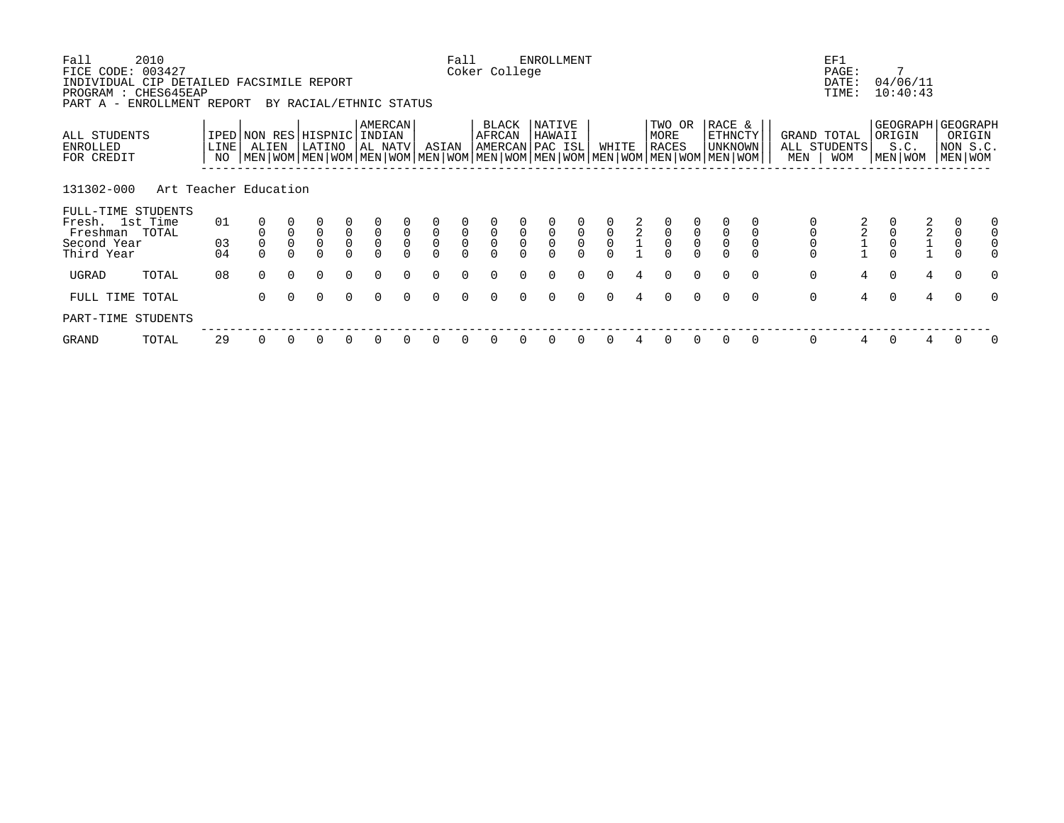| Fall<br>FICE CODE: 003427<br>INDIVIDUAL CIP DETAILED FACSIMILE REPORT<br>PROGRAM : CHES645EAP<br>PART A - | 2010<br>ENROLLMENT REPORT |                   |                               |                            | BY RACIAL/ETHNIC STATUS            |                                     |                                     |                             |                                  | Fall          | Coker College                          |                          | <b>ENROLLMENT</b>                    |               |               |                |                                                                                                                                        |          |                              |          |                    | EF1<br>PAGE:<br>DATE:<br>TIME: |               | 7<br>04/06/11<br>10:40:43                  |                                                    |          |
|-----------------------------------------------------------------------------------------------------------|---------------------------|-------------------|-------------------------------|----------------------------|------------------------------------|-------------------------------------|-------------------------------------|-----------------------------|----------------------------------|---------------|----------------------------------------|--------------------------|--------------------------------------|---------------|---------------|----------------|----------------------------------------------------------------------------------------------------------------------------------------|----------|------------------------------|----------|--------------------|--------------------------------|---------------|--------------------------------------------|----------------------------------------------------|----------|
| ALL STUDENTS<br>ENROLLED<br>FOR CREDIT                                                                    |                           | <b>LINE</b><br>NO | IPED NON RES HISPNIC<br>ALIEN |                            | LATINO                             |                                     | <b>AMERCAN</b><br>INDIAN<br>AL NATV |                             | ASIAN                            |               | BLACK<br>AFRCAN<br>AMERCAN PAC ISL     |                          | NATIVE<br>HAWAII                     |               | WHITE         |                | TWO OR<br>MORE<br>RACES<br>  MEN   WOM   MEN   WOM   MEN   WOM   MEN   WOM   MEN   WOM   MEN   WOM   MEN   WOM   MEN   WOM   MEN   WOM |          | RACE &<br>ETHNCTY<br>UNKNOWN |          | GRAND TOTAL<br>MEN | ALL STUDENTS<br><b>WOM</b>     | ORIGIN        | S.C.<br>MEN   WOM                          | GEOGRAPH GEOGRAPH<br>ORIGIN<br>NON S.C.<br>MEN WOM |          |
| 131302-000                                                                                                | Art Teacher Education     |                   |                               |                            |                                    |                                     |                                     |                             |                                  |               |                                        |                          |                                      |               |               |                |                                                                                                                                        |          |                              |          |                    |                                |               |                                            |                                                    |          |
| FULL-TIME STUDENTS<br>Fresh. 1st Time<br>Freshman TOTAL<br>Second Year                                    |                           | 01<br>03          |                               | $\mathbf 0$<br>$\mathsf 0$ | $\mathsf 0$<br>$\mathsf{O}\xspace$ | $\begin{matrix}0\\0\\0\end{matrix}$ | $\overline{0}$<br>$\overline{0}$    | $\mathbf{0}$<br>$\mathbf 0$ | $\overline{0}$<br>$\overline{0}$ | $\frac{0}{0}$ | $\begin{matrix}0\\0\\0\\0\end{matrix}$ | 0<br>$\mathsf{O}\xspace$ | $\begin{matrix} 0 \\ 0 \end{matrix}$ | $\frac{0}{0}$ | $\frac{0}{0}$ | $\overline{2}$ | $\begin{matrix}0\\0\\0\\0\end{matrix}$                                                                                                 |          | $\mathsf 0$                  |          |                    |                                | $\frac{0}{0}$ | $\begin{array}{c} 2 \\ 2 \\ 1 \end{array}$ | $\mathbf 0$<br>$\mathsf 0$                         |          |
| Third Year                                                                                                |                           | 04                |                               |                            | $\Omega$                           |                                     |                                     | $\cap$                      | $\Omega$                         |               |                                        |                          | $\Omega$                             |               |               |                |                                                                                                                                        |          |                              |          | $\mathbf 0$        |                                |               |                                            | $\Omega$                                           |          |
| UGRAD                                                                                                     | TOTAL                     | 08                | $\Omega$                      | $\Omega$                   | $\Omega$                           | $\Omega$                            |                                     |                             |                                  |               |                                        |                          |                                      | $\Omega$      |               |                | $\Omega$                                                                                                                               | $\Omega$ | $\Omega$                     | $\Omega$ | $\mathbf 0$        | 4                              | $\Omega$      | $4\overline{ }$                            | $\Omega$                                           | $\Omega$ |
| FULL TIME TOTAL                                                                                           |                           |                   | $\Omega$                      | $\Omega$                   | $\Omega$                           | $\Omega$                            | $\Omega$                            | $\cap$                      | $\Omega$                         | $\Omega$      | $\Omega$                               | $\cap$                   | $\Omega$                             | $\Omega$      | $\Omega$      | $\overline{4}$ | $\Omega$                                                                                                                               | $\Omega$ | $\Omega$                     | $\Omega$ | $\mathbf 0$        | $4\overline{ }$                | $\Omega$      | $\overline{4}$                             | $\Omega$                                           | $\Omega$ |
| PART-TIME STUDENTS                                                                                        |                           |                   |                               |                            |                                    |                                     |                                     |                             |                                  |               |                                        |                          |                                      |               |               |                |                                                                                                                                        |          |                              |          |                    |                                |               |                                            |                                                    |          |
| GRAND                                                                                                     | TOTAL                     | 29                | 0                             |                            | 0                                  | 0                                   |                                     |                             |                                  |               |                                        |                          |                                      |               |               |                |                                                                                                                                        | 0        | 0                            | 0        | 0                  | 4                              |               | 4                                          | 0                                                  | 0        |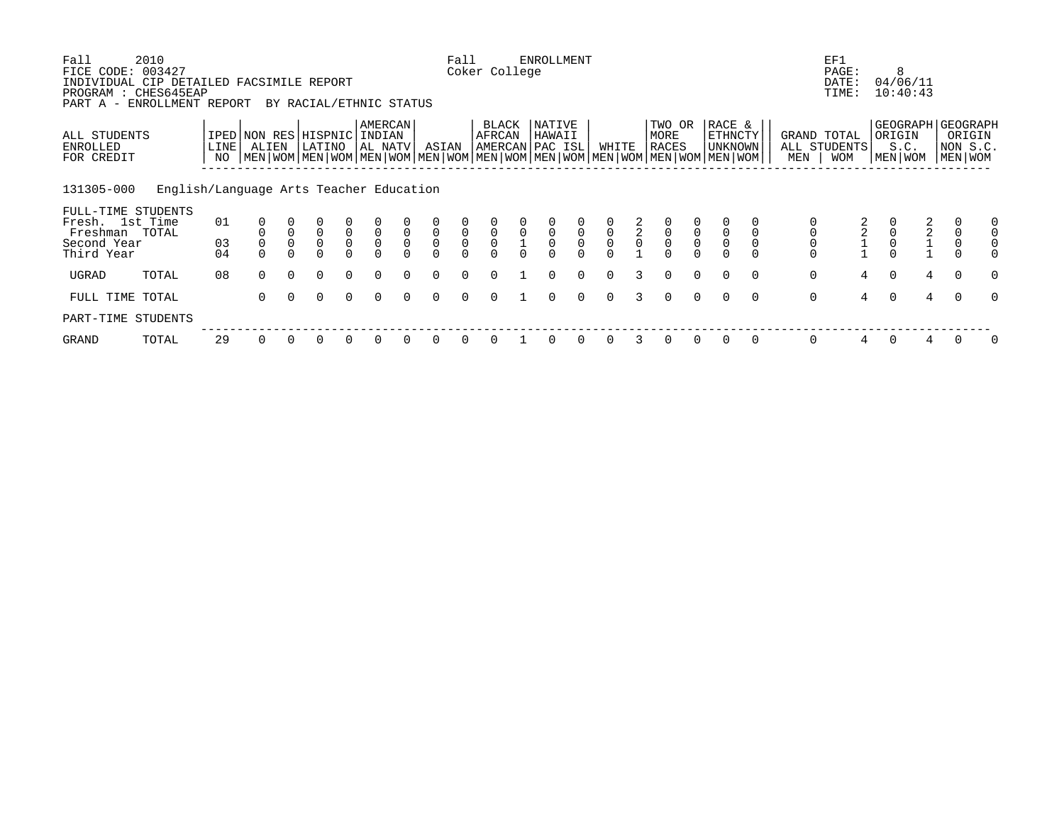| Fall<br>FICE CODE:<br>INDIVIDUAL CIP DETAILED FACSIMILE REPORT<br>PROGRAM : CHES645EAP | 2010<br>003427                          |            |                                      |              |                                   |                                         |                                           |                     |                                                       | Fall                                           | Coker College                          |                     | <b>ENROLLMENT</b>                         |                                           |                                           |               |                         |          |                                                                                                                                                    |          |                    | EF1<br>PAGE:<br>DATE:<br>TIME: |          | 8<br>04/06/11<br>10:40:43 |   |                                                        |          |
|----------------------------------------------------------------------------------------|-----------------------------------------|------------|--------------------------------------|--------------|-----------------------------------|-----------------------------------------|-------------------------------------------|---------------------|-------------------------------------------------------|------------------------------------------------|----------------------------------------|---------------------|-------------------------------------------|-------------------------------------------|-------------------------------------------|---------------|-------------------------|----------|----------------------------------------------------------------------------------------------------------------------------------------------------|----------|--------------------|--------------------------------|----------|---------------------------|---|--------------------------------------------------------|----------|
| PART A - ENROLLMENT REPORT<br>ALL STUDENTS<br>ENROLLED<br>FOR CREDIT                   |                                         | LINE<br>NO | IPED NON RES HISPNIC INDIAN<br>ALIEN |              | BY RACIAL/ETHNIC STATUS<br>LATINO |                                         | AMERCAN<br>AL NATV                        |                     | ASIAN                                                 |                                                | BLACK<br>AFRCAN                        |                     | NATIVE<br>HAWAII<br>AMERCAN PAC ISL       |                                           | WHITE                                     |               | TWO OR<br>MORE<br>RACES |          | RACE &<br><b>ETHNCTY</b><br>UNKNOWN<br>  MEN   WOM   MEN   WOM   MEN   WOM   MEN   WOM   MEN   WOM   MEN   WOM   MEN   WOM   MEN   WOM   MEN   WOM |          | GRAND TOTAL<br>MEN | ALL STUDENTS<br><b>WOM</b>     |          | ORIGIN<br>S.C.<br>MEN WOM |   | GEOGRAPH   GEOGRAPH<br>ORIGIN<br>NON S.C.<br>MEN   WOM |          |
| 131305-000<br>FULL-TIME STUDENTS                                                       | English/Language Arts Teacher Education |            |                                      |              |                                   |                                         |                                           |                     |                                                       |                                                |                                        |                     |                                           |                                           |                                           |               |                         |          |                                                                                                                                                    |          |                    |                                |          |                           |   |                                                        |          |
| Fresh. 1st Time<br>Freshman TOTAL                                                      |                                         | 01         |                                      | $\mathsf 0$  | $\mathsf{O}\xspace$               |                                         |                                           | $\mathsf 0$         |                                                       |                                                |                                        | $\mathsf{O}\xspace$ |                                           |                                           |                                           |               |                         |          |                                                                                                                                                    |          |                    |                                |          | $\overline{\mathbf{c}}$   |   |                                                        |          |
| Second Year<br>Third Year                                                              |                                         | 03<br>04   |                                      | $\mathsf{O}$ | $\mathsf{O}\xspace$<br>$\Omega$   | $\overline{0}$ <sub>0</sub><br>$\Omega$ | $\begin{matrix} 0 \\ 0 \\ 0 \end{matrix}$ | $\mathsf{O}\xspace$ | $\begin{matrix} 0 \\ 0 \\ 0 \end{matrix}$<br>$\Omega$ | $\begin{matrix} 0 \\ 0 \\ 0 \\ 0 \end{matrix}$ | $\begin{matrix}0\\0\\0\\0\end{matrix}$ |                     | $\begin{matrix} 0 \\ 0 \\ 0 \end{matrix}$ | $\begin{matrix} 0 \\ 0 \\ 0 \end{matrix}$ | $\begin{matrix} 0 \\ 0 \\ 0 \end{matrix}$ | $\frac{2}{2}$ | $\overline{0}$<br>0     |          |                                                                                                                                                    |          |                    | $2^{2}_{1}$                    |          |                           |   |                                                        |          |
| UGRAD                                                                                  | TOTAL                                   | 08         | $\Omega$                             | $\Omega$     | $\Omega$                          | $\Omega$                                | $\Omega$                                  |                     | $\Omega$                                              | $\Omega$                                       | $\Omega$                               |                     | $\Omega$                                  | $\Omega$                                  | $\Omega$                                  |               |                         |          |                                                                                                                                                    | $\Omega$ | $\mathsf{O}$       | 4                              | $\Omega$ | $\overline{4}$            |   | $\Omega$                                               | $\Omega$ |
| FULL TIME                                                                              | TOTAL                                   |            | $\Omega$                             | $\Omega$     | $\Omega$                          | $\Omega$                                | $\Omega$                                  | $\Omega$            | $\Omega$                                              | $\Omega$                                       | $\Omega$                               |                     | $\Omega$                                  | $\Omega$                                  | $\Omega$                                  | $\mathcal{E}$ | $\Omega$                | $\Omega$ | $\Omega$                                                                                                                                           | $\Omega$ | $\mathbf 0$        | $\overline{4}$                 | $\Omega$ |                           | 4 | $\Omega$                                               | $\Omega$ |
| PART-TIME STUDENTS                                                                     |                                         |            |                                      |              |                                   |                                         |                                           |                     |                                                       |                                                |                                        |                     |                                           |                                           |                                           |               |                         |          |                                                                                                                                                    |          |                    |                                |          |                           |   |                                                        |          |
| GRAND                                                                                  | TOTAL                                   | 29         |                                      |              |                                   | 0                                       |                                           |                     | 0                                                     | $\Omega$                                       |                                        |                     |                                           | 0                                         |                                           |               | $\Omega$                |          |                                                                                                                                                    | $\Omega$ | 0                  | 4                              | $\Omega$ |                           |   |                                                        | 0        |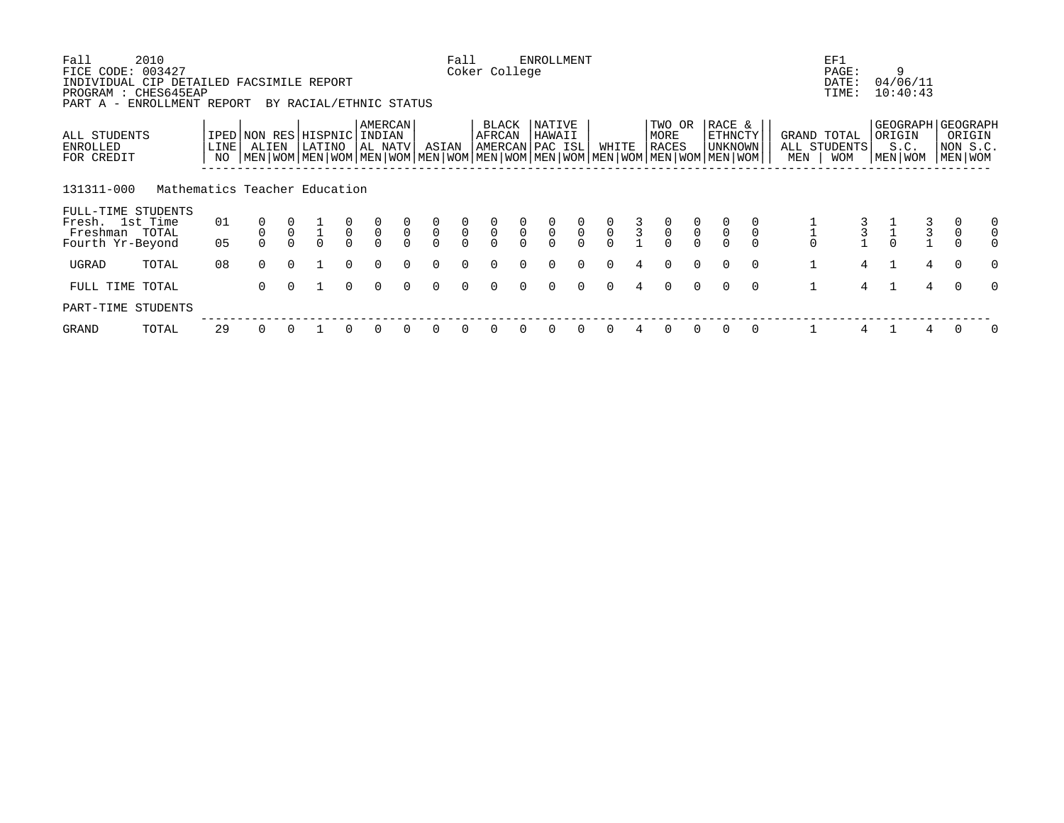| Fall<br>FICE CODE:                                                                             | 2010<br>003427                |               |                                      |                |                         |                                           |                                           |               |                                           | Fall                                      | Coker College                             |                                           | ENROLLMENT                                |                                           |               |                                            |                                           |                                           |                                                                                                                                                    |              | EF1<br>PAGE:                              |              | 9                                                |                |                                   |          |
|------------------------------------------------------------------------------------------------|-------------------------------|---------------|--------------------------------------|----------------|-------------------------|-------------------------------------------|-------------------------------------------|---------------|-------------------------------------------|-------------------------------------------|-------------------------------------------|-------------------------------------------|-------------------------------------------|-------------------------------------------|---------------|--------------------------------------------|-------------------------------------------|-------------------------------------------|----------------------------------------------------------------------------------------------------------------------------------------------------|--------------|-------------------------------------------|--------------|--------------------------------------------------|----------------|-----------------------------------|----------|
| INDIVIDUAL CIP DETAILED FACSIMILE REPORT<br>PROGRAM : CHES645EAP<br>PART A - ENROLLMENT REPORT |                               |               |                                      |                | BY RACIAL/ETHNIC STATUS |                                           |                                           |               |                                           |                                           |                                           |                                           |                                           |                                           |               |                                            |                                           |                                           |                                                                                                                                                    |              | DATE:<br>TIME:                            |              | 04/06/11<br>10:40:43                             |                |                                   |          |
| ALL STUDENTS<br>ENROLLED<br>FOR CREDIT                                                         |                               | LINE  <br>NO. | IPED NON RES HISPNIC INDIAN<br>ALIEN |                | LATINO                  |                                           | AMERCAN<br>AL NATV                        |               | ASIAN                                     |                                           | BLACK<br>AFRCAN                           |                                           | NATIVE<br>HAWAII<br>AMERCAN PAC ISL       |                                           | WHITE         |                                            | TWO OR<br>MORE<br>RACES                   |                                           | RACE &<br><b>ETHNCTY</b><br>UNKNOWN<br>  MEN   WOM   MEN   WOM   MEN   WOM   MEN   WOM   MEN   WOM   MEN   WOM   MEN   WOM   MEN   WOM   MEN   WOM | MEN          | GRAND TOTAL<br>ALL STUDENTS<br><b>WOM</b> |              | GEOGRAPH   GEOGRAPH<br>ORIGIN<br>S.C.<br>MEN WOM |                | ORIGIN<br>NON S.C.<br>  MEN   WOM |          |
| 131311-000                                                                                     | Mathematics Teacher Education |               |                                      |                |                         |                                           |                                           |               |                                           |                                           |                                           |                                           |                                           |                                           |               |                                            |                                           |                                           |                                                                                                                                                    |              |                                           |              |                                                  |                |                                   |          |
| FULL-TIME STUDENTS<br>Fresh. 1st Time<br>Freshman TOTAL                                        |                               | 01            |                                      | $\overline{0}$ | $\overline{1}$          | $\begin{matrix} 0 \\ 0 \\ 0 \end{matrix}$ | $\begin{matrix} 0 \\ 0 \\ 0 \end{matrix}$ | $\frac{0}{0}$ | $\begin{matrix} 0 \\ 0 \\ 0 \end{matrix}$ | $\begin{matrix} 0 \\ 0 \\ 0 \end{matrix}$ | $\begin{matrix} 0 \\ 0 \\ 0 \end{matrix}$ | $\begin{matrix} 0 \\ 0 \\ 0 \end{matrix}$ | $\begin{matrix} 0 \\ 0 \\ 0 \end{matrix}$ | $\begin{matrix} 0 \\ 0 \\ 0 \end{matrix}$ | $\frac{0}{0}$ | $\begin{array}{c} 3 \\ 3 \\ 1 \end{array}$ | $\begin{matrix} 0 \\ 0 \\ 0 \end{matrix}$ | $\begin{matrix} 0 \\ 0 \\ 0 \end{matrix}$ | $\frac{0}{0}$<br>$\overline{0}$                                                                                                                    |              |                                           |              |                                                  | 3<br>3         |                                   |          |
| Fourth Yr-Beyond                                                                               |                               | 05            |                                      |                | $\Omega$                |                                           |                                           |               |                                           |                                           |                                           |                                           |                                           |                                           |               |                                            |                                           |                                           |                                                                                                                                                    |              |                                           |              |                                                  |                |                                   |          |
| UGRAD                                                                                          | TOTAL                         | 08            | $\cap$                               | $\cap$         |                         | $\Omega$                                  | $\Omega$                                  | $\cap$        | $\Omega$                                  | $\Omega$                                  | $\Omega$                                  | $\cap$                                    | $\Omega$                                  | $\Omega$                                  | $\Omega$      | $\overline{4}$                             | $\Omega$                                  | $\Omega$                                  | $\cap$<br>$\Omega$                                                                                                                                 | $\mathbf{1}$ | 4                                         | $\mathbf{1}$ |                                                  | 4              | $\Omega$                          | $\Omega$ |
| FULL TIME TOTAL                                                                                |                               |               | 0                                    | $\Omega$       |                         | $\Omega$                                  | $\Omega$                                  | $\Omega$      | $\Omega$                                  | $\Omega$                                  | $\Omega$                                  | $\Omega$                                  | $\Omega$                                  | $\Omega$                                  | $\Omega$      | 4                                          | $\Omega$                                  | $\Omega$                                  | $\Omega$<br>$\Omega$                                                                                                                               |              | 4                                         |              |                                                  | $\overline{4}$ | $\Omega$                          | $\Omega$ |
| PART-TIME STUDENTS                                                                             |                               |               |                                      |                |                         |                                           |                                           |               |                                           |                                           |                                           |                                           |                                           |                                           |               |                                            |                                           |                                           |                                                                                                                                                    |              |                                           |              |                                                  |                |                                   |          |
| GRAND                                                                                          | TOTAL                         | 29            |                                      |                |                         |                                           | $\Omega$                                  |               | 0                                         |                                           |                                           |                                           |                                           |                                           |               |                                            |                                           |                                           |                                                                                                                                                    |              |                                           |              |                                                  |                |                                   | 0        |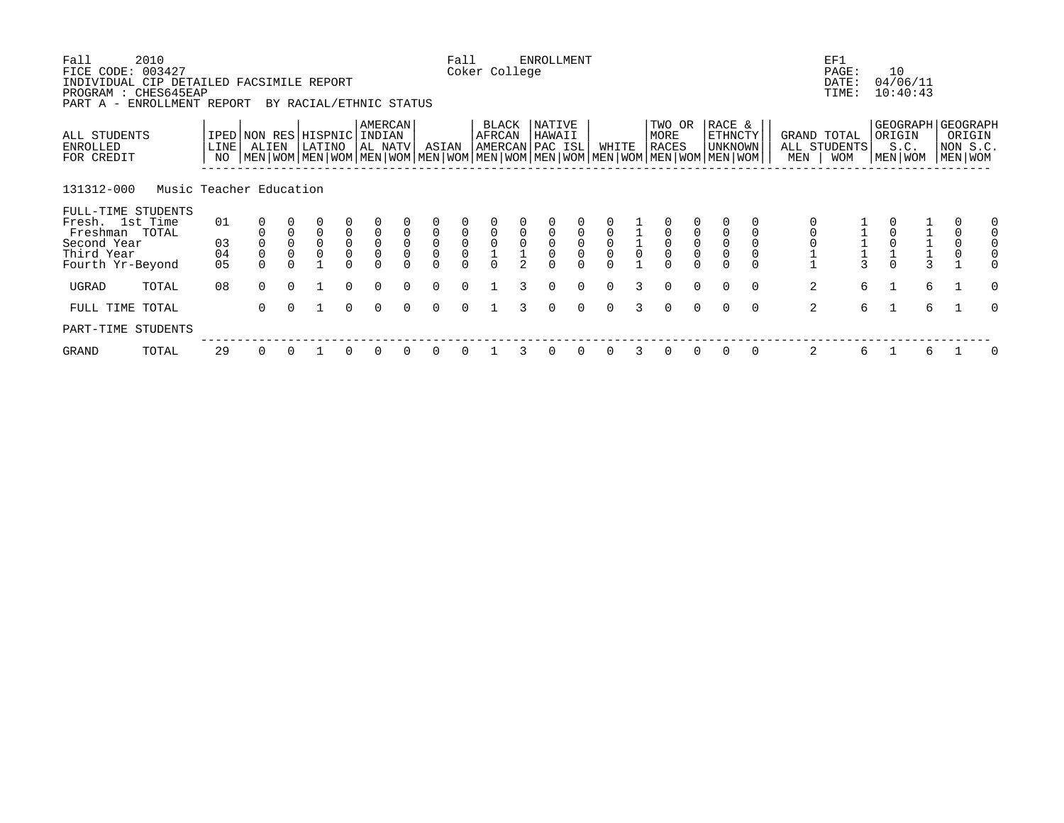| Fall<br>FICE CODE:                                                           | 2010<br>003427          |                |             |                  |                                |                                             |                                       |                  |                                  | Fall                                      | Coker College   |   | <b>ENROLLMENT</b>                    |                                      |             |                     |                                                                                                                                               |                                      |                                     |          |                    | EF1<br>PAGE:               |                | 10                            |               |                                                          |          |
|------------------------------------------------------------------------------|-------------------------|----------------|-------------|------------------|--------------------------------|---------------------------------------------|---------------------------------------|------------------|----------------------------------|-------------------------------------------|-----------------|---|--------------------------------------|--------------------------------------|-------------|---------------------|-----------------------------------------------------------------------------------------------------------------------------------------------|--------------------------------------|-------------------------------------|----------|--------------------|----------------------------|----------------|-------------------------------|---------------|----------------------------------------------------------|----------|
| INDIVIDUAL CIP DETAILED FACSIMILE REPORT<br>PROGRAM : CHES645EAP<br>PART A - | ENROLLMENT REPORT       |                |             |                  | BY RACIAL/ETHNIC STATUS        |                                             |                                       |                  |                                  |                                           |                 |   |                                      |                                      |             |                     |                                                                                                                                               |                                      |                                     |          |                    | DATE:<br>TIME:             |                | 04/06/11<br>10:40:43          |               |                                                          |          |
| ALL STUDENTS<br>ENROLLED<br>FOR CREDIT                                       |                         | LINE  <br>NO   | ALIEN       |                  | IPED NON RES HISPNIC<br>LATINO |                                             | <b>AMERCAN</b><br>INDIAN<br>  AL NATV |                  | ASIAN                            |                                           | BLACK<br>AFRCAN |   | NATIVE<br>HAWAII<br> AMERCAN PAC ISL |                                      | WHITE       |                     | TWO OR<br>MORE<br><b>RACES</b><br>  MEN   WOM   MEN   WOM   MEN   WOM   MEN   WOM   MEN   WOM   MEN   WOM   MEN   WOM   MEN   WOM   MEN   WOM |                                      | RACE &<br><b>ETHNCTY</b><br>UNKNOWN |          | GRAND TOTAL<br>MEN | ALL STUDENTS<br><b>WOM</b> |                | ORIGIN<br>S.C.<br>  MEN   WOM |               | GEOGRAPH   GEOGRAPH<br>ORIGIN<br>NON S.C.<br>  MEN   WOM |          |
| 131312-000                                                                   | Music Teacher Education |                |             |                  |                                |                                             |                                       |                  |                                  |                                           |                 |   |                                      |                                      |             |                     |                                                                                                                                               |                                      |                                     |          |                    |                            |                |                               |               |                                                          |          |
| FULL-TIME STUDENTS<br>Fresh. 1st Time<br>Freshman TOTAL                      |                         | 01             |             |                  | $\overline{0}$                 |                                             |                                       |                  | $\mathsf 0$                      |                                           |                 |   |                                      |                                      |             |                     |                                                                                                                                               |                                      |                                     |          |                    |                            |                |                               |               | 0                                                        |          |
| Second Year<br>Third Year<br>Fourth Yr-Beyond                                |                         | 03<br>04<br>05 | $\mathsf 0$ | $\mathsf 0$<br>0 | $\mathbf 0$<br>$\mathbf 0$     | $\begin{bmatrix} 0 \\ 0 \\ 0 \end{bmatrix}$ | $\overline{0}$<br>0<br>$\overline{0}$ | $\mathbf 0$<br>0 | $\overline{0}$<br>$\overline{0}$ | $\begin{matrix} 0 \\ 0 \\ 0 \end{matrix}$ |                 | 0 | $_{0}^{0}$                           | $\begin{matrix} 0 \\ 0 \end{matrix}$ | $\mathsf 0$ | $\mathsf{O}\xspace$ | $\overline{0}$                                                                                                                                | $\begin{matrix} 0 \\ 0 \end{matrix}$ | $\mathbf 0$                         |          |                    |                            |                |                               | $\frac{1}{3}$ | $\mathsf 0$<br>$\overline{0}$                            |          |
| UGRAD                                                                        | TOTAL                   | 08             | $\Omega$    | $\Omega$         |                                | $\Omega$                                    | $\Omega$                              | $\Omega$         | $\Omega$                         | $\Omega$                                  |                 |   | $\Omega$                             | $\Omega$                             | $\Omega$    |                     | $\Omega$                                                                                                                                      | $\Omega$                             | $\Omega$                            | $\Omega$ | 2                  | 6                          |                |                               | 6             |                                                          | $\Omega$ |
| FULL TIME TOTAL                                                              |                         |                | $\Omega$    | $\Omega$         |                                | $\Omega$                                    | $\Omega$                              |                  | $\Omega$                         | $\cap$                                    |                 |   | $\Omega$                             | $\Omega$                             | $\Omega$    |                     | $\Omega$                                                                                                                                      | $\Omega$                             | $\Omega$                            | $\Omega$ | 2                  | 6                          | $\overline{1}$ |                               | 6             |                                                          | $\Omega$ |
| PART-TIME STUDENTS                                                           |                         |                |             |                  |                                |                                             |                                       |                  |                                  |                                           |                 |   |                                      |                                      |             |                     |                                                                                                                                               |                                      |                                     |          |                    |                            |                |                               |               |                                                          |          |
| GRAND                                                                        | TOTAL                   | 29             | 0           |                  |                                |                                             |                                       |                  | 0                                |                                           |                 |   |                                      |                                      |             |                     | 0                                                                                                                                             | 0                                    | 0                                   | 0        | 2                  | 6                          |                |                               | 6             |                                                          | 0        |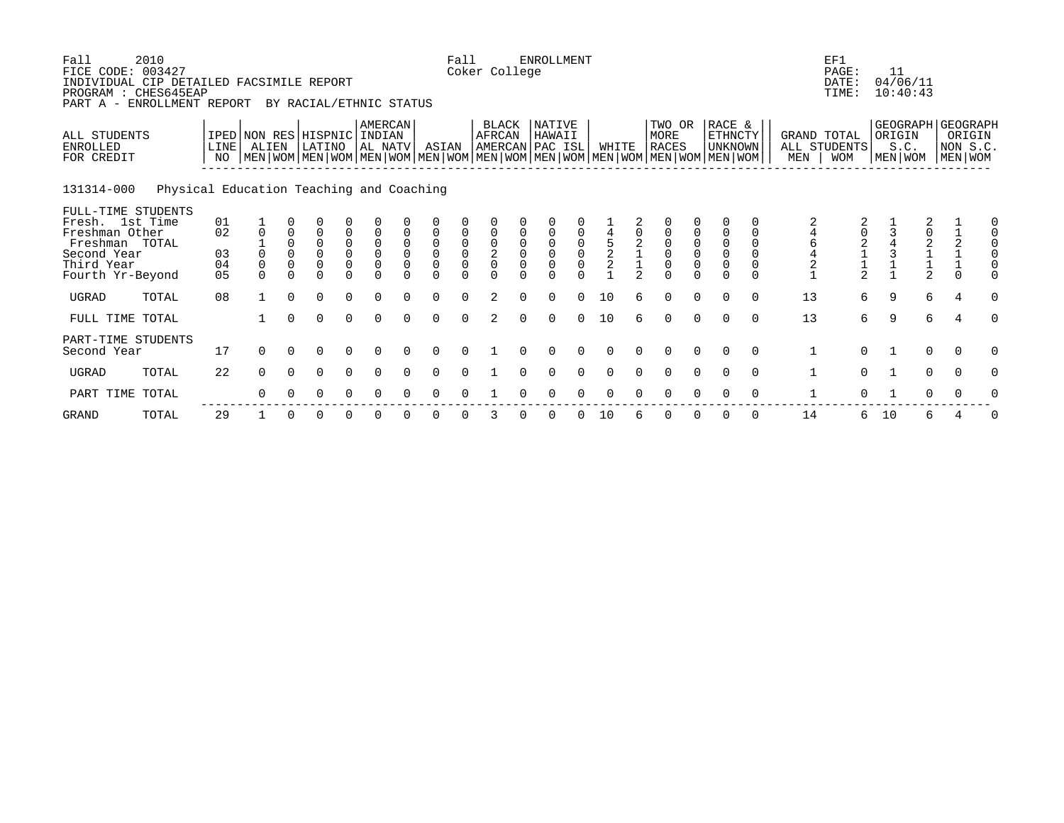| Fall<br>FICE CODE: 003427<br>INDIVIDUAL CIP DETAILED FACSIMILE REPORT<br>PROGRAM : CHES645EAP<br>PART A -                  | 2010<br>ENROLLMENT REPORT                |                                        |                                      |                                  | BY RACIAL/ETHNIC STATUS                                              |               |                              |                         |                                                        | Fall   | Coker College                      |                          | <b>ENROLLMENT</b>  |          |                     |                |                                                                                                                                               |                                                                     |                                                            |                      |                    | EF1<br>PAGE:<br>DATE:<br>TIME:               | 11           | 04/06/11<br>10:40:43                               |                               |   |
|----------------------------------------------------------------------------------------------------------------------------|------------------------------------------|----------------------------------------|--------------------------------------|----------------------------------|----------------------------------------------------------------------|---------------|------------------------------|-------------------------|--------------------------------------------------------|--------|------------------------------------|--------------------------|--------------------|----------|---------------------|----------------|-----------------------------------------------------------------------------------------------------------------------------------------------|---------------------------------------------------------------------|------------------------------------------------------------|----------------------|--------------------|----------------------------------------------|--------------|----------------------------------------------------|-------------------------------|---|
| ALL STUDENTS<br><b>ENROLLED</b><br>FOR CREDIT                                                                              |                                          | LINE<br>NO                             | IPED NON RES HISPNIC INDIAN<br>ALIEN |                                  | LATINO                                                               |               | AMERCAN<br>AL NATV           |                         | ASIAN                                                  |        | BLACK<br>AFRCAN<br>AMERCAN PAC ISL |                          | NATIVE<br>HAWAII   |          | WHITE               |                | TWO OR<br>MORE<br><b>RACES</b><br>  MEN   WOM   MEN   WOM   MEN   WOM   MEN   WOM   MEN   WOM   MEN   WOM   MEN   WOM   MEN   WOM   MEN   WOM |                                                                     | RACE &<br>ETHNCTY<br><b>UNKNOWN</b>                        |                      | GRAND TOTAL<br>MEN | ALL STUDENTS<br><b>WOM</b>                   |              | GEOGRAPH GEOGRAPH<br>ORIGIN<br>S.C.<br>  MEN   WOM | ORIGIN<br>NON S.C.<br>MEN WOM |   |
| 131314-000                                                                                                                 | Physical Education Teaching and Coaching |                                        |                                      |                                  |                                                                      |               |                              |                         |                                                        |        |                                    |                          |                    |          |                     |                |                                                                                                                                               |                                                                     |                                                            |                      |                    |                                              |              |                                                    |                               |   |
| FULL-TIME STUDENTS<br>Fresh. 1st Time<br>Freshman Other<br>Freshman TOTAL<br>Second Year<br>Third Year<br>Fourth Yr-Beyond |                                          | 01<br>02<br>03<br>04<br>0 <sub>5</sub> | $\Omega$<br>$\Omega$<br>$\Omega$     | $\Omega$<br>$\Omega$<br>$\Omega$ | $\Omega$<br>$\overline{0}$<br>$\overline{0}$<br>$\Omega$<br>$\Omega$ | 0<br>$\Omega$ | $\mathbf 0$<br>0<br>$\Omega$ | $\Omega$<br>$\mathbf 0$ | $\mathsf 0$<br>$\mathsf 0$<br>$\overline{0}$<br>$\cap$ | $\cap$ | $\frac{2}{0}$<br>$\cap$            | $\overline{0}$<br>$\cap$ | $\Omega$<br>$\cap$ | $\cap$   | $\frac{4}{5}$<br>22 | $\mathfrak{D}$ | 0<br>$\overline{0}$<br>$\overline{0}$<br>$\Omega$                                                                                             | $\begin{smallmatrix}0\\0\end{smallmatrix}$<br>$\mathsf 0$<br>$\cap$ | 0<br>$\mathbf 0$<br>$\mathbf 0$<br>$\mathbf 0$<br>$\Omega$ | $\Omega$<br>$\Omega$ | 6<br>$\frac{4}{2}$ | $\begin{array}{c}\n2 \\ 1 \\ 2\n\end{array}$ |              | 0<br>$\begin{array}{c}\n2 \\ 1 \\ 2\n\end{array}$  | $\Omega$                      |   |
| <b>UGRAD</b>                                                                                                               | TOTAL                                    | 08                                     |                                      | $\Omega$                         | $\Omega$                                                             | $\Omega$      | $\Omega$                     |                         | $\Omega$                                               | $\cap$ | $\mathfrak{D}$                     |                          | $\Omega$           |          | 10                  |                | $\Omega$                                                                                                                                      | $\Omega$                                                            | $\Omega$                                                   | $\Omega$             | 13                 | 6                                            | 9            | 6                                                  | $\overline{4}$                |   |
| FULL TIME TOTAL                                                                                                            |                                          |                                        |                                      | $\Omega$                         | $\Omega$                                                             | $\Omega$      | $\Omega$                     | $\cap$                  | $\Omega$                                               | $\cap$ | $\mathfrak{D}$                     | $\Omega$                 | $\Omega$           | $\Omega$ | 10                  |                | $\Omega$                                                                                                                                      | $\Omega$                                                            | $\Omega$                                                   | $\Omega$             | 13                 | 6                                            | 9            | 6                                                  | $\overline{4}$                |   |
| PART-TIME STUDENTS<br>Second Year                                                                                          |                                          | 17                                     | $\Omega$                             | $\Omega$                         | $\Omega$                                                             | $\Omega$      | $\Omega$                     | $\cap$                  | $\Omega$                                               | $\cap$ |                                    |                          |                    |          | $\Omega$            |                | $\Omega$                                                                                                                                      | $\Omega$                                                            | $\cap$                                                     | $\Omega$             | $\mathbf{1}$       | $\Omega$                                     | $\mathbf{1}$ | $\mathbf 0$                                        | $\Omega$                      | O |
| <b>UGRAD</b>                                                                                                               | TOTAL                                    | 22                                     | $\Omega$                             | $\Omega$                         | $\Omega$                                                             | $\Omega$      | $\Omega$                     |                         | $\Omega$                                               |        |                                    |                          |                    |          |                     |                | $\Omega$                                                                                                                                      | $\Omega$                                                            |                                                            | $\Omega$             | $\mathbf{1}$       | $\Omega$                                     |              | $\mathbf 0$                                        | $\Omega$                      |   |
| PART TIME TOTAL                                                                                                            |                                          |                                        | ∩                                    |                                  | O                                                                    | 0             |                              |                         |                                                        |        |                                    |                          |                    |          |                     |                |                                                                                                                                               |                                                                     |                                                            | $\Omega$             |                    |                                              |              | 0                                                  |                               |   |
|                                                                                                                            |                                          |                                        |                                      |                                  |                                                                      |               |                              |                         |                                                        |        |                                    |                          |                    |          |                     |                |                                                                                                                                               |                                                                     |                                                            |                      |                    |                                              |              |                                                    |                               |   |

GRAND TOTAL 29 1 0 0 0 0 0 0 0 3 0 0 0 10 6 0 0 0 0 14 6 10 6 4 0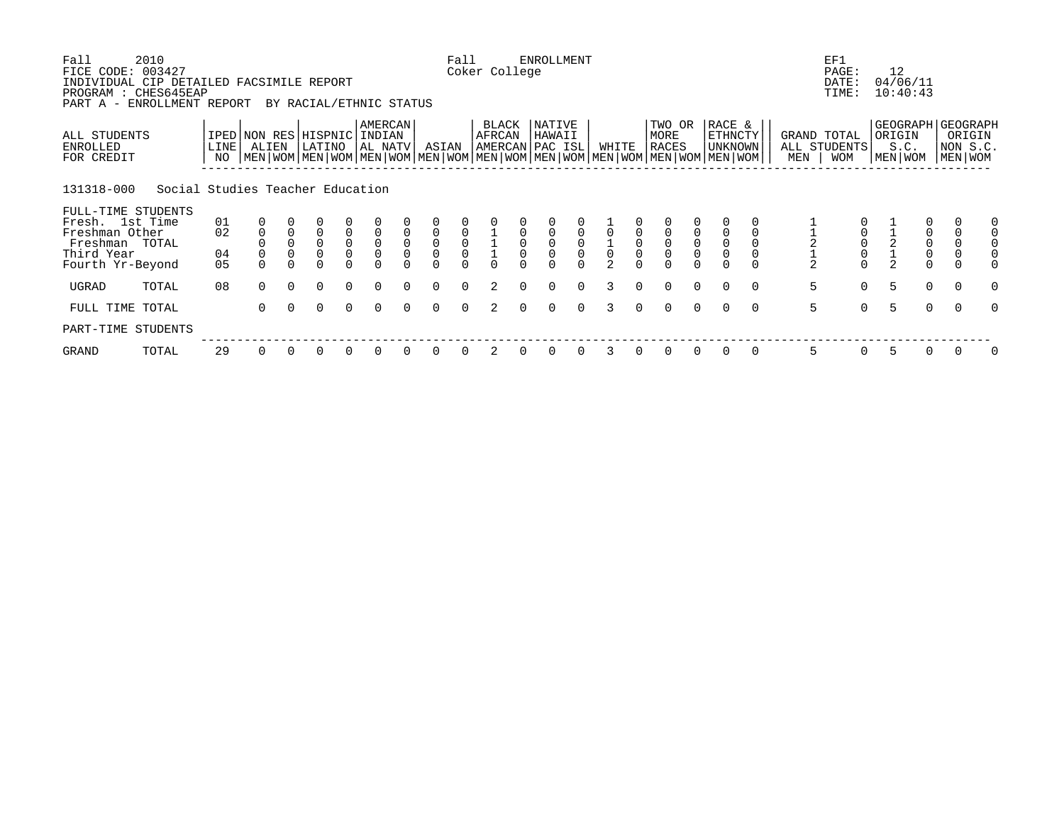| Fall<br>FICE CODE:                                                           | 2010<br>003427                   |                         |             |                            |                                |                     |                                       |                  |                                      | Fall                                      | Coker College   |                     | <b>ENROLLMENT</b>                          |                                            |                                            |                     |                                                                                                                                               |                                      |                                            |          |                    | EF1<br>PAGE:                              | 12                                             |                                                |                                                        |          |
|------------------------------------------------------------------------------|----------------------------------|-------------------------|-------------|----------------------------|--------------------------------|---------------------|---------------------------------------|------------------|--------------------------------------|-------------------------------------------|-----------------|---------------------|--------------------------------------------|--------------------------------------------|--------------------------------------------|---------------------|-----------------------------------------------------------------------------------------------------------------------------------------------|--------------------------------------|--------------------------------------------|----------|--------------------|-------------------------------------------|------------------------------------------------|------------------------------------------------|--------------------------------------------------------|----------|
| INDIVIDUAL CIP DETAILED FACSIMILE REPORT<br>PROGRAM : CHES645EAP<br>PART A - | ENROLLMENT REPORT                |                         |             |                            | BY RACIAL/ETHNIC STATUS        |                     |                                       |                  |                                      |                                           |                 |                     |                                            |                                            |                                            |                     |                                                                                                                                               |                                      |                                            |          |                    | DATE:<br>TIME:                            | 04/06/11<br>10:40:43                           |                                                |                                                        |          |
| ALL STUDENTS<br>ENROLLED<br>FOR CREDIT                                       |                                  | LINE <sup>[</sup><br>NO | ALIEN       |                            | IPED NON RES HISPNIC<br>LATINO |                     | <b>AMERCAN</b><br>INDIAN<br>  AL NATV |                  | ASIAN                                |                                           | BLACK<br>AFRCAN |                     | NATIVE<br>HAWAII<br> AMERCAN PAC ISL       |                                            | WHITE                                      |                     | TWO OR<br>MORE<br><b>RACES</b><br>  MEN   WOM   MEN   WOM   MEN   WOM   MEN   WOM   MEN   WOM   MEN   WOM   MEN   WOM   MEN   WOM   MEN   WOM |                                      | RACE &<br><b>ETHNCTY</b><br><b>UNKNOWN</b> |          | GRAND TOTAL<br>MEN | ALL STUDENTS<br><b>WOM</b>                | GEOGRAPH GEOGRAPH<br>ORIGIN<br>S.C.<br>MEN WOM |                                                | ORIGIN<br>NON S.C.<br>MEN WOM                          |          |
| 131318-000                                                                   | Social Studies Teacher Education |                         |             |                            |                                |                     |                                       |                  |                                      |                                           |                 |                     |                                            |                                            |                                            |                     |                                                                                                                                               |                                      |                                            |          |                    |                                           |                                                |                                                |                                                        |          |
| FULL-TIME STUDENTS<br>Fresh. 1st Time                                        |                                  | 01                      |             |                            |                                |                     |                                       |                  |                                      |                                           |                 |                     |                                            |                                            |                                            |                     |                                                                                                                                               |                                      |                                            |          |                    |                                           |                                                |                                                |                                                        |          |
| Freshman Other<br>Freshman TOTAL                                             |                                  | 02                      | $\mathbf 0$ | $\mathbf 0$<br>$\mathsf 0$ | $\overline{0}$<br>$\mathbf 0$  | $\mathsf 0$         | $\mathsf 0$                           | $\mathbf 0$<br>0 | $\mathsf 0$                          | $\begin{matrix} 0 \\ 0 \\ 0 \end{matrix}$ |                 | $\mathsf{O}\xspace$ |                                            |                                            |                                            | $\mathsf{O}\xspace$ |                                                                                                                                               |                                      | $\mathsf{O}$                               |          |                    | $\mathbf 0$                               |                                                |                                                | $\mathbf 0$                                            |          |
| Third Year<br>Fourth Yr-Beyond                                               |                                  | 04<br>0 <sub>5</sub>    |             | 0                          | $\overline{0}$                 | $\overline{0}$<br>0 | $\overline{0}$                        | 0                | $\begin{matrix} 0 \\ 0 \end{matrix}$ |                                           |                 | 0                   | $\begin{smallmatrix}0\\0\end{smallmatrix}$ | $\begin{smallmatrix}0\\0\end{smallmatrix}$ | $\begin{array}{c} 1 \\ 0 \\ 2 \end{array}$ | 0                   | $\overline{0}$                                                                                                                                | $\begin{matrix} 0 \\ 0 \end{matrix}$ | $\mathsf{O}\xspace$                        |          | $\frac{1}{2}$      | $\begin{matrix} 0 \\ 0 \\ 0 \end{matrix}$ | $\frac{1}{2}$                                  | $\begin{matrix} 0 \\ 0 \\ 0 \\ 0 \end{matrix}$ | $\begin{smallmatrix}0\\0\end{smallmatrix}$<br>$\Omega$ |          |
| UGRAD                                                                        | TOTAL                            | 08                      | $\Omega$    | $\Omega$                   | $\Omega$                       | $\Omega$            | $\Omega$                              | $\Omega$         | $\Omega$                             | $\Omega$                                  | 2               | $\Omega$            | $\Omega$                                   | $\Omega$                                   | 3                                          | 0                   | $\Omega$                                                                                                                                      | $\Omega$                             | $\Omega$                                   | $\Omega$ | 5                  | $\mathbf 0$                               | 5                                              | $\mathbf 0$                                    | $\overline{0}$                                         | $\Omega$ |
| FULL TIME TOTAL                                                              |                                  |                         | $\Omega$    | $\Omega$                   | $\Omega$                       | $\Omega$            | $\Omega$                              |                  | $\Omega$                             | $\cap$                                    | $\mathfrak{D}$  | $\cap$              | $\Omega$                                   | $\Omega$                                   | २                                          | $\Omega$            | $\Omega$                                                                                                                                      | $\Omega$                             | $\Omega$                                   | $\Omega$ | 5                  | $\Omega$                                  | 5                                              | $\Omega$                                       | $\Omega$                                               | O        |
| PART-TIME STUDENTS                                                           |                                  |                         |             |                            |                                |                     |                                       |                  |                                      |                                           |                 |                     |                                            |                                            |                                            |                     |                                                                                                                                               |                                      |                                            |          |                    |                                           |                                                |                                                |                                                        |          |
| GRAND                                                                        | TOTAL                            | 29                      | 0           |                            | 0                              | 0                   |                                       |                  | <sup>0</sup>                         |                                           |                 |                     |                                            |                                            | 3                                          |                     | $\Omega$                                                                                                                                      | $\Omega$                             | 0                                          | 0        | 5                  | 0                                         | 5                                              | 0                                              | 0                                                      | 0        |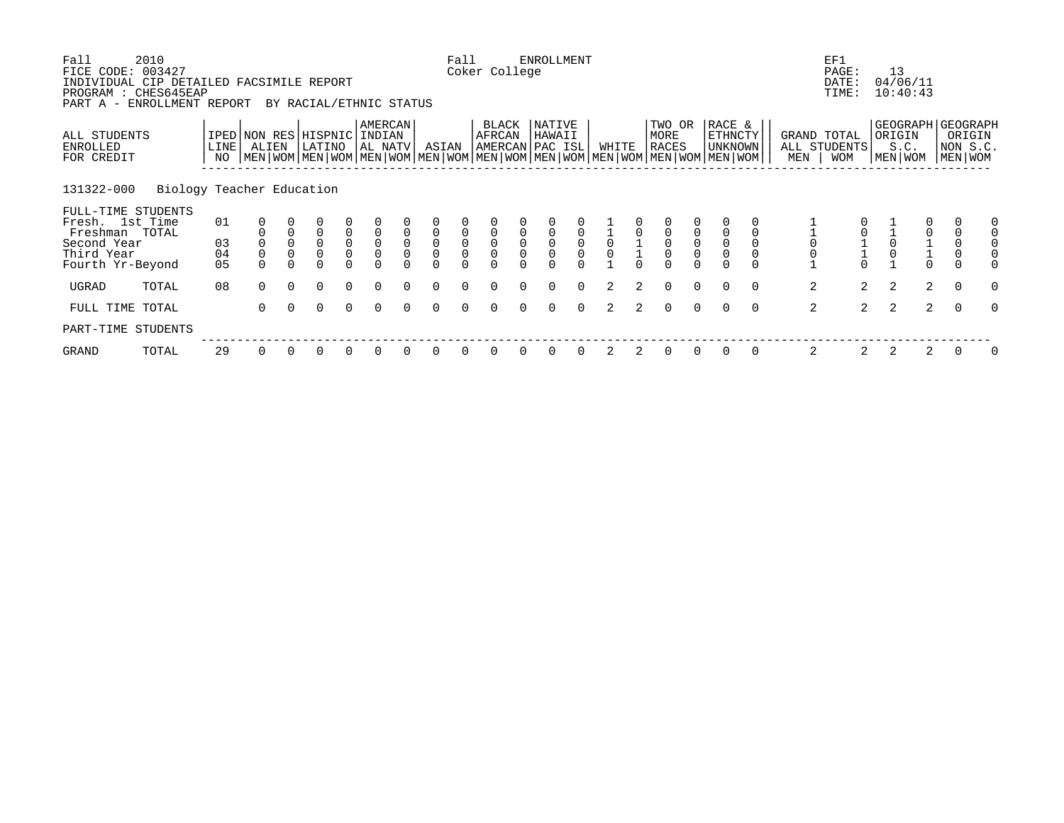| Fall<br>FICE CODE:                                                           | 2010<br>003427            |                            |                |                            |                                |                                           |                                       |                            |                                      | Fall                                      | Coker College       |            | <b>ENROLLMENT</b>                          |                                            |               |             |                                                                                                                                               |                                      |                                     |          |                    | EF1<br>PAGE:               |   | 13                        |                                              |                                                        |          |
|------------------------------------------------------------------------------|---------------------------|----------------------------|----------------|----------------------------|--------------------------------|-------------------------------------------|---------------------------------------|----------------------------|--------------------------------------|-------------------------------------------|---------------------|------------|--------------------------------------------|--------------------------------------------|---------------|-------------|-----------------------------------------------------------------------------------------------------------------------------------------------|--------------------------------------|-------------------------------------|----------|--------------------|----------------------------|---|---------------------------|----------------------------------------------|--------------------------------------------------------|----------|
| INDIVIDUAL CIP DETAILED FACSIMILE REPORT<br>PROGRAM : CHES645EAP<br>PART A - | ENROLLMENT REPORT         |                            |                |                            | BY RACIAL/ETHNIC STATUS        |                                           |                                       |                            |                                      |                                           |                     |            |                                            |                                            |               |             |                                                                                                                                               |                                      |                                     |          |                    | DATE:<br>TIME:             |   | 04/06/11<br>10:40:43      |                                              |                                                        |          |
| ALL STUDENTS<br>ENROLLED<br>FOR CREDIT                                       |                           | LINE <sup>[</sup><br>NO    | ALIEN          |                            | IPED NON RES HISPNIC<br>LATINO |                                           | <b>AMERCAN</b><br>INDIAN<br>  AL NATV |                            | ASIAN                                |                                           | BLACK<br>AFRCAN     |            | NATIVE<br>HAWAII<br> AMERCAN PAC ISL       |                                            | WHITE         |             | TWO OR<br>MORE<br><b>RACES</b><br>  MEN   WOM   MEN   WOM   MEN   WOM   MEN   WOM   MEN   WOM   MEN   WOM   MEN   WOM   MEN   WOM   MEN   WOM |                                      | RACE &<br>ETHNCTY<br><b>UNKNOWN</b> |          | GRAND TOTAL<br>MEN | ALL STUDENTS<br><b>WOM</b> |   | ORIGIN<br>S.C.<br>MEN WOM |                                              | GEOGRAPH GEOGRAPH<br>ORIGIN<br>NON S.C.<br>MEN WOM     |          |
| 131322-000                                                                   | Biology Teacher Education |                            |                |                            |                                |                                           |                                       |                            |                                      |                                           |                     |            |                                            |                                            |               |             |                                                                                                                                               |                                      |                                     |          |                    |                            |   |                           |                                              |                                                        |          |
| FULL-TIME STUDENTS<br>Fresh. 1st Time<br>Freshman TOTAL                      |                           | 01                         |                | $\mathbf 0$                | $\overline{0}$                 |                                           | $\overline{0}$                        | $\mathbf 0$                | $\mathsf 0$                          |                                           |                     |            |                                            |                                            |               |             | 0                                                                                                                                             |                                      |                                     |          |                    |                            |   |                           | $\mathsf{0}$                                 | $\mathbf 0$                                            |          |
| Second Year<br>Third Year<br>Fourth Yr-Beyond                                |                           | 03<br>04<br>0 <sub>5</sub> | $\overline{0}$ | $\mathsf 0$<br>$\mathbf 0$ | $\mathsf 0$<br>$\overline{0}$  | $\begin{matrix} 0 \\ 0 \\ 0 \end{matrix}$ | $\overline{0}$<br>0                   | $\mathsf 0$<br>$\mathsf 0$ | $\begin{matrix} 0 \\ 0 \end{matrix}$ | $\begin{matrix} 0 \\ 0 \\ 0 \end{matrix}$ | $\overline{0}$<br>0 | $_{0}^{0}$ | $\begin{smallmatrix}0\\0\end{smallmatrix}$ | $\begin{smallmatrix}0\\0\end{smallmatrix}$ | $\mathsf 0$   |             | $\overline{0}$                                                                                                                                | $\begin{matrix} 0 \\ 0 \end{matrix}$ | $\mathsf{O}$<br>$\mathsf{O}\xspace$ |          |                    |                            |   |                           | $\begin{array}{c}\n1 \\ 1 \\ 0\n\end{array}$ | $\begin{smallmatrix}0\\0\end{smallmatrix}$<br>$\Omega$ |          |
| UGRAD                                                                        | TOTAL                     | 08                         | $\Omega$       | $\Omega$                   | $\Omega$                       | $\Omega$                                  | $\Omega$                              | $\Omega$                   | $\Omega$                             | $\cap$                                    |                     |            | $\Omega$                                   | $\Omega$                                   | 2             | 2           | $\Omega$                                                                                                                                      | $\Omega$                             | $\Omega$                            | $\Omega$ | 2                  | $\overline{2}$             |   | 2                         | 2                                            | $\overline{0}$                                         | $\Omega$ |
| FULL TIME TOTAL                                                              |                           |                            | $\Omega$       | $\Omega$                   | $\Omega$                       | $\Omega$                                  | $\Omega$                              |                            | $\Omega$                             | $\cap$                                    |                     |            | $\Omega$                                   | $\Omega$                                   | $\mathcal{L}$ | $2^{\circ}$ | $\Omega$                                                                                                                                      | $\Omega$                             | $\Omega$                            | $\Omega$ | 2                  | $\overline{2}$             | 2 |                           | $\overline{2}$                               | $\Omega$                                               | O        |
| PART-TIME STUDENTS                                                           |                           |                            |                |                            |                                |                                           |                                       |                            |                                      |                                           |                     |            |                                            |                                            |               |             |                                                                                                                                               |                                      |                                     |          |                    |                            |   |                           |                                              |                                                        |          |
| GRAND                                                                        | TOTAL                     | 29                         | 0              |                            | 0                              | 0                                         |                                       |                            |                                      |                                           |                     |            |                                            |                                            | 2             | 2           | 0                                                                                                                                             | 0                                    | 0                                   | 0        | 2                  | 2                          | 2 |                           | 2                                            | 0                                                      | 0        |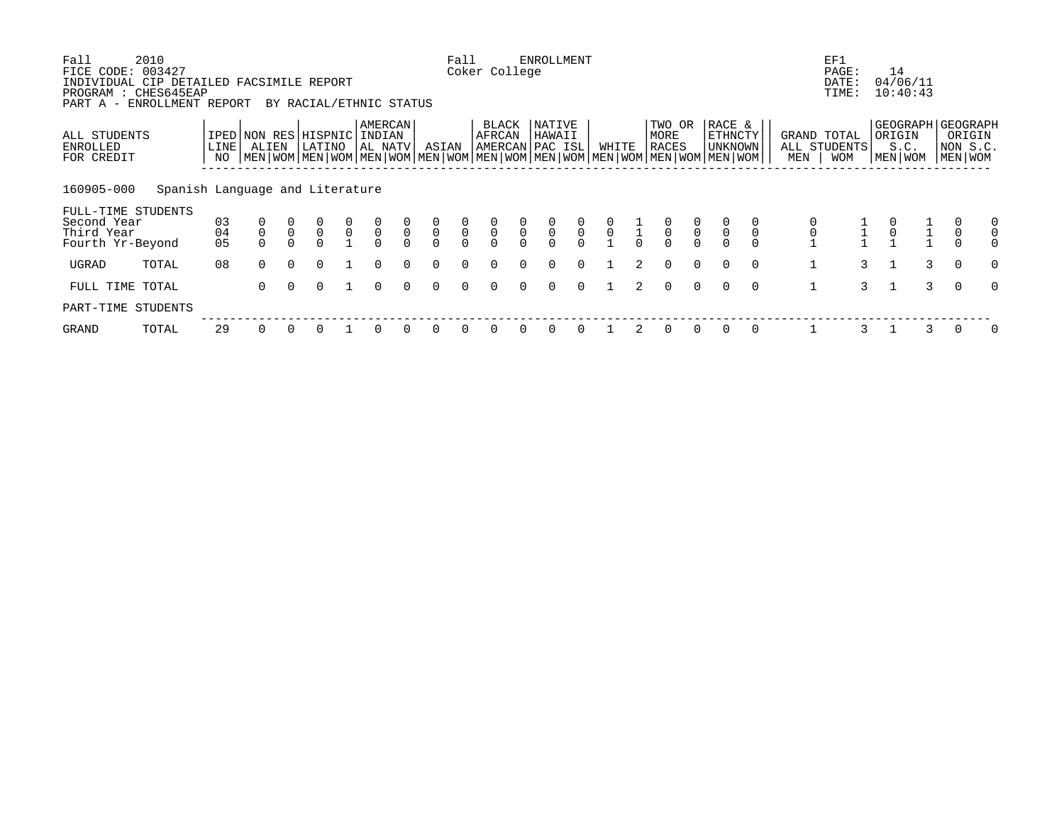| Fall<br>FICE CODE:                                                                             | 2010<br>003427                  |              |                                      |               |                                       |                                           |                                           |                         |                                           | Fall                                      | Coker College                       |                                           | ENROLLMENT                                |                                           |                                           |               |                                           |                                           |                                                                                                                                             |             |             | EF1<br>PAGE:                              | 14                                   |                      |                |                                                    |
|------------------------------------------------------------------------------------------------|---------------------------------|--------------|--------------------------------------|---------------|---------------------------------------|-------------------------------------------|-------------------------------------------|-------------------------|-------------------------------------------|-------------------------------------------|-------------------------------------|-------------------------------------------|-------------------------------------------|-------------------------------------------|-------------------------------------------|---------------|-------------------------------------------|-------------------------------------------|---------------------------------------------------------------------------------------------------------------------------------------------|-------------|-------------|-------------------------------------------|--------------------------------------|----------------------|----------------|----------------------------------------------------|
| INDIVIDUAL CIP DETAILED FACSIMILE REPORT<br>PROGRAM : CHES645EAP<br>PART A - ENROLLMENT REPORT |                                 |              |                                      |               | BY RACIAL/ETHNIC STATUS               |                                           |                                           |                         |                                           |                                           |                                     |                                           |                                           |                                           |                                           |               |                                           |                                           |                                                                                                                                             |             |             | DATE:<br>TIME:                            |                                      | 04/06/11<br>10:40:43 |                |                                                    |
| ALL STUDENTS<br>ENROLLED<br>FOR CREDIT                                                         |                                 | LINE  <br>NO | ALIEN                                |               | IPED NON RES HISPNIC INDIAN<br>LATINO |                                           | AMERCAN<br>  AL NATV                      |                         | ASIAN                                     |                                           | BLACK<br>AFRCAN<br> AMERCAN PAC ISL |                                           | NATIVE<br>HAWAII                          |                                           | WHITE                                     |               | TWO OR<br>MORE<br>RACES                   |                                           | RACE &<br>ETHNCTY<br>UNKNOWN<br>  MEN   WOM   MEN   WOM   MEN   WOM   MEN   WOM   MEN   WOM   MEN   WOM   MEN   WOM   MEN   WOM   MEN   WOM |             | MEN         | GRAND TOTAL<br>ALL STUDENTS<br><b>WOM</b> | ORIGIN                               | S.C.<br>MEN   WOM    |                | GEOGRAPH GEOGRAPH<br>ORIGIN<br>NON S.C.<br>MEN WOM |
| 160905-000                                                                                     | Spanish Language and Literature |              |                                      |               |                                       |                                           |                                           |                         |                                           |                                           |                                     |                                           |                                           |                                           |                                           |               |                                           |                                           |                                                                                                                                             |             |             |                                           |                                      |                      |                |                                                    |
| FULL-TIME STUDENTS<br>Second Year<br>Third Year                                                |                                 | 03<br>04     | $\begin{matrix} 0 \\ 0 \end{matrix}$ | $\frac{0}{0}$ | $\begin{matrix} 0 \\ 0 \end{matrix}$  | $\begin{matrix} 0 \\ 0 \\ 1 \end{matrix}$ | $\begin{matrix} 0 \\ 0 \\ 0 \end{matrix}$ | $\frac{0}{0}$<br>$\cap$ | $\begin{matrix} 0 \\ 0 \\ 0 \end{matrix}$ | $\begin{matrix} 0 \\ 0 \\ 0 \end{matrix}$ | $\frac{0}{0}$                       | $\begin{matrix} 0 \\ 0 \\ 0 \end{matrix}$ | $\begin{matrix} 0 \\ 0 \\ 0 \end{matrix}$ | $\begin{matrix} 0 \\ 0 \\ 0 \end{matrix}$ | $\begin{matrix} 0 \\ 0 \\ 1 \end{matrix}$ | $\frac{1}{1}$ | $\begin{matrix} 0 \\ 0 \\ 0 \end{matrix}$ | $\begin{matrix} 0 \\ 0 \\ 0 \end{matrix}$ | $\overline{0}$                                                                                                                              | $\mathsf 0$ |             |                                           | $\begin{matrix} 0 \\ 0 \end{matrix}$ |                      |                |                                                    |
| Fourth Yr-Beyond<br>UGRAD                                                                      | TOTAL                           | 05<br>08     | $\Omega$                             | $\Omega$      | $\Omega$                              |                                           | $\Omega$                                  | $\cap$                  | $\Omega$                                  | $\cap$                                    |                                     |                                           | $\Omega$                                  | $\Omega$                                  |                                           | $2^{1}$       | $\Omega$                                  | $\Omega$                                  | $\Omega$                                                                                                                                    | $\Omega$    | 1           | $\mathbf{3}$                              | <sup>1</sup>                         | 3                    | $\Omega$       | O                                                  |
| FULL TIME TOTAL                                                                                |                                 |              | $\Omega$                             | $\Omega$      | $\Omega$                              |                                           | $\Omega$                                  | $\Omega$                | $\Omega$                                  |                                           |                                     | $\Omega$                                  | $\Omega$                                  | $\Omega$                                  |                                           | 2             | $\Omega$                                  | $\Omega$                                  | $\Omega$                                                                                                                                    | $\Omega$    | $\mathbf 1$ | 3                                         |                                      | 3                    | $\overline{0}$ | $\Omega$                                           |
| PART-TIME STUDENTS                                                                             |                                 |              |                                      |               |                                       |                                           |                                           |                         |                                           |                                           |                                     |                                           |                                           |                                           |                                           |               |                                           |                                           |                                                                                                                                             |             |             |                                           |                                      |                      |                |                                                    |
| GRAND                                                                                          | TOTAL                           | 29           |                                      |               |                                       |                                           |                                           |                         |                                           |                                           |                                     |                                           |                                           |                                           |                                           |               | $\Omega$                                  | $\Omega$                                  |                                                                                                                                             | $\Omega$    |             |                                           |                                      |                      |                | 0                                                  |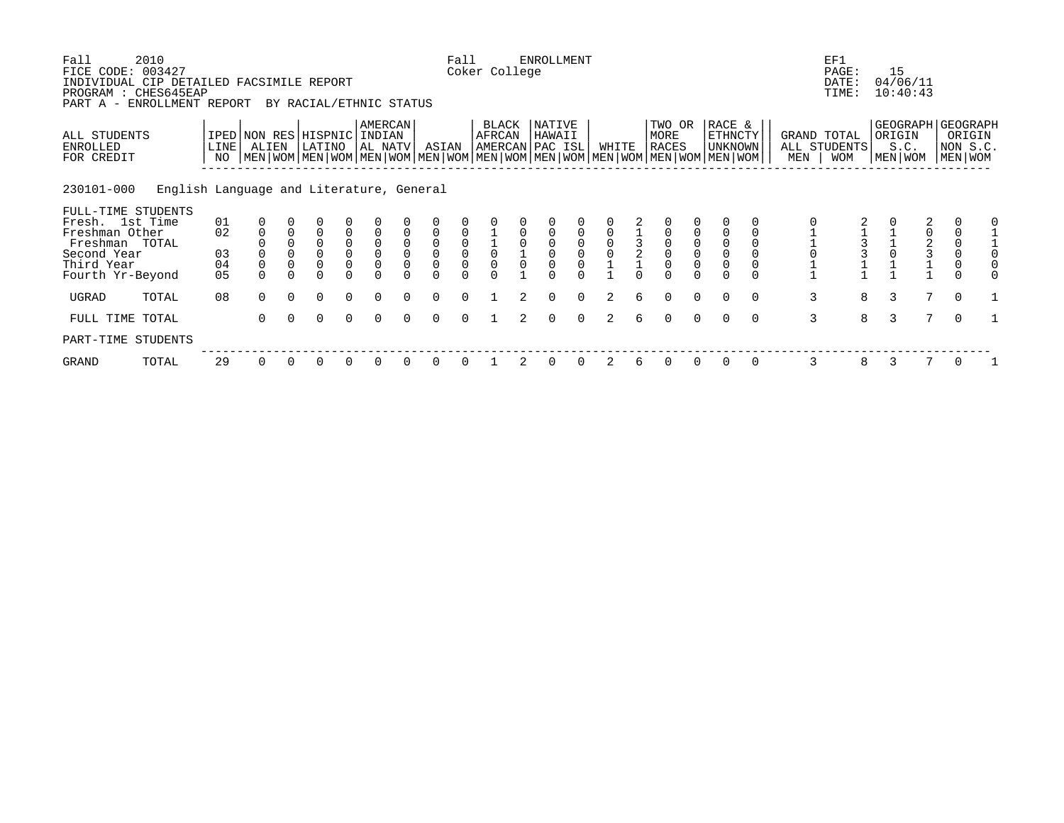| Fall<br>FICE CODE: 003427                                                                      | 2010                                     |            |                |          |                                                                                                                                                      |                                      |                                            |                |                                            | Fall                                       | Coker College                       |   | <b>ENROLLMENT</b> |          |                |               |                                |          |                                     |          |                | EF1<br>PAGE:                       |   | 15                        |   |                                                    |  |
|------------------------------------------------------------------------------------------------|------------------------------------------|------------|----------------|----------|------------------------------------------------------------------------------------------------------------------------------------------------------|--------------------------------------|--------------------------------------------|----------------|--------------------------------------------|--------------------------------------------|-------------------------------------|---|-------------------|----------|----------------|---------------|--------------------------------|----------|-------------------------------------|----------|----------------|------------------------------------|---|---------------------------|---|----------------------------------------------------|--|
| INDIVIDUAL CIP DETAILED FACSIMILE REPORT<br>PROGRAM : CHES645EAP<br>PART A - ENROLLMENT REPORT |                                          |            |                |          | BY RACIAL/ETHNIC STATUS                                                                                                                              |                                      |                                            |                |                                            |                                            |                                     |   |                   |          |                |               |                                |          |                                     |          |                | DATE:<br>TIME:                     |   | 04/06/11<br>10:40:43      |   |                                                    |  |
| ALL STUDENTS<br>ENROLLED<br>FOR CREDIT                                                         |                                          | LINE<br>NO | ALIEN          |          | IPED NON RES HISPNIC INDIAN<br>LATINO<br>  MEN   WOM   MEN   WOM   MEN   WOM   MEN   WOM   MEN   WOM   MEN   WOM   MEN   WOM   MEN   WOM   MEN   WOM |                                      | <b>AMERCAN</b><br>AL NATV                  |                | ASIAN                                      |                                            | BLACK<br>AFRCAN<br> AMERCAN PAC ISL |   | NATIVE<br>HAWAII  |          | WHITE          |               | TWO OR<br>MORE<br><b>RACES</b> |          | RACE &<br>ETHNCTY<br><b>UNKNOWN</b> |          | MEN            | GRAND TOTAL<br>ALL STUDENTS<br>WOM |   | ORIGIN<br>S.C.<br>MEN WOM |   | GEOGRAPH GEOGRAPH<br>ORIGIN<br>NON S.C.<br>MEN WOM |  |
| 230101-000                                                                                     | English Language and Literature, General |            |                |          |                                                                                                                                                      |                                      |                                            |                |                                            |                                            |                                     |   |                   |          |                |               |                                |          |                                     |          |                |                                    |   |                           |   |                                                    |  |
| FULL-TIME STUDENTS<br>Fresh. 1st Time                                                          |                                          | 01         |                |          |                                                                                                                                                      |                                      |                                            |                |                                            |                                            |                                     |   |                   |          |                |               |                                |          |                                     |          |                |                                    |   |                           |   |                                                    |  |
| Freshman Other                                                                                 |                                          | 02         |                |          | $\Omega$                                                                                                                                             |                                      |                                            |                |                                            |                                            |                                     |   |                   |          |                |               |                                |          |                                     |          |                |                                    |   | 0                         |   |                                                    |  |
| Freshman TOTAL                                                                                 |                                          |            |                |          | $\Omega$                                                                                                                                             | $\begin{matrix} 0 \\ 0 \end{matrix}$ | $\begin{smallmatrix}0\\0\end{smallmatrix}$ | $\mathbf 0$    | $\begin{smallmatrix}0\\0\end{smallmatrix}$ | $\begin{smallmatrix}0\\0\end{smallmatrix}$ |                                     |   |                   |          |                | $\frac{3}{2}$ | $\overline{0}$                 |          |                                     |          |                |                                    |   |                           |   |                                                    |  |
| Second Year                                                                                    |                                          | 03         |                |          | $\Omega$                                                                                                                                             |                                      |                                            | $\overline{0}$ |                                            |                                            |                                     |   |                   |          |                |               |                                |          | $\overline{0}$                      |          |                |                                    |   |                           |   |                                                    |  |
| Third Year<br>Fourth Yr-Beyond                                                                 |                                          | 04<br>05   | $\overline{0}$ |          |                                                                                                                                                      |                                      | 0                                          |                |                                            |                                            |                                     |   |                   |          |                |               |                                |          | $\overline{0}$                      |          |                |                                    |   |                           |   | $\mathbf 0$                                        |  |
| UGRAD                                                                                          | TOTAL                                    | 08         | $\Omega$       | $\Omega$ | $\Omega$                                                                                                                                             | $\Omega$                             | $\Omega$                                   | $\cap$         | $\Omega$                                   | $\Omega$                                   |                                     | 2 | $\Omega$          | $\Omega$ | 2              | 6             | $\Omega$                       | $\Omega$ | $\Omega$                            | $\Omega$ | 3              | 8                                  | 3 |                           | 7 | $\overline{0}$                                     |  |
| FULL TIME TOTAL                                                                                |                                          |            | $\Omega$       | $\Omega$ | $\Omega$                                                                                                                                             | $\Omega$                             | $\Omega$                                   |                | $\Omega$                                   | $\cap$                                     |                                     |   | $\Omega$          | $\Omega$ | $\mathfrak{D}$ |               | $\Omega$                       | $\Omega$ |                                     | $\Omega$ | $\overline{3}$ | 8                                  | 3 |                           | 7 | $\Omega$                                           |  |
| PART-TIME STUDENTS                                                                             |                                          |            |                |          |                                                                                                                                                      |                                      |                                            |                |                                            |                                            |                                     |   |                   |          |                |               |                                |          |                                     |          |                |                                    |   |                           |   |                                                    |  |
| GRAND                                                                                          | TOTAL                                    | 29         | 0              |          | 0                                                                                                                                                    |                                      |                                            |                |                                            |                                            |                                     |   |                   |          | 2              | 6             |                                | 0        |                                     | 0        | 3              | 8                                  | 3 |                           |   |                                                    |  |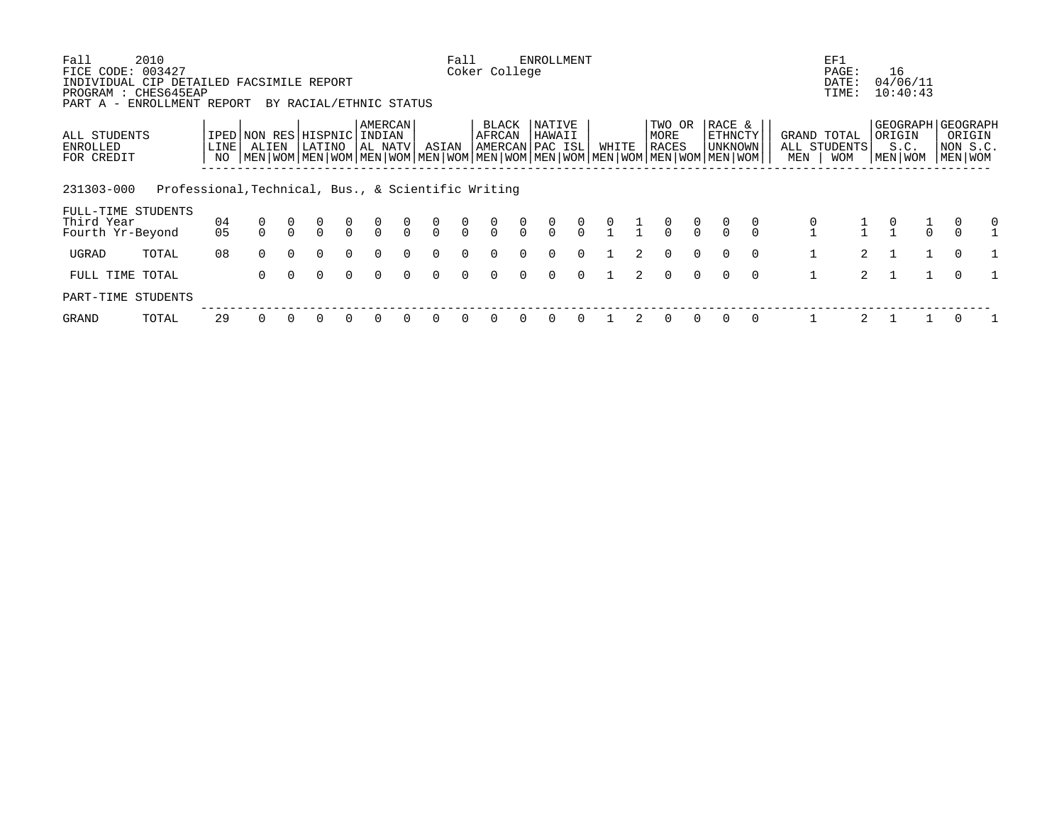| Fall<br>FICE CODE: 003427                                                                      | 2010                                                |            |                                                                                                                                                     |          |          |               |                         |                |                                  | Fall           | Coker College   |               | ENROLLMENT                          |                |       |                                              |                         |                |                              |          |     | EF1<br>PAGE:                       | 16                                               |                               |   |
|------------------------------------------------------------------------------------------------|-----------------------------------------------------|------------|-----------------------------------------------------------------------------------------------------------------------------------------------------|----------|----------|---------------|-------------------------|----------------|----------------------------------|----------------|-----------------|---------------|-------------------------------------|----------------|-------|----------------------------------------------|-------------------------|----------------|------------------------------|----------|-----|------------------------------------|--------------------------------------------------|-------------------------------|---|
| INDIVIDUAL CIP DETAILED FACSIMILE REPORT<br>PROGRAM : CHES645EAP<br>PART A - ENROLLMENT REPORT |                                                     |            |                                                                                                                                                     |          |          |               | BY RACIAL/ETHNIC STATUS |                |                                  |                |                 |               |                                     |                |       |                                              |                         |                |                              |          |     | DATE:<br>TIME:                     | 04/06/11<br>10:40:43                             |                               |   |
| ALL STUDENTS<br>ENROLLED<br>FOR CREDIT                                                         |                                                     | LINE<br>NO | IPED NON RES HISPNIC INDIAN<br>ALIEN<br>  MEN   WOM   MEN   WOM   MEN   WOM   MEN   WOM   MEN   WOM   MEN   WOM   MEN   WOM   MEN   WOM   MEN   WOM |          | LATINO   |               | AMERCAN<br>AL NATV      |                | ASIAN                            |                | BLACK<br>AFRCAN |               | NATIVE<br>HAWAII<br>AMERCAN PAC ISL |                | WHITE |                                              | TWO OR<br>MORE<br>RACES |                | RACE &<br>ETHNCTY<br>UNKNOWN |          | MEN | GRAND TOTAL<br>ALL STUDENTS<br>WOM | GEOGRAPH   GEOGRAPH<br>ORIGIN<br>S.C.<br>MEN WOM | ORIGIN<br>NON S.C.<br>MEN WOM |   |
| 231303-000                                                                                     | Professional, Technical, Bus., & Scientific Writing |            |                                                                                                                                                     |          |          |               |                         |                |                                  |                |                 |               |                                     |                |       |                                              |                         |                |                              |          |     |                                    |                                                  |                               |   |
| FULL-TIME STUDENTS<br>Third Year<br>Fourth Yr-Beyond                                           |                                                     | 04<br>05   |                                                                                                                                                     |          |          | $\frac{0}{0}$ | $\frac{0}{0}$           | $\int_{0}^{0}$ | $\begin{matrix}0\\0\end{matrix}$ | $\int_{0}^{0}$ | $\frac{0}{0}$   | $\frac{0}{0}$ | $\frac{0}{0}$                       | $\int_{0}^{0}$ |       | $\begin{matrix} 0 & 1 \\ 1 & 1 \end{matrix}$ | $\frac{0}{0}$           | $\int_{0}^{0}$ |                              |          |     |                                    |                                                  |                               | 0 |
| UGRAD                                                                                          | TOTAL                                               | 08         | $\Omega$                                                                                                                                            | $\Omega$ | $\Omega$ | $\Omega$      | $\Omega$                | $\Omega$       | $\Omega$                         | $\Omega$       | $\Omega$        | $\Omega$      | $\Omega$                            | $\Omega$       |       | 2                                            | $\Omega$                | $\Omega$       |                              | $\Omega$ |     | $\overline{2}$                     |                                                  | $\Omega$                      |   |
| FULL TIME TOTAL                                                                                |                                                     |            | $\Omega$                                                                                                                                            | $\Omega$ | $\Omega$ | $\Omega$      | $\Omega$                | $\Omega$       | $\Omega$                         | $\Omega$       | $\Omega$        | $\Omega$      | $\Omega$                            | $\Omega$       |       | $2^{\circ}$                                  | $\Omega$                | $\cap$         |                              | $\Omega$ |     | $\overline{2}$                     |                                                  |                               |   |
| PART-TIME STUDENTS                                                                             |                                                     |            |                                                                                                                                                     |          |          |               |                         |                |                                  |                |                 |               |                                     |                |       |                                              |                         |                |                              |          |     |                                    |                                                  |                               |   |
| GRAND                                                                                          | TOTAL                                               | 29         |                                                                                                                                                     |          |          |               | $\Omega$                |                | 0                                | $\Omega$       | O               |               | $\Omega$                            | $\Omega$       |       |                                              |                         |                |                              |          |     |                                    |                                                  |                               |   |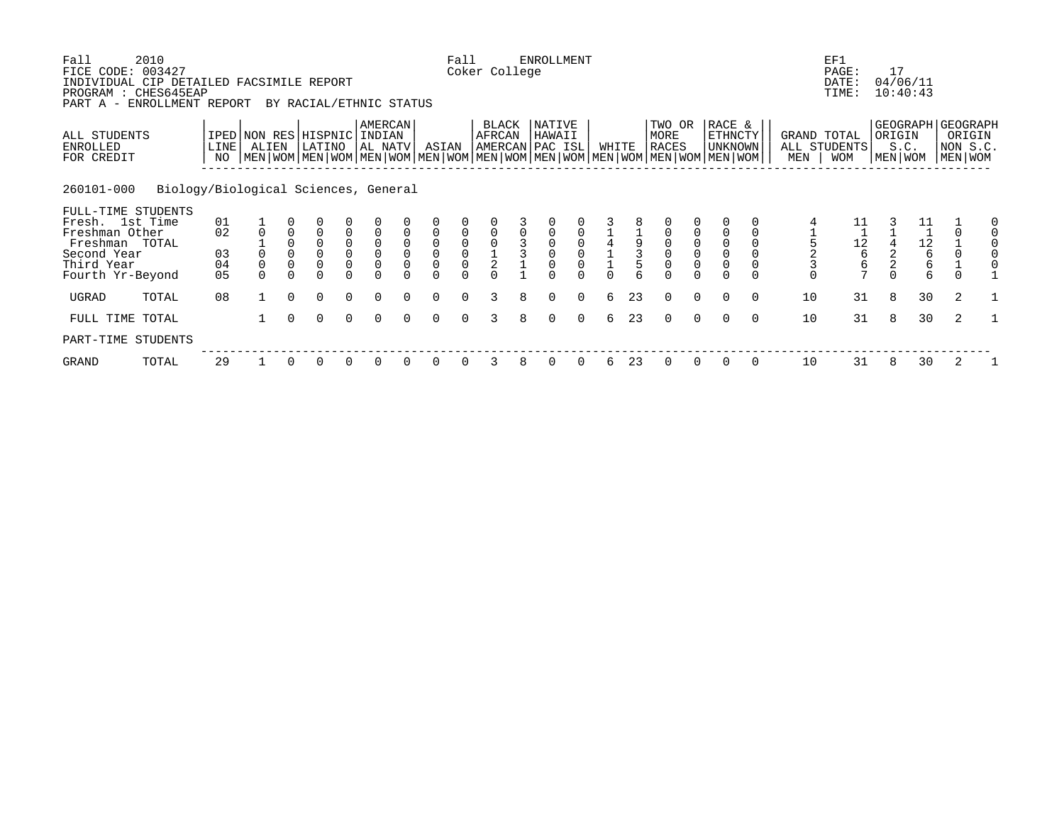| Fall<br>FICE CODE: 003427                                                                                                  | 2010                                 |                            |                                                                                                                                              |          |                            |                                                               |                                       |                              |                                        | Fall     | Coker College          |   | <b>ENROLLMENT</b>                   |          |       |    |                         |             |                                     |          |                              | EF1<br>PAGE:                                               | 17             |                                                        |                     |        |
|----------------------------------------------------------------------------------------------------------------------------|--------------------------------------|----------------------------|----------------------------------------------------------------------------------------------------------------------------------------------|----------|----------------------------|---------------------------------------------------------------|---------------------------------------|------------------------------|----------------------------------------|----------|------------------------|---|-------------------------------------|----------|-------|----|-------------------------|-------------|-------------------------------------|----------|------------------------------|------------------------------------------------------------|----------------|--------------------------------------------------------|---------------------|--------|
| INDIVIDUAL CIP DETAILED FACSIMILE REPORT<br>PROGRAM : CHES645EAP<br>PART A -                                               | ENROLLMENT REPORT                    |                            |                                                                                                                                              |          | BY RACIAL/ETHNIC STATUS    |                                                               |                                       |                              |                                        |          |                        |   |                                     |          |       |    |                         |             |                                     |          |                              | DATE:<br>TIME:                                             |                | 04/06/11<br>10:40:43                                   |                     |        |
| ALL STUDENTS<br>ENROLLED<br>FOR CREDIT                                                                                     |                                      | LINE<br>NO                 | IPED NON RES HISPNIC<br>ALIEN<br>  MEN   WOM   MEN   WOM   MEN   WOM   MEN   WOM   MEN   WOM   MEN   WOM   MEN   WOM   MEN   WOM   MEN   WOM |          | LATINO                     |                                                               | <b>AMERCAN</b><br>INDIAN<br>  AL NATV |                              | ASIAN                                  |          | <b>BLACK</b><br>AFRCAN |   | NATIVE<br>HAWAII<br>AMERCAN PAC ISL |          | WHITE |    | TWO OR<br>MORE<br>RACES |             | RACE &<br>ETHNCTY<br><b>UNKNOWN</b> |          | GRAND TOTAL<br>MEN           | ALL STUDENTS<br><b>WOM</b>                                 | ORIGIN         | GEOGRAPH GEOGRAPH<br>S.C.<br>MEN WOM                   | NON S.C.<br>MEN WOM | ORIGIN |
| 260101-000                                                                                                                 | Biology/Biological Sciences, General |                            |                                                                                                                                              |          |                            |                                                               |                                       |                              |                                        |          |                        |   |                                     |          |       |    |                         |             |                                     |          |                              |                                                            |                |                                                        |                     |        |
| FULL-TIME STUDENTS<br>Fresh. 1st Time<br>Freshman Other<br>Freshman TOTAL<br>Second Year<br>Third Year<br>Fourth Yr-Beyond |                                      | 01<br>02<br>03<br>04<br>05 | $\overline{0}$                                                                                                                               | $\Omega$ | $\overline{0}$<br>$\Omega$ | $\begin{smallmatrix}0\0\0\end{smallmatrix}$<br>$\overline{0}$ | $\Omega$                              | 0<br>$\mathbf 0$<br>$\Omega$ | $\mathsf 0$<br>$\mathbf 0$<br>$\Omega$ |          | $\frac{1}{2}$          |   |                                     |          |       | 3  | $\overline{0}$          | $\mathbf 0$ | $\mathsf 0$<br>$\mathbf 0$          |          | $\frac{5}{2}$<br>$\mathbf 0$ | 11<br>$\begin{array}{c} 12 \\ 6 \end{array}$<br>$\epsilon$ | $\overline{2}$ | 11<br>$\begin{array}{c} 12 \\ 6 \end{array}$<br>6<br>б | $\Omega$            |        |
| UGRAD                                                                                                                      | TOTAL                                | 08                         |                                                                                                                                              | $\Omega$ | $\Omega$                   | $\Omega$                                                      | $\Omega$                              | $\Omega$                     | $\Omega$                               | $\Omega$ | 3                      | 8 | $\Omega$                            | $\Omega$ | 6     | 23 | $\Omega$                | $\Omega$    | $\Omega$                            | $\Omega$ | 10                           | 31                                                         | 8              | 30                                                     | 2                   |        |
| FULL TIME TOTAL                                                                                                            |                                      |                            |                                                                                                                                              | $\Omega$ | $\Omega$                   | $\Omega$                                                      | $\Omega$                              | $\Omega$                     | $\Omega$                               | $\Omega$ | 3                      | 8 | $\Omega$                            | $\Omega$ | 6     | 23 | $\Omega$                | $\Omega$    | $\Omega$                            | $\Omega$ | 10                           | 31                                                         | 8              | 30                                                     | 2                   |        |
| PART-TIME STUDENTS                                                                                                         |                                      |                            |                                                                                                                                              |          |                            |                                                               |                                       |                              |                                        |          |                        |   |                                     |          |       |    |                         |             |                                     |          |                              |                                                            |                |                                                        |                     |        |
| GRAND                                                                                                                      | TOTAL                                | 29                         |                                                                                                                                              |          | O                          | 0                                                             |                                       |                              |                                        |          | 3                      | 8 |                                     |          | 6     | 23 | $\Omega$                | $\Omega$    | $\Omega$                            | 0        | 10                           | 31                                                         | 8              | 30                                                     | 2                   |        |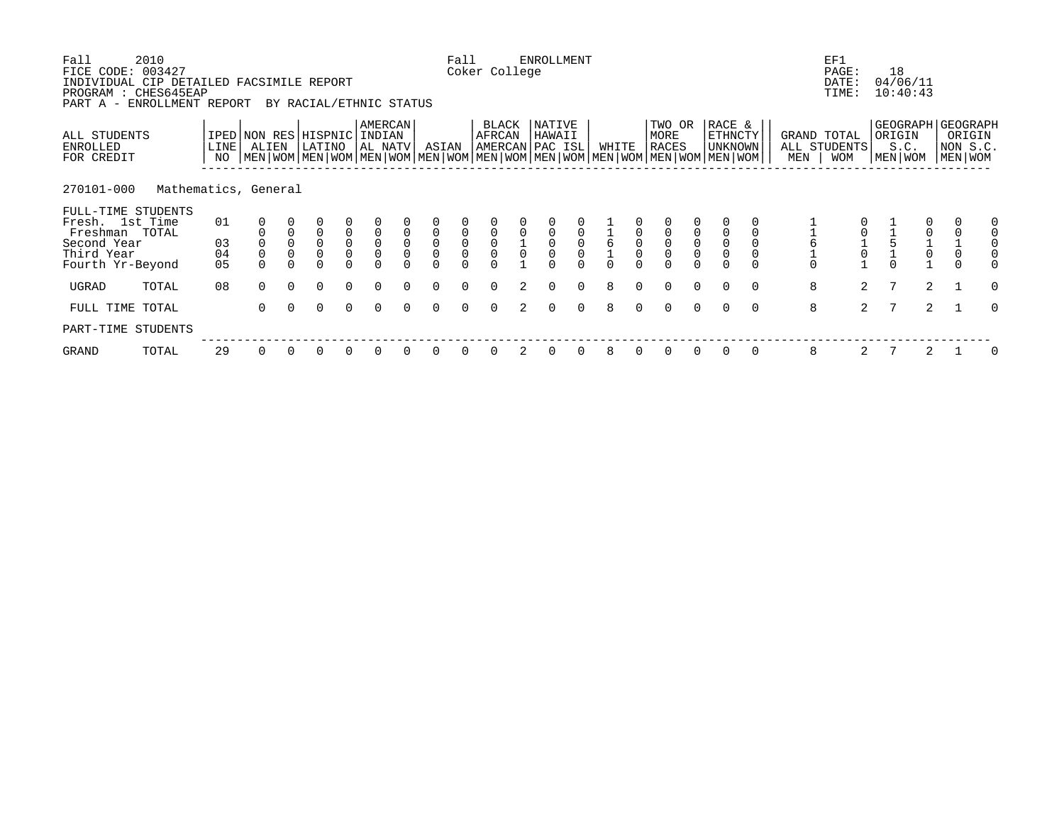| Fall<br>FICE CODE:                                                                             | 2010<br>003427       |                |             |              |                                 |                                           |                                       |                  |                                                        | Fall                                      | Coker College       |               | <b>ENROLLMENT</b>                    |                                           |              |                  |                                                                                                                                               |                                      |                                     |          |                    | EF1<br>PAGE:               |   | 18                                   |                                                           |          |
|------------------------------------------------------------------------------------------------|----------------------|----------------|-------------|--------------|---------------------------------|-------------------------------------------|---------------------------------------|------------------|--------------------------------------------------------|-------------------------------------------|---------------------|---------------|--------------------------------------|-------------------------------------------|--------------|------------------|-----------------------------------------------------------------------------------------------------------------------------------------------|--------------------------------------|-------------------------------------|----------|--------------------|----------------------------|---|--------------------------------------|-----------------------------------------------------------|----------|
| INDIVIDUAL CIP DETAILED FACSIMILE REPORT<br>PROGRAM : CHES645EAP<br>PART A - ENROLLMENT REPORT |                      |                |             |              | BY RACIAL/ETHNIC STATUS         |                                           |                                       |                  |                                                        |                                           |                     |               |                                      |                                           |              |                  |                                                                                                                                               |                                      |                                     |          |                    | DATE:<br>TIME:             |   | 04/06/11<br>10:40:43                 |                                                           |          |
| ALL STUDENTS<br>ENROLLED<br>FOR CREDIT                                                         |                      | LINE  <br>NO   | ALIEN       |              | IPED NON RES HISPNIC<br> LATINO |                                           | <b>AMERCAN</b><br>INDIAN<br>  AL NATV |                  | ASIAN                                                  |                                           | BLACK<br>AFRCAN     |               | NATIVE<br>HAWAII<br> AMERCAN PAC ISL |                                           | WHITE        |                  | TWO OR<br>MORE<br><b>RACES</b><br>  MEN   WOM   MEN   WOM   MEN   WOM   MEN   WOM   MEN   WOM   MEN   WOM   MEN   WOM   MEN   WOM   MEN   WOM |                                      | RACE &<br><b>ETHNCTY</b><br>UNKNOWN |          | GRAND TOTAL<br>MEN | ALL STUDENTS<br><b>WOM</b> |   | ORIGIN<br>S.C.<br>  MEN   WOM        | <b>GEOGRAPH GEOGRAPH</b><br>ORIGIN<br>NON S.C.<br>MEN WOM |          |
| 270101-000                                                                                     | Mathematics, General |                |             |              |                                 |                                           |                                       |                  |                                                        |                                           |                     |               |                                      |                                           |              |                  |                                                                                                                                               |                                      |                                     |          |                    |                            |   |                                      |                                                           |          |
| FULL-TIME STUDENTS<br>Fresh. 1st Time<br>Freshman TOTAL                                        |                      | 01             |             |              | $\overline{0}$                  |                                           |                                       |                  |                                                        |                                           |                     |               |                                      |                                           |              |                  | 0                                                                                                                                             |                                      |                                     |          |                    |                            |   | $\mathsf{O}\xspace$                  | $\mathbf 0$                                               |          |
| Second Year<br>Third Year<br>Fourth Yr-Beyond                                                  |                      | 03<br>04<br>05 | $\mathsf 0$ | $\mathsf{O}$ | $\mathbf 0$<br>$\mathbf 0$      | $\begin{matrix} 0 \\ 0 \\ 0 \end{matrix}$ | $\overline{0}$<br>0<br>$\overline{0}$ | $\mathbf 0$<br>0 | $\begin{matrix} 0 \\ 0 \end{matrix}$<br>$\overline{0}$ | $\begin{matrix} 0 \\ 0 \\ 0 \end{matrix}$ | $\overline{0}$<br>0 |               | $\mathsf 0$<br>$\overline{0}$        | $\begin{matrix} 0 \\ 0 \\ 0 \end{matrix}$ |              | $\mathsf 0$<br>0 | $\mathsf{O}\xspace$<br>$\overline{0}$                                                                                                         | $\begin{matrix} 0 \\ 0 \end{matrix}$ | $\mathbf 0$                         |          | $\frac{1}{0}$      | $\frac{1}{0}$              |   | $\begin{matrix} 1 \\ 0 \end{matrix}$ | $\mathsf 0$<br>$\Omega$                                   |          |
| UGRAD                                                                                          | TOTAL                | 08             | $\Omega$    | $\Omega$     | $\Omega$                        | $\Omega$                                  | $\Omega$                              | $\Omega$         | $\Omega$                                               | $\Omega$                                  |                     | 2             | $\Omega$                             | $\Omega$                                  | 8            | 0                | $\Omega$                                                                                                                                      | $\Omega$                             | $\Omega$                            | $\Omega$ | 8                  | $\overline{2}$             | 7 | $\overline{2}$                       |                                                           | 0        |
| FULL TIME TOTAL                                                                                |                      |                | $\Omega$    | $\Omega$     | $\Omega$                        | $\Omega$                                  | $\Omega$                              |                  | $\Omega$                                               | $\cap$                                    |                     | $\mathcal{L}$ | $\Omega$                             | $\Omega$                                  | $\mathsf{R}$ | $\Omega$         | $\Omega$                                                                                                                                      | $\Omega$                             | $\Omega$                            | $\Omega$ | 8                  | 2                          | 7 | $\mathcal{L}$                        |                                                           | $\Omega$ |
| PART-TIME STUDENTS                                                                             |                      |                |             |              |                                 |                                           |                                       |                  |                                                        |                                           |                     |               |                                      |                                           |              |                  |                                                                                                                                               |                                      |                                     |          |                    |                            |   |                                      |                                                           |          |
| GRAND                                                                                          | TOTAL                | 29             | 0           |              | 0                               | 0                                         |                                       |                  | 0                                                      |                                           |                     | 2             | 0                                    |                                           | 8            |                  | 0                                                                                                                                             | 0                                    | 0                                   | 0        | 8                  | 2                          |   | 2                                    |                                                           | 0        |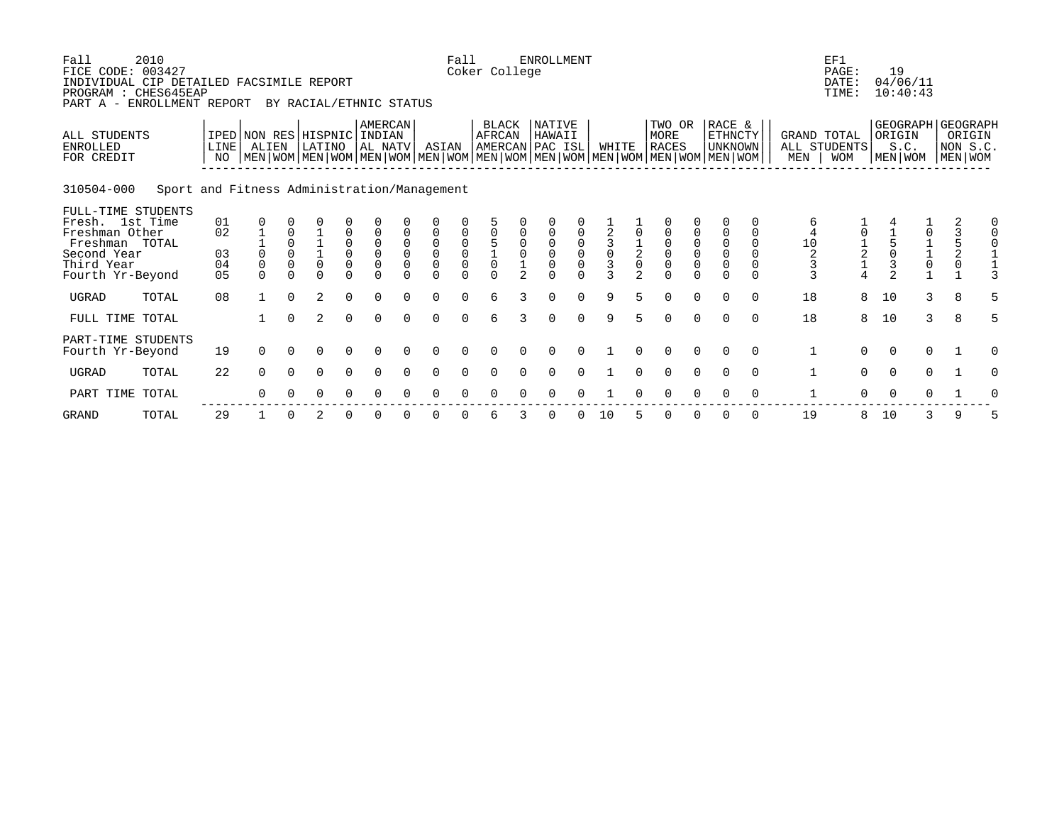| Fall<br>FICE CODE: 003427<br>INDIVIDUAL CIP DETAILED FACSIMILE REPORT<br>PROGRAM : CHES645EAP<br>PART A -                  | 2010<br>ENROLLMENT REPORT                   |                                        |                                                                                                                                                     |                                                 | BY RACIAL/ETHNIC STATUS |                                                                   |                                           |                                   |                                                                                       | Fall                          | Coker College                             |                | <b>ENROLLMENT</b>  |                               |                                               |                                             |                                                        |                                                                         |                                                                      |                                            |                                            | EF1<br>PAGE:<br>DATE:<br>TIME:  | 19                  | 04/06/11<br>10:40:43                                         |                                                                   |                                                    |
|----------------------------------------------------------------------------------------------------------------------------|---------------------------------------------|----------------------------------------|-----------------------------------------------------------------------------------------------------------------------------------------------------|-------------------------------------------------|-------------------------|-------------------------------------------------------------------|-------------------------------------------|-----------------------------------|---------------------------------------------------------------------------------------|-------------------------------|-------------------------------------------|----------------|--------------------|-------------------------------|-----------------------------------------------|---------------------------------------------|--------------------------------------------------------|-------------------------------------------------------------------------|----------------------------------------------------------------------|--------------------------------------------|--------------------------------------------|---------------------------------|---------------------|--------------------------------------------------------------|-------------------------------------------------------------------|----------------------------------------------------|
| <b>ALL STUDENTS</b><br><b>ENROLLED</b><br>FOR CREDIT                                                                       |                                             | LINE <sup>[</sup><br>NO                | IPED NON RES HISPNIC INDIAN<br>ALIEN<br>  MEN   WOM   MEN   WOM   MEN   WOM   MEN   WOM   MEN   WOM   MEN   WOM   MEN   WOM   MEN   WOM   MEN   WOM |                                                 | LATINO                  |                                                                   | AMERCAN<br>AL NATV                        |                                   | ASIAN                                                                                 |                               | <b>BLACK</b><br>AFRCAN<br>AMERCAN PAC ISL |                | NATIVE<br>HAWAII   |                               | WHITE                                         |                                             | TWO OR<br>MORE<br><b>RACES</b>                         |                                                                         | RACE &<br>ETHNCTY<br>UNKNOWN                                         |                                            | GRAND TOTAL<br>MEN                         | ALL STUDENTS<br><b>WOM</b>      | ORIGIN              | S.C.<br>MEN   WOM                                            |                                                                   | GEOGRAPH GEOGRAPH<br>ORIGIN<br>NON S.C.<br>MEN WOM |
| 310504-000                                                                                                                 | Sport and Fitness Administration/Management |                                        |                                                                                                                                                     |                                                 |                         |                                                                   |                                           |                                   |                                                                                       |                               |                                           |                |                    |                               |                                               |                                             |                                                        |                                                                         |                                                                      |                                            |                                            |                                 |                     |                                                              |                                                                   |                                                    |
| FULL-TIME STUDENTS<br>Fresh. 1st Time<br>Freshman Other<br>Freshman TOTAL<br>Second Year<br>Third Year<br>Fourth Yr-Beyond |                                             | 01<br>02<br>03<br>04<br>0 <sub>5</sub> | $\Omega$<br>$\Omega$<br>$\Omega$                                                                                                                    | $\mathbf 0$<br>$\Omega$<br>$\Omega$<br>$\Omega$ | $\Omega$<br>$\Omega$    | 0<br>$\begin{smallmatrix}0\0\0\end{smallmatrix}$<br>0<br>$\Omega$ | $\mathbf 0$<br>$\overline{0}$<br>$\Omega$ | $\mathbf 0$<br>$\Omega$<br>$\cap$ | $\mathsf 0$<br>$\mathsf{O}\xspace$<br>$\mathsf{O}\xspace$<br>$\overline{0}$<br>$\cap$ | $\mathsf{O}\xspace$<br>$\cap$ | $\Omega$                                  | $\mathfrak{D}$ | $\Omega$<br>$\cap$ | $\mathsf{O}\xspace$<br>$\cap$ | $\mathsf 0$<br>$\overline{3}$<br>$\mathbf{3}$ | $\frac{1}{2}$<br>$\Omega$<br>$\mathfrak{D}$ | 0<br>$\overline{0}$<br>$\mathsf{O}\xspace$<br>$\Omega$ | $\begin{matrix} 0 \\ 0 \end{matrix}$<br>$\mathsf{O}\xspace$<br>$\Omega$ | $\mathbf 0$<br>$\mathbf 0$<br>$\mathbf 0$<br>$\mathsf 0$<br>$\Omega$ | 0<br>0<br>$\Omega$<br>$\Omega$<br>$\Omega$ | 6<br>$\overline{4}$<br>$10$<br>2<br>3<br>3 | $\frac{1}{2}$<br>$\overline{4}$ | 3<br>$\overline{2}$ | $\begin{array}{c} 1 \\ 1 \\ 0 \end{array}$<br>$\overline{1}$ | $\begin{array}{c} 3 \\ 5 \\ 2 \end{array}$<br>$\mathsf{O}\xspace$ |                                                    |
| <b>UGRAD</b>                                                                                                               | TOTAL                                       | 08                                     |                                                                                                                                                     | $\Omega$                                        | $\overline{2}$          | $\Omega$                                                          | $\Omega$                                  |                                   | $\Omega$                                                                              |                               | 6                                         | ς              | $\Omega$           |                               | 9                                             |                                             | $\Omega$                                               | $\Omega$                                                                | $\Omega$                                                             | $\Omega$                                   | 18                                         | 8                               | 10                  | 3                                                            | 8                                                                 |                                                    |
| FULL TIME TOTAL                                                                                                            |                                             |                                        |                                                                                                                                                     | $\Omega$                                        | $\overline{2}$          | $\Omega$                                                          | $\Omega$                                  | $\Omega$                          | $\Omega$                                                                              | $\Omega$                      | 6                                         | 3              | $\Omega$           | $\Omega$                      | 9                                             | 5                                           | $\Omega$                                               | $\Omega$                                                                | $\Omega$                                                             | $\Omega$                                   | 18                                         | 8                               | 10                  | 3                                                            | 8                                                                 | 5                                                  |
| PART-TIME STUDENTS<br>Fourth Yr-Beyond                                                                                     |                                             | 19                                     | $\Omega$                                                                                                                                            | $\Omega$                                        | $\Omega$                | $\Omega$                                                          | $\Omega$                                  | $\Omega$                          | $\Omega$                                                                              | $\Omega$                      | $\Omega$                                  |                | $\Omega$           | $\Omega$                      |                                               | $\Omega$                                    | $\Omega$                                               | $\Omega$                                                                | $\Omega$                                                             | $\Omega$                                   | 1                                          | $\Omega$                        | $\Omega$            | $\mathbf 0$                                                  |                                                                   | $\Omega$                                           |
| <b>UGRAD</b>                                                                                                               | TOTAL                                       | 22                                     | $\Omega$                                                                                                                                            | $\Omega$                                        | $\Omega$                | $\Omega$                                                          | $\Omega$                                  | $\Omega$                          | $\Omega$                                                                              | $\Omega$                      |                                           |                |                    |                               |                                               |                                             | $\Omega$                                               | $\Omega$                                                                | $\Omega$                                                             | $\Omega$                                   | $\mathbf{1}$                               | $\Omega$                        | $\Omega$            | $\mathbf 0$                                                  |                                                                   | O                                                  |
| PART TIME                                                                                                                  | TOTAL                                       |                                        | $\Omega$                                                                                                                                            |                                                 | 0                       | 0                                                                 | 0                                         |                                   |                                                                                       |                               |                                           |                |                    |                               |                                               |                                             |                                                        |                                                                         |                                                                      | $\Omega$                                   |                                            | $\Omega$                        | $\Omega$            | 0                                                            |                                                                   |                                                    |

GRAND TOTAL 29 1 0 2 0 0 0 0 0 6 3 0 0 10 5 0 0 0 0 19 8 10 3 9 5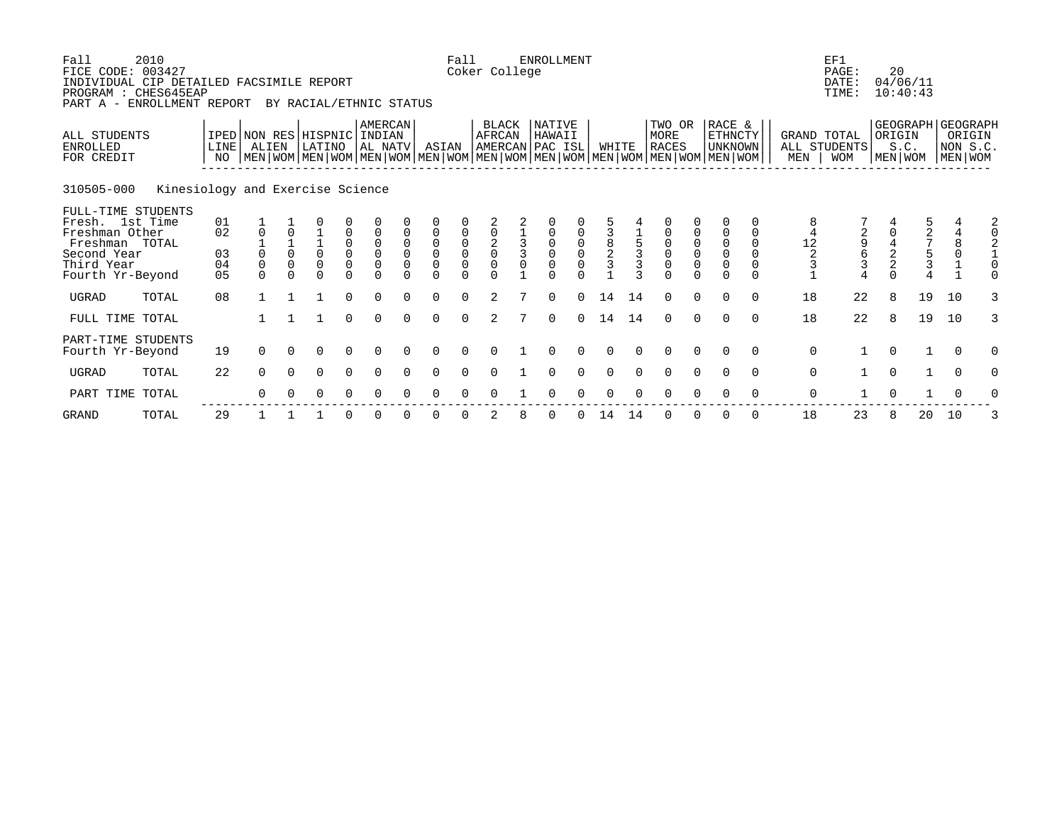| Fall<br>FICE CODE: 003427<br>INDIVIDUAL CIP DETAILED FACSIMILE REPORT<br>PROGRAM : CHES645EAP<br>PART A -                  | 2010<br>ENROLLMENT REPORT        |                                        |                                      |                                                 | BY RACIAL/ETHNIC STATUS               |                                                            |                                        |                            |                                                                                  | Fall     | Coker College                          | <b>ENROLLMENT</b>  |                       |                                            |        |                                                                                                                                               |             |                                                                      |                                              |                           | EF1<br>PAGE:<br>DATE:<br>TIME: | 20       | 04/06/11<br>10:40:43                 |                                          |                    |
|----------------------------------------------------------------------------------------------------------------------------|----------------------------------|----------------------------------------|--------------------------------------|-------------------------------------------------|---------------------------------------|------------------------------------------------------------|----------------------------------------|----------------------------|----------------------------------------------------------------------------------|----------|----------------------------------------|--------------------|-----------------------|--------------------------------------------|--------|-----------------------------------------------------------------------------------------------------------------------------------------------|-------------|----------------------------------------------------------------------|----------------------------------------------|---------------------------|--------------------------------|----------|--------------------------------------|------------------------------------------|--------------------|
| ALL STUDENTS<br><b>ENROLLED</b><br>FOR CREDIT                                                                              |                                  | LINE<br>NO                             | IPED NON RES HISPNIC INDIAN<br>ALIEN |                                                 | LATINO                                |                                                            | AMERCAN<br>AL NATV                     |                            | ASIAN                                                                            |          | BLACK<br>AFRCAN<br>AMERCAN PAC ISL     | NATIVE<br>HAWAII   |                       | WHITE                                      |        | TWO OR<br>MORE<br><b>RACES</b><br>  MEN   WOM   MEN   WOM   MEN   WOM   MEN   WOM   MEN   WOM   MEN   WOM   MEN   WOM   MEN   WOM   MEN   WOM |             | RACE &<br>ETHNCTY<br><b>UNKNOWN</b>                                  |                                              | <b>GRAND TOTAL</b><br>MEN | ALL STUDENTS<br><b>WOM</b>     | ORIGIN   | GEOGRAPH GEOGRAPH<br>S.C.<br>MEN WOM | MEN WOM                                  | ORIGIN<br>NON S.C. |
| 310505-000                                                                                                                 | Kinesiology and Exercise Science |                                        |                                      |                                                 |                                       |                                                            |                                        |                            |                                                                                  |          |                                        |                    |                       |                                            |        |                                                                                                                                               |             |                                                                      |                                              |                           |                                |          |                                      |                                          |                    |
| FULL-TIME STUDENTS<br>Fresh. 1st Time<br>Freshman Other<br>Freshman TOTAL<br>Second Year<br>Third Year<br>Fourth Yr-Beyond |                                  | 01<br>02<br>03<br>04<br>0 <sub>5</sub> | $\Omega$<br>$\mathbf 0$<br>$\Omega$  | $\Omega$<br>$\mathsf 0$<br>$\Omega$<br>$\Omega$ | $\frac{1}{0}$<br>$\Omega$<br>$\Omega$ | 0<br>$\begin{matrix} 0 \\ 0 \\ 0 \end{matrix}$<br>$\Omega$ | $\mathbb O$<br>$\mathbf 0$<br>$\Omega$ | 0<br>$\mathsf 0$<br>$\cap$ | $\mathsf 0$<br>$\overline{0}$<br>$\mathsf{O}\xspace$<br>$\overline{0}$<br>$\cap$ | $\cap$   | $\frac{2}{0}$<br>$\mathbf 0$<br>$\cap$ | $\Omega$<br>$\cap$ | $\mathsf 0$<br>$\cap$ | $\begin{array}{c} 8 \\ 2 \\ 3 \end{array}$ | C      | $\begin{matrix} 0 \\ 0 \\ 0 \end{matrix}$<br>$\overline{0}$<br>$\Omega$                                                                       | 0<br>$\cap$ | $\mathbf 0$<br>$\mathbf 0$<br>$\mathsf 0$<br>$\mathbf 0$<br>$\Omega$ | $\Omega$<br>$\Omega$<br>$\Omega$<br>$\Omega$ | 12<br>$\frac{2}{3}$       | 2<br>9<br>6<br>3               |          | $\frac{2}{7}$<br>$\frac{1}{3}$       | $\overline{4}$<br>$\,8\,$<br>$\mathbf 0$ |                    |
| <b>UGRAD</b>                                                                                                               | TOTAL                            | 08                                     |                                      |                                                 |                                       | $\Omega$                                                   | $\Omega$                               |                            | $\Omega$                                                                         | $\Omega$ | $\mathfrak{D}$                         | $\Omega$           | $\Omega$              | 14                                         | 14     | $\Omega$                                                                                                                                      | $\Omega$    | $\Omega$                                                             | $\Omega$                                     | 18                        | 22                             | 8        | 19                                   | 10                                       |                    |
| FULL TIME TOTAL                                                                                                            |                                  |                                        |                                      |                                                 |                                       | $\Omega$                                                   | $\Omega$                               | $\cap$                     | $\Omega$                                                                         | $\Omega$ | 2                                      | $\Omega$           | $\Omega$              | 14                                         | 14     | $\Omega$                                                                                                                                      | $\Omega$    | $\Omega$                                                             | $\Omega$                                     | 18                        | 22                             | 8        | 19                                   | 10                                       | 3                  |
| PART-TIME STUDENTS<br>Fourth Yr-Beyond                                                                                     |                                  | 19                                     | $\Omega$                             | $\Omega$                                        | $\Omega$                              | $\Omega$                                                   | $\Omega$                               | $\cap$                     | $\Omega$                                                                         | $\Omega$ | $\cap$                                 | ∩                  | $\Omega$              | $\cap$                                     | $\cap$ | $\Omega$                                                                                                                                      | $\Omega$    | $\Omega$                                                             | $\Omega$                                     | $\mathbf 0$               |                                | $\Omega$ | $\mathbf{1}$                         | $\Omega$                                 | 0                  |
| <b>UGRAD</b>                                                                                                               | TOTAL                            | 22                                     | $\Omega$                             | $\Omega$                                        | $\Omega$                              | $\Omega$                                                   | $\Omega$                               |                            | $\Omega$                                                                         | $\Omega$ |                                        |                    |                       |                                            |        | $\Omega$                                                                                                                                      | $\Omega$    |                                                                      | $\Omega$                                     | $\mathbf 0$               |                                | $\Omega$ | $\mathbf{1}$                         | $\Omega$                                 |                    |
| PART TIME TOTAL                                                                                                            |                                  |                                        | $\Omega$                             |                                                 | 0                                     | 0                                                          |                                        |                            |                                                                                  |          |                                        |                    |                       |                                            |        |                                                                                                                                               |             |                                                                      | $\Omega$                                     | 0                         |                                | $\Omega$ |                                      | $\Omega$                                 |                    |
|                                                                                                                            |                                  |                                        |                                      |                                                 |                                       |                                                            |                                        |                            |                                                                                  |          |                                        |                    |                       |                                            |        |                                                                                                                                               |             |                                                                      |                                              |                           |                                |          |                                      |                                          |                    |

GRAND TOTAL 29 1 1 1 0 0 0 0 0 2 8 0 0 14 14 0 0 0 0 18 23 8 20 10 3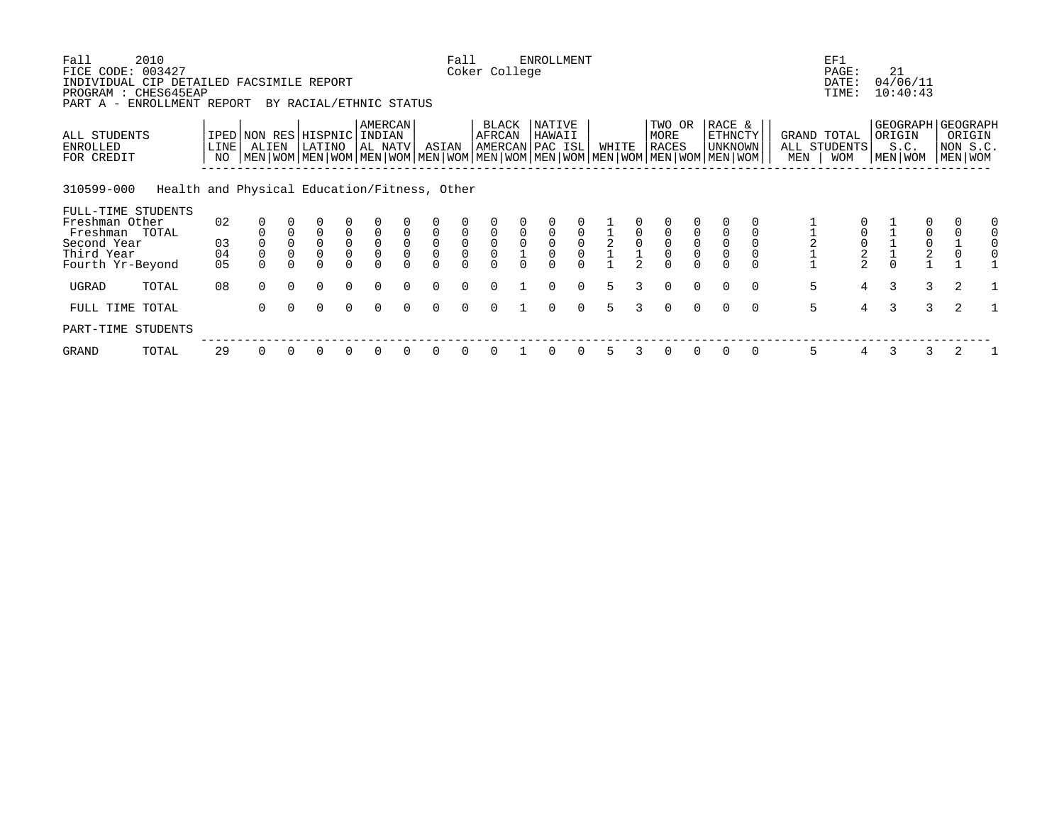| Fall<br>FICE CODE: 003427                                                    | 2010                                         |                         |                     |                            |                                |                                           |                                           |                                    |                     | Fall                                      | Coker College                             |   | <b>ENROLLMENT</b>                    |                                      |                |   |                                           |                                           |                                                                                                                                                    |          |                    | EF1<br>PAGE:               |   | 21                        |               |                                                    |  |
|------------------------------------------------------------------------------|----------------------------------------------|-------------------------|---------------------|----------------------------|--------------------------------|-------------------------------------------|-------------------------------------------|------------------------------------|---------------------|-------------------------------------------|-------------------------------------------|---|--------------------------------------|--------------------------------------|----------------|---|-------------------------------------------|-------------------------------------------|----------------------------------------------------------------------------------------------------------------------------------------------------|----------|--------------------|----------------------------|---|---------------------------|---------------|----------------------------------------------------|--|
| INDIVIDUAL CIP DETAILED FACSIMILE REPORT<br>PROGRAM : CHES645EAP<br>PART A - | ENROLLMENT REPORT                            |                         |                     |                            | BY RACIAL/ETHNIC STATUS        |                                           |                                           |                                    |                     |                                           |                                           |   |                                      |                                      |                |   |                                           |                                           |                                                                                                                                                    |          |                    | DATE:<br>TIME:             |   | 04/06/11<br>10:40:43      |               |                                                    |  |
| ALL STUDENTS<br>ENROLLED<br>FOR CREDIT                                       |                                              | LINE <sup>[</sup><br>NO | ALIEN               |                            | IPED NON RES HISPNIC<br>LATINO |                                           | <b>AMERCAN</b><br>INDIAN<br>AL NATV       |                                    | ASIAN               |                                           | BLACK<br>AFRCAN                           |   | NATIVE<br>HAWAII<br> AMERCAN PAC ISL |                                      | WHITE          |   | TWO OR<br>MORE<br><b>RACES</b>            |                                           | RACE &<br>ETHNCTY<br><b>UNKNOWN</b><br>  MEN   WOM   MEN   WOM   MEN   WOM   MEN   WOM   MEN   WOM   MEN   WOM   MEN   WOM   MEN   WOM   MEN   WOM |          | GRAND TOTAL<br>MEN | ALL STUDENTS<br><b>WOM</b> |   | ORIGIN<br>S.C.<br>MEN WOM |               | GEOGRAPH GEOGRAPH<br>ORIGIN<br>NON S.C.<br>MEN WOM |  |
| 310599-000                                                                   | Health and Physical Education/Fitness, Other |                         |                     |                            |                                |                                           |                                           |                                    |                     |                                           |                                           |   |                                      |                                      |                |   |                                           |                                           |                                                                                                                                                    |          |                    |                            |   |                           |               |                                                    |  |
| FULL-TIME STUDENTS<br>Freshman Other<br>Freshman TOTAL                       |                                              | 02                      |                     | $\mathbf 0$                | $\mathbf 0$                    |                                           |                                           | $\mathbf 0$                        | $\mathsf 0$         |                                           |                                           |   |                                      | $\mathsf 0$                          |                |   |                                           |                                           |                                                                                                                                                    |          |                    | $\mathsf 0$                |   |                           |               | $\mathbf 0$                                        |  |
| Second Year<br>Third Year                                                    |                                              | 03<br>04                | $\mathsf{O}\xspace$ | $\mathbf 0$<br>$\mathbf 0$ | $\mathsf 0$<br>$\overline{0}$  | $\begin{matrix} 0 \\ 0 \\ 0 \end{matrix}$ | $\begin{matrix} 0 \\ 0 \\ 0 \end{matrix}$ | $\mathsf{O}\xspace$<br>$\mathbf 0$ | $\overline{0}$<br>0 | $\begin{matrix} 0 \\ 0 \\ 0 \end{matrix}$ | $\begin{matrix} 0 \\ 0 \\ 0 \end{matrix}$ | 0 | $\mathsf 0$<br>$\mathsf{O}\xspace$   | $\begin{matrix} 0 \\ 0 \end{matrix}$ |                |   | $\begin{matrix} 0 \\ 0 \\ 0 \end{matrix}$ | $\begin{matrix} 0 \\ 0 \\ 0 \end{matrix}$ | $\mathsf{O}\xspace$                                                                                                                                |          |                    | $\frac{0}{2}$              |   |                           | 0002          | $\frac{1}{0}$                                      |  |
| Fourth Yr-Beyond                                                             |                                              | 0 <sub>5</sub>          |                     |                            |                                |                                           |                                           |                                    |                     |                                           |                                           |   |                                      |                                      |                |   |                                           |                                           |                                                                                                                                                    |          |                    |                            |   |                           |               |                                                    |  |
| UGRAD                                                                        | TOTAL                                        | 08                      | $\Omega$            | $\Omega$                   | $\Omega$                       | $\Omega$                                  | $\Omega$                                  | $\Omega$                           | $\Omega$            | $\Omega$                                  | $\cap$                                    |   | $\Omega$                             | $\Omega$                             | 5              | 3 | $\Omega$                                  | $\Omega$                                  | $\Omega$                                                                                                                                           | $\Omega$ | 5                  | $\overline{4}$             | 3 |                           | 3             | 2                                                  |  |
| FULL TIME TOTAL                                                              |                                              |                         | $\Omega$            | $\Omega$                   | $\Omega$                       | $\Omega$                                  | $\Omega$                                  |                                    |                     | $\cap$                                    |                                           |   | $\cap$                               | $\Omega$                             | $\overline{5}$ |   | $\Omega$                                  | $\Omega$                                  | $\Omega$                                                                                                                                           | $\Omega$ | 5                  | $\overline{4}$             | 3 |                           | $\mathcal{E}$ | 2                                                  |  |
| PART-TIME STUDENTS                                                           |                                              |                         |                     |                            |                                |                                           |                                           |                                    |                     |                                           |                                           |   |                                      |                                      |                |   |                                           |                                           |                                                                                                                                                    |          |                    |                            |   |                           |               |                                                    |  |
| GRAND                                                                        | TOTAL                                        | 29                      | 0                   |                            |                                |                                           |                                           |                                    | <sup>0</sup>        |                                           |                                           |   |                                      |                                      | 5              |   | 0                                         | $\Omega$                                  | 0                                                                                                                                                  | 0        | 5                  | 4                          | 3 |                           | 3             | 2                                                  |  |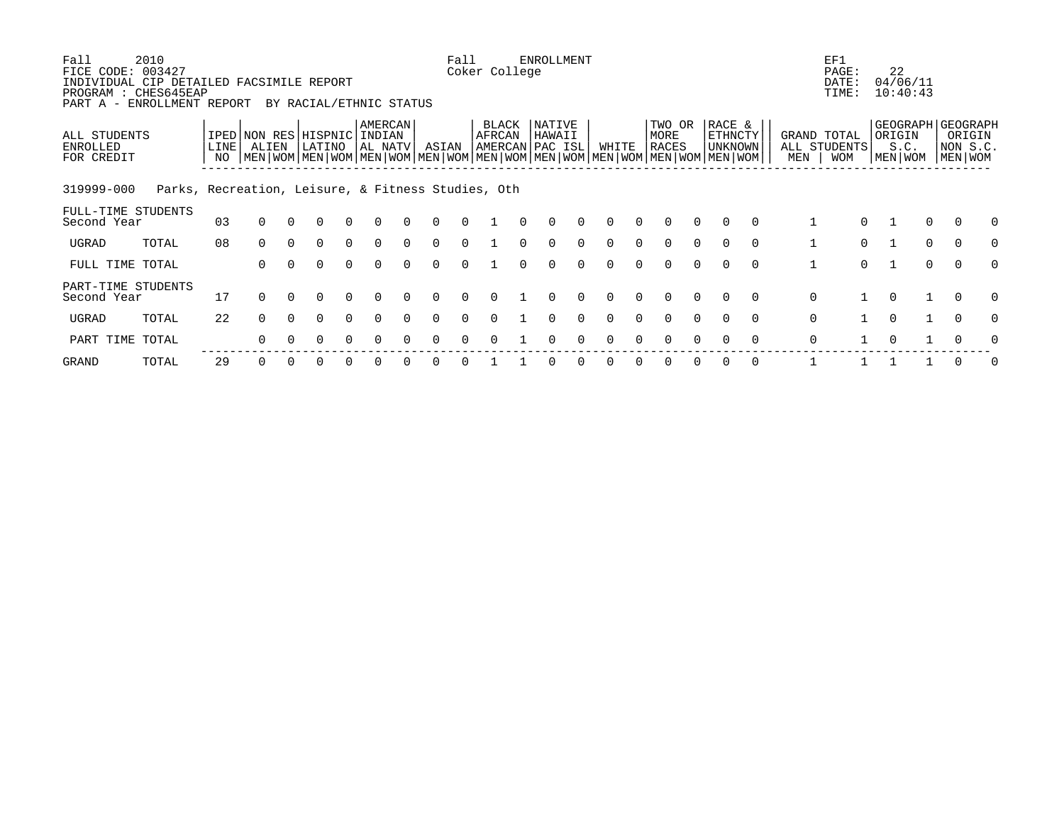| Fall<br>FICE CODE:<br>INDIVIDUAL CIP DETAILED FACSIMILE REPORT<br>PROGRAM : CHES645EAP<br>PART A - | 2010<br>003427<br>ENROLLMENT REPORT                |                                    |          |          | BY RACIAL/ETHNIC STATUS |          |                                     |              | Fall   | Coker College          | <b>ENROLLMENT</b>                   |          |          |          |                                                                                                                                        |          |                                     |          |              | EF1<br>PAGE:<br>DATE:<br>TIME:            |              | 22<br>04/06/11<br>10:40:43                       |              |                               |   |
|----------------------------------------------------------------------------------------------------|----------------------------------------------------|------------------------------------|----------|----------|-------------------------|----------|-------------------------------------|--------------|--------|------------------------|-------------------------------------|----------|----------|----------|----------------------------------------------------------------------------------------------------------------------------------------|----------|-------------------------------------|----------|--------------|-------------------------------------------|--------------|--------------------------------------------------|--------------|-------------------------------|---|
| ALL STUDENTS<br>ENROLLED<br>FOR CREDIT                                                             |                                                    | IPED NON RES HISPNIC<br>LINE<br>NO | ALIEN    |          | LATINO                  |          | <b>AMERCAN</b><br>INDIAN<br>AL NATV | ASIAN        |        | <b>BLACK</b><br>AFRCAN | NATIVE<br>HAWAII<br>AMERCAN PAC ISL |          | WHITE    |          | TWO OR<br>MORE<br>RACES<br>  MEN   WOM   MEN   WOM   MEN   WOM   MEN   WOM   MEN   WOM   MEN   WOM   MEN   WOM   MEN   WOM   MEN   WOM |          | RACE &<br>ETHNCTY<br><b>UNKNOWN</b> |          | MEN          | GRAND TOTAL<br>ALL STUDENTS<br><b>WOM</b> |              | GEOGRAPH GEOGRAPH<br>ORIGIN<br>S.C.<br>MEN   WOM |              | ORIGIN<br>NON S.C.<br>MEN WOM |   |
| 319999-000                                                                                         | Parks, Recreation, Leisure, & Fitness Studies, Oth |                                    |          |          |                         |          |                                     |              |        |                        |                                     |          |          |          |                                                                                                                                        |          |                                     |          |              |                                           |              |                                                  |              |                               |   |
| FULL-TIME STUDENTS<br>Second Year                                                                  |                                                    | 03                                 | $\Omega$ |          | O                       |          |                                     |              |        |                        |                                     |          |          |          | $\Omega$                                                                                                                               | $\Omega$ | $\Omega$                            | $\Omega$ |              | $\Omega$                                  |              |                                                  | 0            | $\Omega$                      |   |
| UGRAD                                                                                              | TOTAL                                              | 08                                 | $\Omega$ | $\Omega$ | 0                       | $\Omega$ | <sup>n</sup>                        | $\Omega$     |        |                        |                                     |          |          |          | $\Omega$                                                                                                                               | $\Omega$ | $\Omega$                            | $\Omega$ | $\mathbf{1}$ | $\Omega$                                  |              |                                                  | $\Omega$     | $\Omega$                      | O |
| FULL TIME TOTAL                                                                                    |                                                    |                                    | $\Omega$ | $\Omega$ | $\Omega$                | $\Omega$ | $\Omega$                            | $\Omega$     | $\cap$ |                        | $\Omega$                            | $\Omega$ | $\Omega$ | $\Omega$ | $\Omega$                                                                                                                               | $\Omega$ | $\Omega$                            | $\Omega$ | $\mathbf{1}$ | $\Omega$                                  | $\mathbf{1}$ |                                                  | $\mathbf 0$  | $\Omega$                      | O |
| PART-TIME STUDENTS<br>Second Year                                                                  |                                                    | 17                                 | $\Omega$ | $\Omega$ | $\Omega$                | 0        |                                     |              |        |                        |                                     |          |          |          | $\Omega$                                                                                                                               | $\Omega$ | $\Omega$                            | $\Omega$ | 0            |                                           | $\Omega$     |                                                  |              | $\Omega$                      |   |
| UGRAD                                                                                              | TOTAL                                              | 22                                 | $\Omega$ | $\Omega$ | 0                       | 0        |                                     | $\Omega$     |        |                        |                                     |          |          |          | ∩                                                                                                                                      | $\cap$   |                                     | $\Omega$ | $\mathbf 0$  |                                           | $\Omega$     |                                                  | $\mathbf{1}$ | $\Omega$                      | O |
| PART TIME                                                                                          | TOTAL                                              |                                    | $\Omega$ |          | 0                       | $\Omega$ | <sup>n</sup>                        | <sup>n</sup> |        |                        | ∩                                   | U        | ∩        | $\cap$   | $\Omega$                                                                                                                               | $\Omega$ | $\Omega$                            | $\Omega$ | $\mathbf 0$  |                                           | $\Omega$     |                                                  |              | $\Omega$                      |   |
| GRAND                                                                                              | TOTAL                                              | 29                                 | 0        |          | O                       |          |                                     |              |        |                        |                                     |          |          |          |                                                                                                                                        |          | 0                                   | 0        |              |                                           |              |                                                  |              |                               | 0 |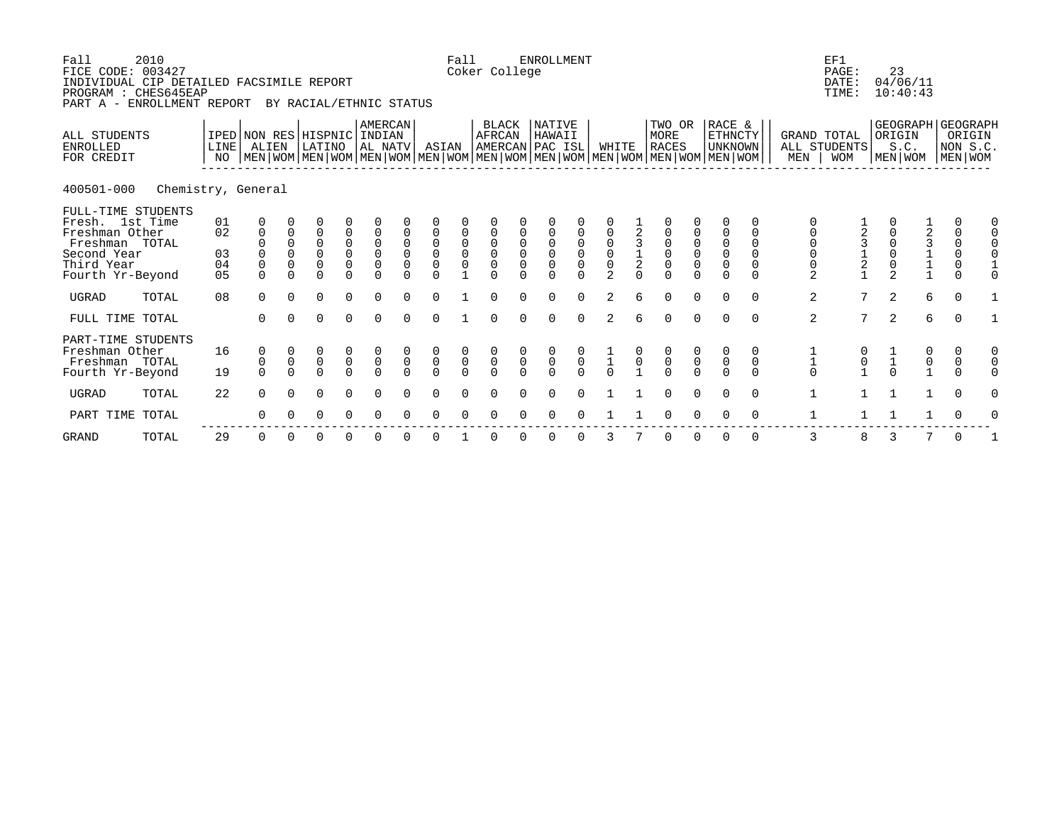| Fall<br>FICE CODE: 003427<br>INDIVIDUAL CIP DETAILED FACSIMILE REPORT<br>PROGRAM : CHES645EAP<br>PART A - ENROLLMENT REPORT | 2010               |                            |                                                                    |                                                       |                                                                     |                                                            | BY RACIAL/ETHNIC STATUS                                              |                                                       |                                           | Fall                                      | Coker College                                       |                                           | <b>ENROLLMENT</b>                                   |                                                     |                                                                  |                                            |                                                       |                                                       |                                                                                                                                                    |                                    |                                                | EF1<br>PAGE:<br>DATE:<br>TIME:                    | 23                                                                          | 04/06/11<br>10:40:43                   |                                           |                                                                           |          |
|-----------------------------------------------------------------------------------------------------------------------------|--------------------|----------------------------|--------------------------------------------------------------------|-------------------------------------------------------|---------------------------------------------------------------------|------------------------------------------------------------|----------------------------------------------------------------------|-------------------------------------------------------|-------------------------------------------|-------------------------------------------|-----------------------------------------------------|-------------------------------------------|-----------------------------------------------------|-----------------------------------------------------|------------------------------------------------------------------|--------------------------------------------|-------------------------------------------------------|-------------------------------------------------------|----------------------------------------------------------------------------------------------------------------------------------------------------|------------------------------------|------------------------------------------------|---------------------------------------------------|-----------------------------------------------------------------------------|----------------------------------------|-------------------------------------------|---------------------------------------------------------------------------|----------|
| <b>ALL STUDENTS</b><br><b>ENROLLED</b><br>FOR CREDIT                                                                        |                    | LINE<br>NO                 | ALIEN                                                              |                                                       | LATINO                                                              |                                                            | <b>AMERCAN</b><br>IPED NON RES HISPNIC INDIAN<br>AL NATV             |                                                       | ASIAN                                     |                                           | BLACK<br>AFRCAN                                     |                                           | NATIVE<br>HAWAII<br>AMERCAN PAC ISL                 |                                                     | WHITE                                                            |                                            | TWO OR<br>MORE<br><b>RACES</b>                        |                                                       | RACE &<br>ETHNCTY<br><b>UNKNOWN</b><br>  MEN   WOM   MEN   WOM   MEN   WOM   MEN   WOM   MEN   WOM   MEN   WOM   MEN   WOM   MEN   WOM   MEN   WOM |                                    | <b>GRAND TOTAL</b><br>MEN                      | ALL STUDENTS<br><b>WOM</b>                        | ORIGIN                                                                      | GEOGRAPH GEOGRAPH<br>S.C.<br>MEN   WOM |                                           | ORIGIN<br>NON S.C.<br>  MEN   WOM                                         |          |
| 400501-000                                                                                                                  | Chemistry, General |                            |                                                                    |                                                       |                                                                     |                                                            |                                                                      |                                                       |                                           |                                           |                                                     |                                           |                                                     |                                                     |                                                                  |                                            |                                                       |                                                       |                                                                                                                                                    |                                    |                                                |                                                   |                                                                             |                                        |                                           |                                                                           |          |
| FULL-TIME STUDENTS<br>Fresh. 1st Time<br>Freshman Other<br>Freshman TOTAL<br>Second Year<br>Third Year<br>Fourth Yr-Beyond  |                    | 01<br>02<br>03<br>04<br>05 | 0<br>$\mathbf 0$<br>$\overline{0}$<br>0<br>$\mathbf 0$<br>$\Omega$ | $\mathbf 0$<br>$\mathbf 0$<br>$\mathbf 0$<br>$\Omega$ | 0<br>$\overline{0}$<br>$\overline{0}$<br>$\overline{0}$<br>$\Omega$ | 0<br>$\begin{matrix} 0 \\ 0 \\ 0 \end{matrix}$<br>$\Omega$ | $\mathbf 0$<br>$\begin{matrix} 0 \\ 0 \\ 0 \end{matrix}$<br>$\Omega$ | $\mathbf 0$<br>$\mathbf 0$<br>$\mathbf 0$<br>$\Omega$ | $0$<br>O<br>O<br>$\Omega$                 | $\begin{matrix} 0 \\ 0 \\ 0 \end{matrix}$ | $\begin{matrix} 0 \\ 0 \\ 0 \end{matrix}$<br>$\cap$ | $\mathbf 0$<br>$\mathbf 0$<br>$\mathbf 0$ | $\begin{matrix} 0 \\ 0 \\ 0 \end{matrix}$<br>$\cap$ | $\begin{matrix} 0 \\ 0 \\ 0 \end{matrix}$<br>$\cap$ | $\begin{matrix} 0 \\ 0 \\ 0 \\ 0 \end{matrix}$<br>$\overline{2}$ | $\begin{array}{c} 3 \\ 1 \\ 2 \end{array}$ | $\begin{matrix} 0 \\ 0 \\ 0 \end{matrix}$<br>$\Omega$ | $\begin{matrix} 0 \\ 0 \\ 0 \end{matrix}$<br>$\Omega$ | 0<br>$\begin{matrix} 0 \\ 0 \\ 0 \end{matrix}$<br>$\Omega$                                                                                         | 0<br>0<br>0<br>0<br>$\Omega$       | $\begin{matrix} 0 \\ 0 \\ 0 \end{matrix}$<br>2 | $\begin{array}{c}\n3 \\ 1 \\ 2 \\ 1\n\end{array}$ | $\begin{smallmatrix}0\\0\end{smallmatrix}$<br>$\mathsf 0$<br>$\overline{2}$ |                                        | 2311                                      | 0<br>$\mathbf 0$<br>$\begin{matrix} 0 \\ 0 \\ 0 \end{matrix}$<br>$\Omega$ |          |
| <b>UGRAD</b>                                                                                                                | TOTAL              | 08                         | $\Omega$                                                           | $\Omega$                                              | $\Omega$                                                            | $\Omega$                                                   | $\Omega$                                                             |                                                       | $\Omega$                                  |                                           | $\cap$                                              |                                           | $\Omega$                                            | $\Omega$                                            | 2                                                                | б                                          | $\Omega$                                              | $\Omega$                                              | $\Omega$                                                                                                                                           | $\Omega$                           | 2                                              | $7\phantom{.0}$                                   | $\overline{a}$                                                              |                                        | 6                                         | $\Omega$                                                                  |          |
| FULL TIME TOTAL                                                                                                             |                    |                            | $\Omega$                                                           | $\Omega$                                              | $\Omega$                                                            | $\Omega$                                                   | $\Omega$                                                             | $\Omega$                                              | $\Omega$                                  |                                           |                                                     |                                           | $\Omega$                                            | $\Omega$                                            | 2                                                                | б                                          | $\Omega$                                              | $\Omega$                                              | $\Omega$                                                                                                                                           | $\Omega$                           | 2                                              | $7\phantom{.0}$                                   | $\overline{2}$                                                              |                                        | 6                                         | $\Omega$                                                                  |          |
| PART-TIME STUDENTS<br>Freshman Other<br>Freshman TOTAL<br>Fourth Yr-Beyond                                                  |                    | 16<br>19                   | 0<br>$\mathbf 0$<br>$\Omega$                                       | $\mathsf{O}\xspace$<br>$\Omega$                       | $\begin{matrix} 0 \\ 0 \\ 0 \end{matrix}$                           | $\begin{matrix} 0 \\ 0 \\ 0 \end{matrix}$                  | $\begin{matrix} 0 \\ 0 \\ 0 \end{matrix}$                            | $\overline{0}$                                        | $\begin{matrix} 0 \\ 0 \\ 0 \end{matrix}$ | $\begin{matrix} 0 \\ 0 \\ 0 \end{matrix}$ | $\begin{matrix} 0 \\ 0 \\ 0 \end{matrix}$           | $\begin{matrix} 0 \\ 0 \\ 0 \end{matrix}$ | $\begin{matrix} 0 \\ 0 \\ 0 \end{matrix}$           | $\begin{matrix} 0 \\ 0 \\ 0 \end{matrix}$           | $\frac{1}{1}$                                                    | $\overline{0}$                             | $\begin{matrix} 0 \\ 0 \\ 0 \end{matrix}$             | $\begin{matrix} 0 \\ 0 \\ 0 \end{matrix}$             | $\begin{matrix} 0 \\ 0 \\ 0 \end{matrix}$                                                                                                          | 0<br>$\mathsf{O}\xspace$<br>$\cap$ | $\begin{array}{c} 1 \\ 1 \\ 0 \end{array}$     | $\begin{smallmatrix}0\\1\end{smallmatrix}$        | $\frac{1}{1}$                                                               |                                        | $\begin{matrix} 0 \\ 0 \\ 1 \end{matrix}$ | $\begin{matrix} 0 \\ 0 \\ 0 \end{matrix}$                                 |          |
| <b>UGRAD</b>                                                                                                                | TOTAL              | 22                         | $\Omega$                                                           | $\Omega$                                              | $\mathbf 0$                                                         | $\Omega$                                                   | $\Omega$                                                             | $\cap$                                                | $\Omega$                                  | $\cap$                                    |                                                     |                                           | ∩                                                   |                                                     |                                                                  |                                            | $\Omega$                                              | $\Omega$                                              | $\Omega$                                                                                                                                           | $\Omega$                           | $\mathbf 1$                                    | $\mathbf{1}$                                      |                                                                             |                                        | $\mathbf{1}$                              | $\Omega$                                                                  | $\Omega$ |
| PART TIME                                                                                                                   | TOTAL              |                            | $\Omega$                                                           |                                                       | $\Omega$                                                            |                                                            |                                                                      |                                                       |                                           |                                           |                                                     |                                           |                                                     |                                                     |                                                                  |                                            |                                                       |                                                       |                                                                                                                                                    | 0                                  | $\mathbf 1$                                    |                                                   |                                                                             |                                        |                                           | 0                                                                         |          |
| <b>GRAND</b>                                                                                                                | TOTAL              | 29                         | 0                                                                  | $\Omega$                                              | 0                                                                   | O                                                          | 0                                                                    |                                                       |                                           |                                           |                                                     |                                           | 0                                                   | $\Omega$                                            | 3                                                                |                                            | $\mathbf 0$                                           | $\Omega$                                              | 0                                                                                                                                                  | $\mathbf 0$                        | 3                                              | 8                                                 | 3                                                                           |                                        | 7                                         | $\mathbf 0$                                                               |          |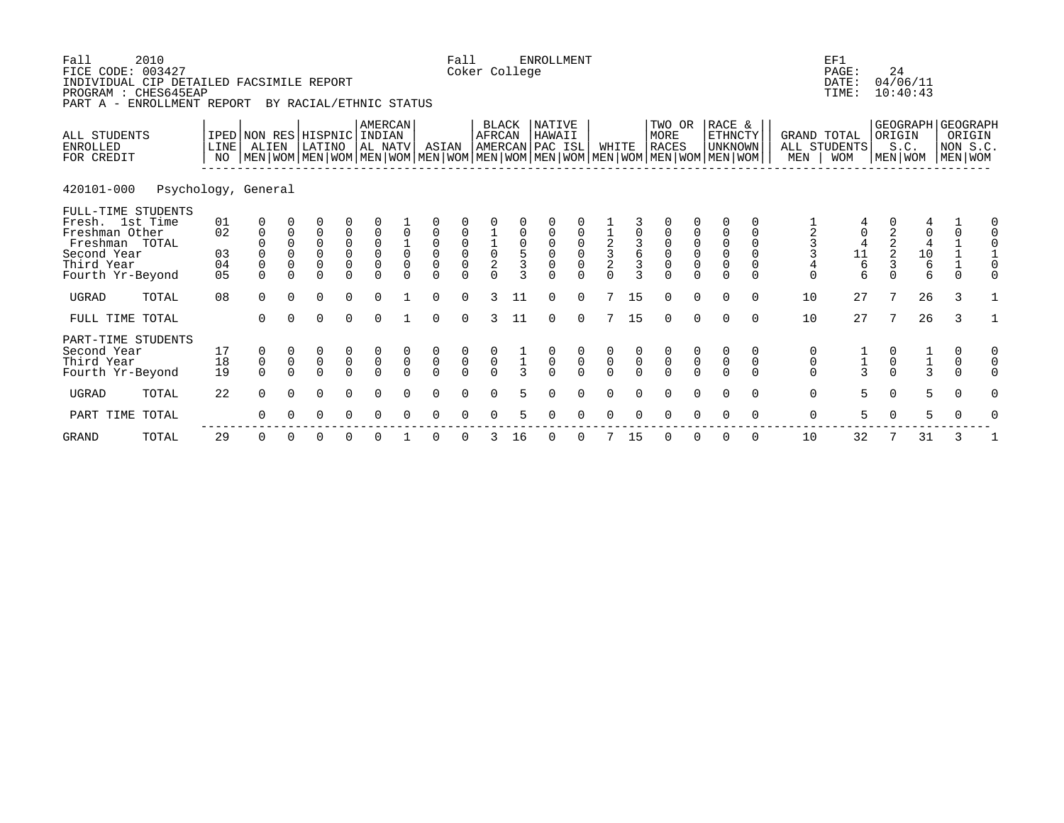| Fall<br>FICE CODE: 003427<br>INDIVIDUAL CIP DETAILED FACSIMILE REPORT<br>PROGRAM : CHES645EAP<br>PART A - ENROLLMENT REPORT | 2010                |                            |                                                                 |                                                    | BY RACIAL/ETHNIC STATUS                                                     |                                                       |                                                                    |                                           |                                                                      | Fall                                                  | Coker College                                         |                                            | <b>ENROLLMENT</b>                                     |                                                       |                                                     |                                              |                                                |                                                |                                                                                                                                                    |                         |                                   | EF1<br>PAGE:<br>DATE:<br>TIME: | 24                                           | 04/06/11<br>10:40:43                                  |                                           |                                                    |
|-----------------------------------------------------------------------------------------------------------------------------|---------------------|----------------------------|-----------------------------------------------------------------|----------------------------------------------------|-----------------------------------------------------------------------------|-------------------------------------------------------|--------------------------------------------------------------------|-------------------------------------------|----------------------------------------------------------------------|-------------------------------------------------------|-------------------------------------------------------|--------------------------------------------|-------------------------------------------------------|-------------------------------------------------------|-----------------------------------------------------|----------------------------------------------|------------------------------------------------|------------------------------------------------|----------------------------------------------------------------------------------------------------------------------------------------------------|-------------------------|-----------------------------------|--------------------------------|----------------------------------------------|-------------------------------------------------------|-------------------------------------------|----------------------------------------------------|
| ALL STUDENTS<br><b>ENROLLED</b><br>FOR CREDIT                                                                               |                     | LINE<br>NO.                | IPED NON RES HISPNIC INDIAN<br>ALIEN                            |                                                    | LATINO                                                                      |                                                       | AMERCAN<br>AL NATV                                                 |                                           | ASIAN                                                                |                                                       | BLACK<br>AFRCAN                                       |                                            | NATIVE<br>HAWAII<br>AMERCAN PAC ISL                   |                                                       | WHITE                                               |                                              | TWO OR<br>MORE<br><b>RACES</b>                 |                                                | RACE &<br>ETHNCTY<br><b>UNKNOWN</b><br>  MEN   WOM   MEN   WOM   MEN   WOM   MEN   WOM   MEN   WOM   MEN   WOM   MEN   WOM   MEN   WOM   MEN   WOM |                         | <b>GRAND TOTAL</b><br>MEN         | ALL STUDENTS<br><b>WOM</b>     | ORIGIN                                       | S.C.<br>MEN WOM                                       |                                           | GEOGRAPH GEOGRAPH<br>ORIGIN<br>NON S.C.<br>MEN WOM |
| 420101-000                                                                                                                  | Psychology, General |                            |                                                                 |                                                    |                                                                             |                                                       |                                                                    |                                           |                                                                      |                                                       |                                                       |                                            |                                                       |                                                       |                                                     |                                              |                                                |                                                |                                                                                                                                                    |                         |                                   |                                |                                              |                                                       |                                           |                                                    |
| FULL-TIME STUDENTS<br>Fresh. 1st Time<br>Freshman Other<br>Freshman TOTAL<br>Second Year<br>Third Year<br>Fourth Yr-Beyond  |                     | 01<br>02<br>03<br>04<br>05 | 0<br>$\mathbf 0$<br>$\boldsymbol{0}$<br>$\mathsf 0$<br>$\Omega$ | $\Omega$<br>$\Omega$<br>$\mathsf 0$<br>$\mathbf 0$ | $\Omega$<br>$\mathbf 0$<br>$\begin{matrix} 0 \\ 0 \end{matrix}$<br>$\Omega$ | $\begin{matrix} 0 \\ 0 \\ 0 \\ 0 \end{matrix}$        | $\mathbf 0$<br>$\begin{matrix} 0 \\ 0 \\ 0 \end{matrix}$<br>$\cap$ | $\begin{matrix} 0 \\ 0 \\ 0 \end{matrix}$ | $\mathbf 0$<br>$\begin{matrix} 0 \\ 0 \\ 0 \end{matrix}$<br>$\Omega$ | 0000                                                  | $\frac{1}{0}$                                         | $\begin{array}{c} 0 \\ 5 \\ 3 \end{array}$ | 0<br>$\begin{matrix}0\\0\\0\end{matrix}$              | 0<br>$\begin{bmatrix} 0 \\ 0 \\ 0 \end{bmatrix}$      | $\begin{array}{c}\n1 \\ 2 \\ 3 \\ 2\n\end{array}$   | $\begin{array}{c}\n3 \\ 6 \\ 3\n\end{array}$ | $\begin{matrix}0\\0\\0\end{matrix}$            | $\begin{matrix} 0 \\ 0 \\ 0 \end{matrix}$      | $\begin{matrix} 0 \\ 0 \\ 0 \end{matrix}$                                                                                                          | $\Omega$<br>$\Omega$    | $\Omega$                          | $\frac{0}{4}$<br>$\frac{4}{6}$ | $\begin{array}{c}\n2 \\ 2 \\ 3\n\end{array}$ | 0<br>$\begin{array}{c} 4 \\ 10 \\ 6 \end{array}$<br>6 | 0<br>$\mathbf 0$                          | 0                                                  |
| UGRAD                                                                                                                       | TOTAL               | 08                         | $\Omega$                                                        | $\Omega$                                           | $\Omega$                                                                    | $\Omega$                                              | $\Omega$                                                           |                                           | $\Omega$                                                             | $\Omega$                                              | 3                                                     | 11                                         | $\Omega$                                              | $\Omega$                                              |                                                     | 15                                           | $\Omega$                                       | $\Omega$                                       | $\Omega$                                                                                                                                           | $\Omega$                | 10                                | 27                             | 7                                            | 26                                                    | 3                                         |                                                    |
| FULL TIME TOTAL                                                                                                             |                     |                            | $\Omega$                                                        | $\Omega$                                           | $\Omega$                                                                    | $\Omega$                                              | $\Omega$                                                           |                                           | $\Omega$                                                             | $\Omega$                                              | 3                                                     | 11                                         | $\Omega$                                              | $\Omega$                                              | 7                                                   | 15                                           | $\Omega$                                       | $\Omega$                                       | $\Omega$                                                                                                                                           | $\Omega$                | 10                                | 27                             | 7                                            | 26                                                    | $\mathcal{L}$                             |                                                    |
| PART-TIME STUDENTS<br>Second Year<br>Third Year<br>Fourth Yr-Beyond<br><b>UGRAD</b>                                         | TOTAL               | 17<br>18<br>19<br>22       | 0<br>$\mathsf 0$<br>$\Omega$<br>$\Omega$                        | $\mathsf 0$<br>$\Omega$<br>$\Omega$                | $\begin{matrix} 0 \\ 0 \end{matrix}$<br>$\Omega$<br>$\Omega$                | $\begin{matrix} 0 \\ 0 \\ 0 \end{matrix}$<br>$\Omega$ | $\begin{matrix}0\\0\\0\end{matrix}$<br>$\Omega$                    | $\mathsf{O}$<br>$\Omega$<br>$\Omega$      | $\begin{matrix}0\\0\\0\end{matrix}$<br>$\Omega$                      | $\begin{matrix} 0 \\ 0 \\ 0 \end{matrix}$<br>$\Omega$ | $\begin{matrix} 0 \\ 0 \\ 0 \end{matrix}$<br>$\Omega$ | 5.                                         | $\begin{matrix} 0 \\ 0 \\ 0 \end{matrix}$<br>$\Omega$ | $\begin{matrix} 0 \\ 0 \\ 0 \end{matrix}$<br>$\Omega$ | $\begin{matrix} 0 \\ 0 \\ 0 \end{matrix}$<br>$\cap$ | $\mathsf 0$                                  | $\begin{matrix} 0 \\ 0 \\ 0 \end{matrix}$<br>U | $\begin{matrix} 0 \\ 0 \end{matrix}$<br>$\cap$ | $\mathsf 0$                                                                                                                                        | $\mathbf 0$<br>$\Omega$ | 0<br>0<br>$\Omega$<br>$\mathbf 0$ | $\frac{1}{3}$<br>5             | $\pmb{0}$<br>$\Omega$                        | $\frac{1}{3}$<br>5                                    | 0<br>$\mathsf{O}$<br>$\Omega$<br>$\Omega$ | 0<br>0                                             |
| PART TIME TOTAL                                                                                                             |                     |                            | ∩                                                               |                                                    |                                                                             |                                                       | ∩                                                                  |                                           |                                                                      |                                                       |                                                       |                                            |                                                       |                                                       |                                                     |                                              |                                                |                                                |                                                                                                                                                    |                         | 0                                 | 5.                             | $\Omega$                                     |                                                       |                                           |                                                    |
|                                                                                                                             |                     |                            |                                                                 |                                                    |                                                                             |                                                       |                                                                    |                                           |                                                                      |                                                       |                                                       |                                            |                                                       |                                                       |                                                     |                                              |                                                |                                                |                                                                                                                                                    |                         |                                   |                                |                                              |                                                       |                                           |                                                    |

GRAND TOTAL 29 0 0 0 0 0 1 0 0 3 16 0 0 7 15 0 0 0 0 10 32 7 31 3 1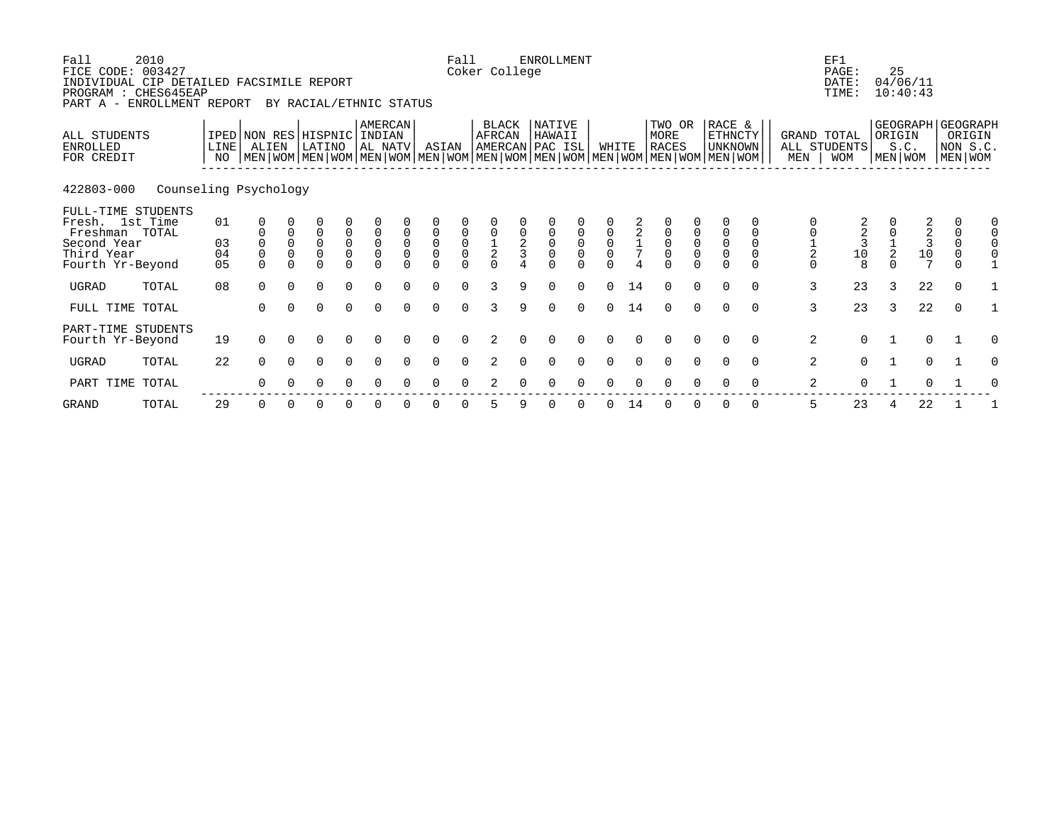| Fall<br>FICE CODE: 003427<br>INDIVIDUAL CIP DETAILED FACSIMILE REPORT<br>PROGRAM : CHES645EAP<br>PART A - ENROLLMENT REPORT | 2010                  |                      |                                                                                                                                                     |                           | BY RACIAL/ETHNIC STATUS                                            |                                           |                                                |                                            |                                                | Fall                                      | Coker College   |               | <b>ENROLLMENT</b>                   |                                           |                                           |                                            |                                           |                                           |                                           |                              |                           | EF1<br>PAGE:<br>DATE:<br>TIME:                                     | 25<br>04/06/11<br>10:40:43                                           |             |                               |          |
|-----------------------------------------------------------------------------------------------------------------------------|-----------------------|----------------------|-----------------------------------------------------------------------------------------------------------------------------------------------------|---------------------------|--------------------------------------------------------------------|-------------------------------------------|------------------------------------------------|--------------------------------------------|------------------------------------------------|-------------------------------------------|-----------------|---------------|-------------------------------------|-------------------------------------------|-------------------------------------------|--------------------------------------------|-------------------------------------------|-------------------------------------------|-------------------------------------------|------------------------------|---------------------------|--------------------------------------------------------------------|----------------------------------------------------------------------|-------------|-------------------------------|----------|
| ALL STUDENTS<br><b>ENROLLED</b><br>FOR CREDIT                                                                               |                       | LINE<br>NO           | IPED NON RES HISPNIC INDIAN<br>ALIEN<br>  MEN   WOM   MEN   WOM   MEN   WOM   MEN   WOM   MEN   WOM   MEN   WOM   MEN   WOM   MEN   WOM   MEN   WOM |                           | LATINO                                                             |                                           | AMERCAN<br>AL NATV                             |                                            | ASIAN                                          |                                           | BLACK<br>AFRCAN |               | NATIVE<br>HAWAII<br>AMERCAN PAC ISL |                                           | WHITE                                     |                                            | TWO OR<br>MORE<br><b>RACES</b>            |                                           | RACE &<br>ETHNCTY<br>UNKNOWN              |                              | MEN                       | GRAND TOTAL<br>ALL STUDENTS<br><b>WOM</b>                          | GEOGRAPH GEOGRAPH<br>ORIGIN<br>S.C.<br>MEN WOM                       |             | ORIGIN<br>NON S.C.<br>MEN WOM |          |
| 422803-000                                                                                                                  | Counseling Psychology |                      |                                                                                                                                                     |                           |                                                                    |                                           |                                                |                                            |                                                |                                           |                 |               |                                     |                                           |                                           |                                            |                                           |                                           |                                           |                              |                           |                                                                    |                                                                      |             |                               |          |
| FULL-TIME STUDENTS<br>Fresh. 1st Time<br>Freshman TOTAL<br>Second Year<br>Third Year<br>Fourth Yr-Beyond                    |                       | 01<br>03<br>04<br>05 | $\mathbf 0$<br>$\overline{0}$<br>$\Omega$                                                                                                           | $\mathbf 0$<br>$_{0}^{0}$ | $\overline{0}$<br>$\begin{matrix} 0 \\ 0 \end{matrix}$<br>$\Omega$ | $\begin{matrix} 0 \\ 0 \\ 0 \end{matrix}$ | $\mathbb O$<br>$\overline{0}$<br>0<br>$\Omega$ | $\begin{smallmatrix}0\\0\end{smallmatrix}$ | $\mathbf 0$<br>$\overline{0}$<br>0<br>$\Omega$ | $\begin{matrix} 0 \\ 0 \\ 0 \end{matrix}$ | $\frac{0}{2}$   | $\frac{0}{2}$ | $\begin{matrix}0\\0\\0\end{matrix}$ | $\begin{matrix} 0 \\ 0 \\ 0 \end{matrix}$ | $\begin{matrix} 0 \\ 0 \\ 0 \end{matrix}$ | $\begin{array}{c} 2 \\ 1 \\ 7 \end{array}$ | $\begin{matrix} 0 \\ 0 \\ 0 \end{matrix}$ | $\begin{matrix} 0 \\ 0 \\ 0 \end{matrix}$ | $\mathbf 0$<br>$\overline{0}$<br>$\Omega$ | $\mathbf 0$<br>$\Omega$<br>0 | $\frac{0}{2}$<br>$\Omega$ | $\overline{a}$<br>$\begin{array}{c} 3 \\ 3 \\ 10 \end{array}$<br>8 | $\begin{array}{c} 2 \\ 2 \\ 3 \\ 10 \\ 10 \end{array}$<br>$\sqrt{2}$ |             | 0<br>$\Omega$<br>$\mathbf 0$  |          |
| UGRAD                                                                                                                       | TOTAL                 | 08                   | $\Omega$                                                                                                                                            | $\Omega$                  | $\Omega$                                                           | $\Omega$                                  | $\Omega$                                       | $\Omega$                                   | $\Omega$                                       | $\Omega$                                  | 3               | 9             | $\Omega$                            | $\Omega$                                  | $\Omega$                                  | 14                                         | $\Omega$                                  | $\Omega$                                  | $\Omega$                                  | $\Omega$                     | 3                         | 23                                                                 | 22<br>3                                                              |             | $\Omega$                      |          |
| FULL TIME TOTAL                                                                                                             |                       |                      | $\Omega$                                                                                                                                            | $\Omega$                  | $\Omega$                                                           | $\Omega$                                  | $\Omega$                                       | $\cap$                                     | $\Omega$                                       | $\Omega$                                  | 3               | 9             | $\Omega$                            | $\Omega$                                  | $\Omega$                                  | 14                                         | $\Omega$                                  | $\Omega$                                  | $\Omega$                                  | $\Omega$                     | 3                         | 23                                                                 | 22<br>3                                                              |             | $\Omega$                      |          |
| PART-TIME STUDENTS<br>Fourth Yr-Beyond                                                                                      |                       | 19                   | $\Omega$                                                                                                                                            | $\Omega$                  | $\Omega$                                                           | $\Omega$                                  | $\Omega$                                       |                                            | $\Omega$                                       | $\Omega$                                  | 2               |               |                                     |                                           |                                           |                                            | $\Omega$                                  | $\Omega$                                  | $\Omega$                                  | $\Omega$                     | 2                         | $\Omega$                                                           |                                                                      | $\mathbf 0$ |                               | $\Omega$ |
| UGRAD                                                                                                                       | TOTAL                 | 22                   | $\Omega$                                                                                                                                            | $\Omega$                  | $\Omega$                                                           | $\Omega$                                  | $\Omega$                                       | $\Omega$                                   | $\Omega$                                       | $\Omega$                                  |                 |               | $\Omega$                            |                                           | $\Omega$                                  |                                            | $\Omega$                                  | $\Omega$                                  | $\Omega$                                  | $\Omega$                     | 2                         | $\Omega$                                                           | $\mathbf{1}$                                                         | 0           |                               | O        |
| PART TIME                                                                                                                   | TOTAL                 |                      | $\Omega$                                                                                                                                            |                           | 0                                                                  | 0                                         | ∩                                              |                                            | ∩                                              |                                           |                 |               |                                     |                                           |                                           |                                            |                                           |                                           |                                           | $\Omega$                     | 2                         | $\Omega$                                                           |                                                                      | $\Omega$    |                               |          |

GRAND TOTAL 29 0 0 0 0 0 0 0 0 5 9 0 0 0 14 0 0 0 0 5 23 4 22 1 1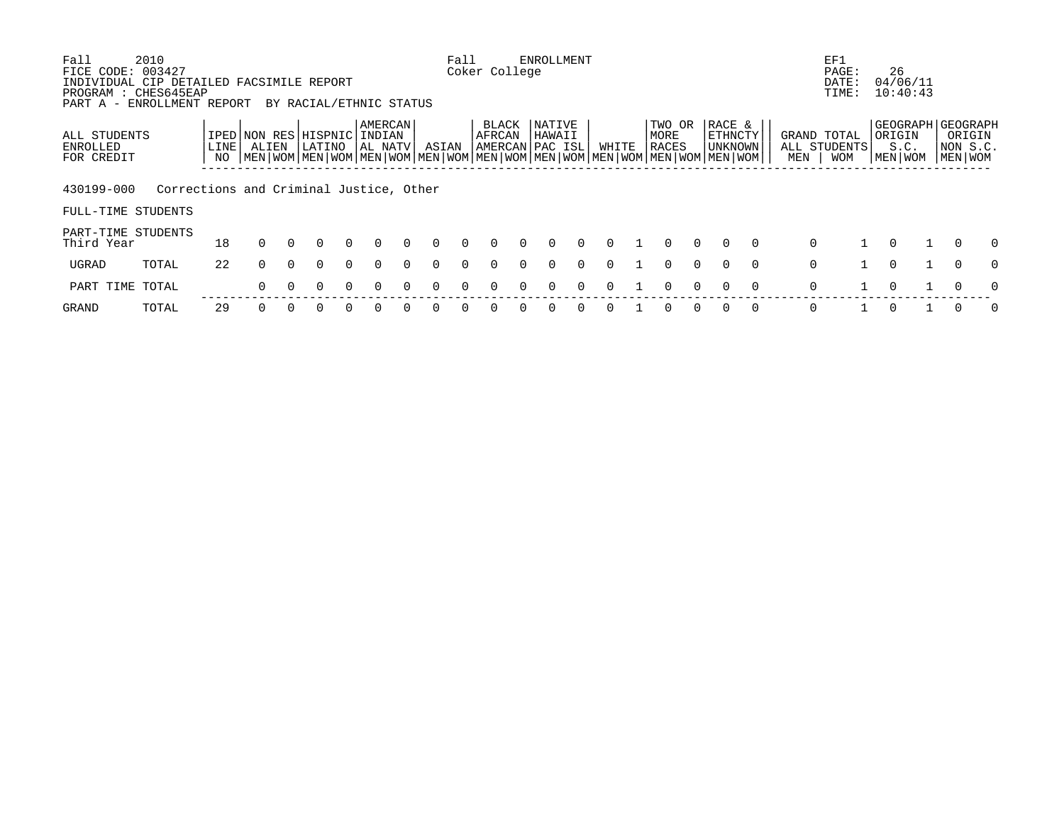| Fall                                                   | 2010                                    |      |          |          |                                                                                                           |          |                    |          |       | Fall     |                 |              | <b>ENROLLMENT</b>                           |          |          |                         |          |                                |          |             | EF1                         |                |                                         |          |
|--------------------------------------------------------|-----------------------------------------|------|----------|----------|-----------------------------------------------------------------------------------------------------------|----------|--------------------|----------|-------|----------|-----------------|--------------|---------------------------------------------|----------|----------|-------------------------|----------|--------------------------------|----------|-------------|-----------------------------|----------------|-----------------------------------------|----------|
| FICE CODE:<br>INDIVIDUAL CIP DETAILED FACSIMILE REPORT | 003427                                  |      |          |          |                                                                                                           |          |                    |          |       |          | Coker College   |              |                                             |          |          |                         |          |                                |          |             | PAGE:<br>DATE:              | 26<br>04/06/11 |                                         |          |
| PROGRAM : CHES645EAP<br>PART A -                       | ENROLLMENT REPORT                       |      |          |          | BY RACIAL/ETHNIC STATUS                                                                                   |          |                    |          |       |          |                 |              |                                             |          |          |                         |          |                                |          |             | TIME:                       | 10:40:43       |                                         |          |
| ALL STUDENTS<br><b>ENROLLED</b>                        |                                         | LINE | ALIEN    |          | IPED NON RES HISPNIC INDIAN<br>LATINO                                                                     |          | AMERCAN<br>AL NATV |          | ASIAN |          | BLACK<br>AFRCAN |              | <b>NATIVE</b><br>HAWAII<br> AMERCAN PAC ISL |          | WHITE    | TWO OR<br>MORE<br>RACES |          | RACE &<br>ETHNCTY<br>  UNKNOWN |          |             | GRAND TOTAL<br>ALL STUDENTS | ORIGIN<br>S.C. | GEOGRAPH GEOGRAPH<br>ORIGIN<br>NON S.C. |          |
| FOR CREDIT                                             |                                         | NO   |          |          | MEN   WOM   MEN   WOM   MEN   WOM   MEN   WOM   MEN   WOM   MEN   WOM   MEN   WOM   MEN   WOM   MEN   WOM |          |                    |          |       |          |                 |              |                                             |          |          |                         |          |                                |          | MEN         | <b>WOM</b>                  | MEN   WOM      | MEN WOM                                 |          |
| 430199-000                                             | Corrections and Criminal Justice, Other |      |          |          |                                                                                                           |          |                    |          |       |          |                 |              |                                             |          |          |                         |          |                                |          |             |                             |                |                                         |          |
| FULL-TIME STUDENTS                                     |                                         |      |          |          |                                                                                                           |          |                    |          |       |          |                 |              |                                             |          |          |                         |          |                                |          |             |                             |                |                                         |          |
| PART-TIME STUDENTS<br>Third Year                       |                                         | 18   | $\Omega$ |          |                                                                                                           |          | <sup>n</sup>       | $\cap$   | 0     | $\cap$   | <sup>n</sup>    | n.           | <sup>n</sup>                                | $\Omega$ | $\Omega$ | $\Omega$                | $\Omega$ | $\Omega$                       | $\Omega$ | $\Omega$    |                             | $\Omega$       | $\Omega$                                | $\Omega$ |
| UGRAD                                                  | TOTAL                                   | 22   | 0        | $\Omega$ | <sup>n</sup>                                                                                              | $\Omega$ | $\Omega$           | $\Omega$ | 0     | $\Omega$ | 0               | <sup>n</sup> | 0                                           | $\Omega$ | 0        | $\Omega$                | $\Omega$ | $\Omega$                       | $\Omega$ | $\mathbf 0$ |                             | $\mathbf 0$    | $\Omega$                                | $\Omega$ |
| PART TIME                                              | TOTAL                                   |      | 0        |          |                                                                                                           |          |                    |          |       |          |                 |              |                                             |          |          |                         |          | 0                              | $\Omega$ | 0           |                             | $\Omega$       | 0                                       | $\Omega$ |
| GRAND                                                  | TOTAL                                   | 29   |          |          |                                                                                                           |          |                    |          |       |          |                 |              |                                             |          |          |                         |          | 0                              | $\Omega$ | 0           |                             |                |                                         | $\Omega$ |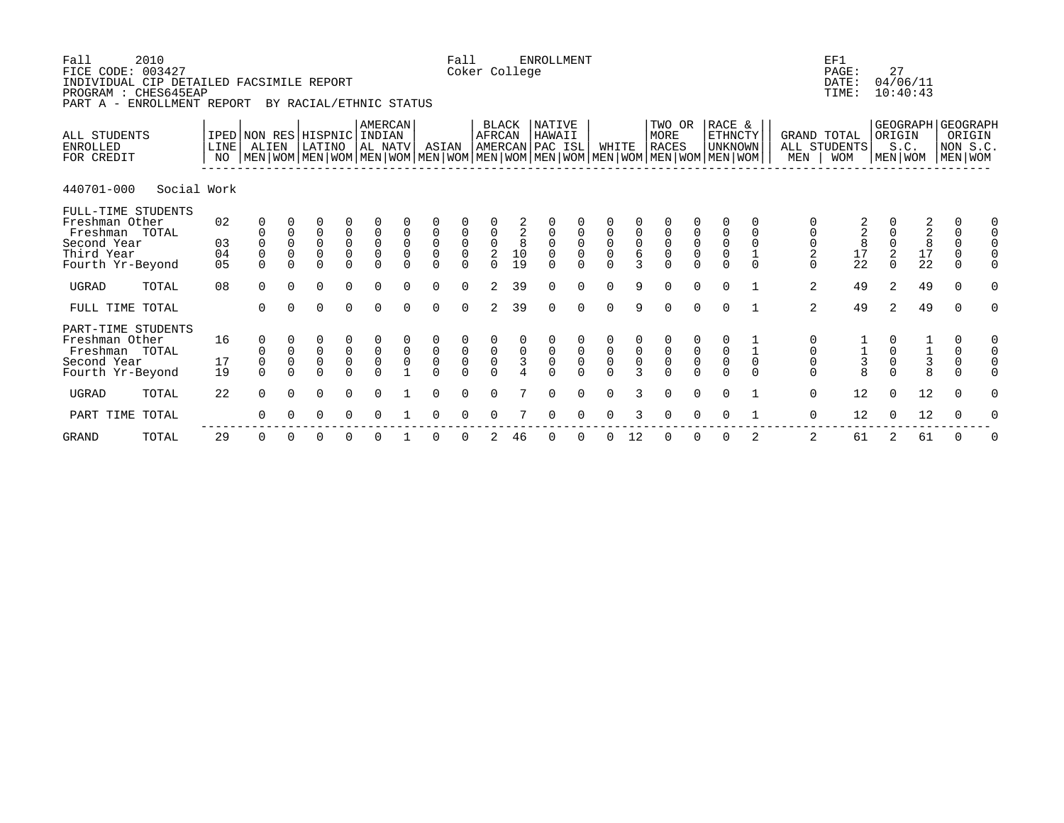| Fall<br>2010<br>FICE CODE: 003427<br>INDIVIDUAL CIP DETAILED FACSIMILE REPORT<br>PROGRAM : CHES645EAP<br>ENROLLMENT REPORT<br>PART A - |                         |                                      |                                   | BY RACIAL/ETHNIC STATUS |                                                             |                                                     |                                                          |                         | Fall                                                        | Coker College                                |                          | <b>ENROLLMENT</b>                          |                                                   |                                      |                                      |                                                                                                                                        |                                                       |                                                |                         |                                    | EF1<br>PAGE:<br>DATE:<br>TIME:   | 27                     | 04/06/11<br>10:40:43  |                                                                                                        |
|----------------------------------------------------------------------------------------------------------------------------------------|-------------------------|--------------------------------------|-----------------------------------|-------------------------|-------------------------------------------------------------|-----------------------------------------------------|----------------------------------------------------------|-------------------------|-------------------------------------------------------------|----------------------------------------------|--------------------------|--------------------------------------------|---------------------------------------------------|--------------------------------------|--------------------------------------|----------------------------------------------------------------------------------------------------------------------------------------|-------------------------------------------------------|------------------------------------------------|-------------------------|------------------------------------|----------------------------------|------------------------|-----------------------|--------------------------------------------------------------------------------------------------------|
| ALL STUDENTS<br><b>ENROLLED</b><br>FOR CREDIT                                                                                          | LINE <sup>[</sup><br>NO | IPED NON RES HISPNIC INDIAN<br>ALIEN |                                   | LATINO                  |                                                             | AMERCAN<br>AL NATV                                  |                                                          | ASIAN                   |                                                             | AFRCAN                                       | BLACK                    | <b>NATIVE</b><br>HAWAII<br>AMERCAN PAC ISL |                                                   | WHITE                                |                                      | TWO OR<br>MORE<br>RACES<br>  MEN   WOM   MEN   WOM   MEN   WOM   MEN   WOM   MEN   WOM   MEN   WOM   MEN   WOM   MEN   WOM   MEN   WOM |                                                       | RACE &<br><b>ETHNCTY</b><br>UNKNOWN            |                         | GRAND TOTAL<br>MEN                 | ALL STUDENTS<br><b>WOM</b>       | ORIGIN                 | S.C.<br>MEN WOM       | GEOGRAPH GEOGRAPH<br>ORIGIN<br>NON S.C.<br>MEN WOM                                                     |
| 440701-000<br>Social Work                                                                                                              |                         |                                      |                                   |                         |                                                             |                                                     |                                                          |                         |                                                             |                                              |                          |                                            |                                                   |                                      |                                      |                                                                                                                                        |                                                       |                                                |                         |                                    |                                  |                        |                       |                                                                                                        |
| FULL-TIME STUDENTS<br>Freshman Other<br>Freshman TOTAL<br>Second Year<br>Third Year<br>Fourth Yr-Beyond                                | 02<br>03<br>04<br>05    | 0<br>$\Omega$                        | 0<br>0<br>$\mathbf 0$<br>$\Omega$ | 0<br>0<br>0<br>0        | 0<br>$\begin{smallmatrix}0\\0\end{smallmatrix}$<br>$\Omega$ | 0<br>$\mathsf{O}\xspace$<br>$\mathsf 0$<br>$\Omega$ | $\mathbf 0$<br>$\mathbf 0$<br>$\overline{0}$<br>$\Omega$ | 0<br>0<br>0<br>$\Omega$ | 0<br>$\begin{smallmatrix}0\\0\end{smallmatrix}$<br>$\Omega$ | $_{\rm 0}^{\rm 0}$<br>$\sqrt{2}$<br>$\Omega$ | $^2_{\bf 8}$<br>10<br>19 | 0<br>0<br>0<br>U                           | 0<br>$\overline{0}$<br>$\overline{0}$<br>$\Omega$ | 0<br>$\mathsf 0$<br>$\mathsf 0$<br>0 | 0<br>$\mathbf 0$<br>6<br>3           | 0<br>0<br>0<br>0                                                                                                                       | 0<br>$\begin{matrix} 0 \\ 0 \end{matrix}$<br>$\Omega$ | 0<br>$\mathsf 0$<br>$\overline{0}$<br>$\Omega$ | $\mathbf 0$<br>$\Omega$ | $\mathsf 0$<br>$\overline{2}$<br>0 | $\frac{2}{8}$<br>$\frac{17}{22}$ | 0<br>2<br>$\Omega$     | $228$<br>$17$<br>$22$ | 0<br>0<br>$\mathsf{O}$<br>0<br>$\mathsf{O}$<br>$\mathsf{O}$<br>$\mathsf 0$<br>$\Omega$<br>$\Omega$     |
| <b>UGRAD</b><br>TOTAL                                                                                                                  | 08                      | $\Omega$                             | $\Omega$                          | $\Omega$                | $\Omega$                                                    | $\Omega$                                            | $\Omega$                                                 | $\Omega$                | $\Omega$                                                    | 2                                            | 39                       | 0                                          | $\Omega$                                          | 0                                    | 9                                    | $\Omega$                                                                                                                               | $\Omega$                                              | $\Omega$                                       |                         | 2                                  | 49                               | 2                      | 49                    | $\Omega$<br>0                                                                                          |
| FULL TIME TOTAL                                                                                                                        |                         | 0                                    | $\Omega$                          | 0                       | 0                                                           | 0                                                   | $\Omega$                                                 | $\Omega$                | $\Omega$                                                    | 2                                            | 39                       | 0                                          | 0                                                 | 0                                    | 9                                    | $\Omega$                                                                                                                               | $\Omega$                                              | $\Omega$                                       |                         | 2                                  | 49                               | 2                      | 49                    | 0<br>$\Omega$                                                                                          |
| PART-TIME STUDENTS<br>Freshman Other<br>Freshman TOTAL<br>Second Year<br>Fourth Yr-Beyond                                              | 16<br>17<br>19          | 0<br>$\Omega$                        | 0<br>$\mathsf 0$                  | 0<br>0<br>0             | $_{0}^{0}$<br>$\Omega$                                      | $_{0}^{0}$<br>$\Omega$                              | $_{0}^{0}$                                               | 0<br>0<br>U             | $_{\rm 0}^{\rm 0}$<br>$\Omega$                              | $_{0}^{0}$<br>$\Omega$                       | $\frac{0}{3}$            | 0<br>0                                     | $_{\rm 0}^{\rm 0}$<br>$\Omega$                    | $_{0}^{0}$<br>$\Omega$               | $\begin{matrix} 0 \\ 0 \end{matrix}$ | 0<br>0<br>U                                                                                                                            | $_{\rm 0}^{\rm 0}$<br>$\cap$                          | $_{\rm 0}^{\rm 0}$<br>$\Omega$                 | $\mathbf 0$<br>$\Omega$ | $\mathsf 0$<br>0                   | $\frac{1}{3}$<br>8               | $_{0}^{0}$<br>$\Omega$ | $\frac{1}{3}$<br>8    | 0<br>0<br>$\begin{smallmatrix}0\\0\end{smallmatrix}$<br>$\mathbf 0$<br>$\mathbf 0$<br>$\mathbf 0$<br>0 |
| UGRAD<br>TOTAL                                                                                                                         | 22                      | $\Omega$                             | $\Omega$                          | 0                       | 0                                                           | $\Omega$                                            |                                                          | $\Omega$                | $\Omega$                                                    | 0                                            |                          | 0                                          | $\Omega$                                          | $\Omega$                             | 3                                    | $\Omega$                                                                                                                               | $\Omega$                                              | $\Omega$                                       |                         | $\mathbf 0$                        | 12                               | $\Omega$               | 12                    | $\Omega$<br>0                                                                                          |
| PART TIME TOTAL                                                                                                                        |                         | 0                                    | $\Omega$                          | 0                       | 0                                                           | 0                                                   |                                                          | 0                       | 0                                                           | 0                                            |                          | 0                                          | 0                                                 | 0                                    | 3                                    | $\Omega$                                                                                                                               | 0                                                     | 0                                              |                         | 0                                  | 12                               | $\Omega$               | 12                    | 0<br>0                                                                                                 |

 ------------------------------------------------------------------------------------------------------------- GRAND TOTAL 29 0 0 0 0 0 1 0 0 2 46 0 0 0 12 0 0 0 2 2 61 2 61 0 0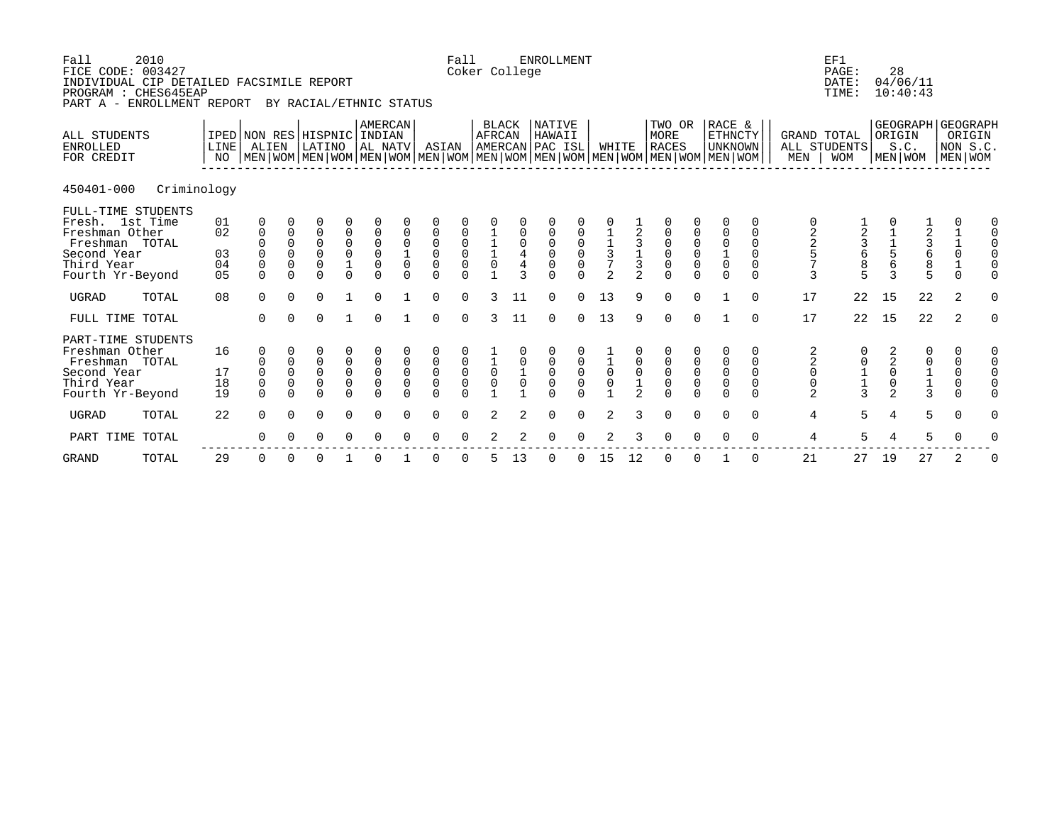| FICE CODE: 003427<br>INDIVIDUAL CIP DETAILED FACSIMILE REPORT<br>PROGRAM : CHES645EAP<br>PART A - ENROLLMENT REPORT        |             |                            |                                              |                                                          | BY RACIAL/ETHNIC STATUS                                    |                                                       |                                                                      |                               |                                                          | Coker College                                         |                                                  |                                                   |                                                      |                                           |                                                                     |                                                 |                                                                                                                                               |                                                       |                                                                      |                                        |                                                                   | PAGE:<br>DATE:<br>TIME:                         |                                                                               | 28<br>04/06/11<br>10:40:43                       |                                                              |          |
|----------------------------------------------------------------------------------------------------------------------------|-------------|----------------------------|----------------------------------------------|----------------------------------------------------------|------------------------------------------------------------|-------------------------------------------------------|----------------------------------------------------------------------|-------------------------------|----------------------------------------------------------|-------------------------------------------------------|--------------------------------------------------|---------------------------------------------------|------------------------------------------------------|-------------------------------------------|---------------------------------------------------------------------|-------------------------------------------------|-----------------------------------------------------------------------------------------------------------------------------------------------|-------------------------------------------------------|----------------------------------------------------------------------|----------------------------------------|-------------------------------------------------------------------|-------------------------------------------------|-------------------------------------------------------------------------------|--------------------------------------------------|--------------------------------------------------------------|----------|
| ALL STUDENTS<br><b>ENROLLED</b><br>FOR CREDIT                                                                              |             | LINE<br>NO                 | IPED NON RES HISPNIC INDIAN<br>ALIEN         |                                                          | LATINO                                                     |                                                       | AMERCAN<br>AL NATV                                                   |                               | ASIAN                                                    |                                                       | <b>BLACK</b><br>AFRCAN                           |                                                   | <b>NATIVE</b><br>HAWAII<br>AMERCAN PAC ISL           |                                           | WHITE                                                               |                                                 | TWO OR<br>MORE<br><b>RACES</b><br>  MEN   WOM   MEN   WOM   MEN   WOM   MEN   WOM   MEN   WOM   MEN   WOM   MEN   WOM   MEN   WOM   MEN   WOM |                                                       | RACE &<br>$\texttt{ETHNCTY}$<br><b>UNKNOWN</b>                       |                                        | GRAND TOTAL<br>MEN                                                | ALL STUDENTS<br><b>WOM</b>                      |                                                                               | GEOGRAPH GEOGRAPH<br>ORIGIN<br>S.C.<br>MEN   WOM | ORIGIN<br>NON S.C.<br>  MEN   WOM                            |          |
| 450401-000                                                                                                                 | Criminology |                            |                                              |                                                          |                                                            |                                                       |                                                                      |                               |                                                          |                                                       |                                                  |                                                   |                                                      |                                           |                                                                     |                                                 |                                                                                                                                               |                                                       |                                                                      |                                        |                                                                   |                                                 |                                                                               |                                                  |                                                              |          |
| FULL-TIME STUDENTS<br>Fresh. 1st Time<br>Freshman Other<br>Freshman TOTAL<br>Second Year<br>Third Year<br>Fourth Yr-Beyond |             | 01<br>02<br>03<br>04<br>05 | $\mathbf{0}$<br>0<br>$\mathbf 0$<br>$\Omega$ | $\Omega$<br>$\Omega$<br>0<br>$\Omega$                    | $\overline{0}$<br>0<br>0<br>$\overline{0}$<br>$\Omega$     | 0<br>$\begin{matrix} 0 \\ 0 \\ 1 \end{matrix}$        | $\mathsf 0$<br>$\begin{matrix} 0 \\ 0 \\ 0 \end{matrix}$<br>$\Omega$ | $\mathsf 0$<br>$\overline{0}$ | $\mathbf 0$<br>$\mathsf 0$<br>$\overline{0}$<br>$\Omega$ | $\begin{matrix} 0 \\ 0 \\ 0 \end{matrix}$             | $\begin{bmatrix} 1 \\ 1 \\ 1 \\ 0 \end{bmatrix}$ | $\boldsymbol{0}$<br>$\frac{4}{4}$<br>$\mathbf{z}$ | 0<br>0<br>$\begin{smallmatrix}0\\0\end{smallmatrix}$ | $\begin{matrix} 0 \\ 0 \\ 0 \end{matrix}$ | $\begin{array}{c}\n1 \\ 1 \\ 3 \\ 7\n\end{array}$<br>$\overline{2}$ | $\frac{1}{2}$ 3 $\frac{1}{3}$<br>$\mathfrak{D}$ | $\begin{matrix} 0 \\ 0 \\ 0 \end{matrix}$<br>$\Omega$                                                                                         | $\begin{matrix} 0 \\ 0 \\ 0 \end{matrix}$             | $\mathbf 0$<br>$\begin{matrix} 0 \\ 1 \\ 0 \end{matrix}$<br>$\Omega$ | 0<br>$\mathbf 0$<br>0<br>0<br>$\Omega$ | 2257<br>3                                                         | $\begin{array}{c} 3 \\ 6 \\ 8 \end{array}$<br>5 | $\begin{array}{c}\n1 \\ 1 \\ 5 \\ 6\n\end{array}$<br>3                        | $\frac{1}{2}$<br>3 6 8 5                         | $\begin{bmatrix} 1 \\ 1 \\ 0 \\ 1 \end{bmatrix}$<br>$\Omega$ | 0        |
| <b>UGRAD</b>                                                                                                               | TOTAL       | 08                         | $\Omega$                                     | $\Omega$                                                 | 0                                                          |                                                       | $\Omega$                                                             |                               | $\mathbf 0$                                              | $\Omega$                                              | 3                                                | 11                                                | $\mathbf 0$                                          | $\mathbf 0$                               | 13                                                                  | 9                                               | $\mathbf 0$                                                                                                                                   | $\mathbf 0$                                           |                                                                      | $\Omega$                               | 17                                                                | 22                                              | 15                                                                            | 22                                               | 2                                                            | $\Omega$ |
| FULL TIME TOTAL                                                                                                            |             |                            | $\Omega$                                     | $\Omega$                                                 | $\Omega$                                                   | $\mathbf{1}$                                          | $\Omega$                                                             |                               | $\Omega$                                                 | $\Omega$                                              | 3                                                | 11                                                | $\Omega$                                             | $\Omega$                                  | 13                                                                  | 9                                               | $\mathbf 0$                                                                                                                                   | $\mathbf 0$                                           | $\mathbf{1}$                                                         | $\Omega$                               | 17                                                                | 22                                              | 15                                                                            | 22                                               | 2                                                            | $\Omega$ |
| PART-TIME STUDENTS<br>Freshman Other<br>Freshman TOTAL<br>Second Year<br>Third Year<br>Fourth Yr-Beyond                    |             | 16<br>17<br>18<br>19       | 0<br>$\mathbf 0$<br>$\mathbf 0$<br>$\Omega$  | $\mathsf 0$<br>$\mathsf 0$<br>$\overline{0}$<br>$\Omega$ | 0<br>0<br>$\begin{matrix} 0 \\ 0 \end{matrix}$<br>$\Omega$ | $\begin{matrix} 0 \\ 0 \\ 0 \end{matrix}$<br>$\Omega$ | $\overline{0}$<br>$\overline{0}$<br>$\Omega$                         | $\mathsf 0$<br>$\mathsf 0$    | $\begin{matrix} 0 \\ 0 \\ 0 \end{matrix}$<br>$\Omega$    | $\begin{matrix} 0 \\ 0 \\ 0 \end{matrix}$<br>$\Omega$ | $\begin{matrix}\n1 \\ 0 \\ 0\n\end{matrix}$      | $\begin{smallmatrix}1\0\end{smallmatrix}$         | 0<br>$\begin{matrix} 0 \\ 0 \end{matrix}$<br>$\cap$  | $\begin{matrix} 0 \\ 0 \\ 0 \end{matrix}$ | $\begin{smallmatrix}1\\0\\0\end{smallmatrix}$                       | $\mathsf 0$<br>$\frac{1}{2}$                    | $\begin{matrix} 0 \\ 0 \\ 0 \end{matrix}$<br>$\Omega$                                                                                         | $\begin{matrix} 0 \\ 0 \\ 0 \end{matrix}$<br>$\Omega$ | 0<br>$\begin{smallmatrix}0\\0\end{smallmatrix}$<br>$\Omega$          | 0<br>0<br>$\mathbf 0$<br>0<br>$\Omega$ | $\begin{array}{c} 2 \\ 2 \\ 0 \\ 0 \end{array}$<br>$\overline{a}$ |                                                 | $\overline{\mathbf{c}}$<br>$\overline{0}$<br>$\overline{0}$<br>$\overline{2}$ | $\begin{array}{c} 0 \\ 1 \\ 1 \\ 3 \end{array}$  | 0<br>$\mathsf{O}$<br>$\mathbf 0$<br>$\mathsf{O}$<br>$\Omega$ |          |
| <b>UGRAD</b>                                                                                                               | TOTAL       | 22                         | $\Omega$                                     | $\Omega$                                                 | $\Omega$                                                   | $\Omega$                                              | $\Omega$                                                             | $\Omega$                      | $\Omega$                                                 | $\Omega$                                              | 2                                                | 2                                                 | $\Omega$                                             | $\Omega$                                  | 2                                                                   | 3                                               | $\Omega$                                                                                                                                      | $\Omega$                                              | $\Omega$                                                             | $\Omega$                               | $\overline{4}$                                                    | 5                                               | $\overline{4}$                                                                | 5                                                | $\Omega$                                                     | $\Omega$ |
| PART TIME TOTAL                                                                                                            |             |                            | 0                                            | $\Omega$                                                 | 0                                                          | 0                                                     | 0                                                                    | $\Omega$                      | $\Omega$                                                 | $\Omega$                                              | 2                                                | 2                                                 | 0                                                    | 0                                         | 2                                                                   | 3                                               | $\mathbf 0$                                                                                                                                   | 0                                                     | 0                                                                    | 0                                      | 4                                                                 | 5                                               | 4                                                                             | 5                                                | 0                                                            | 0        |

 ------------------------------------------------------------------------------------------------------------- GRAND TOTAL 29 0 0 0 1 0 1 0 0 5 13 0 0 15 12 0 0 1 0 21 27 19 27 2 0

Fall 2010 **Fall ENROLLMENT Example 2010 Fall ENROLLMENT**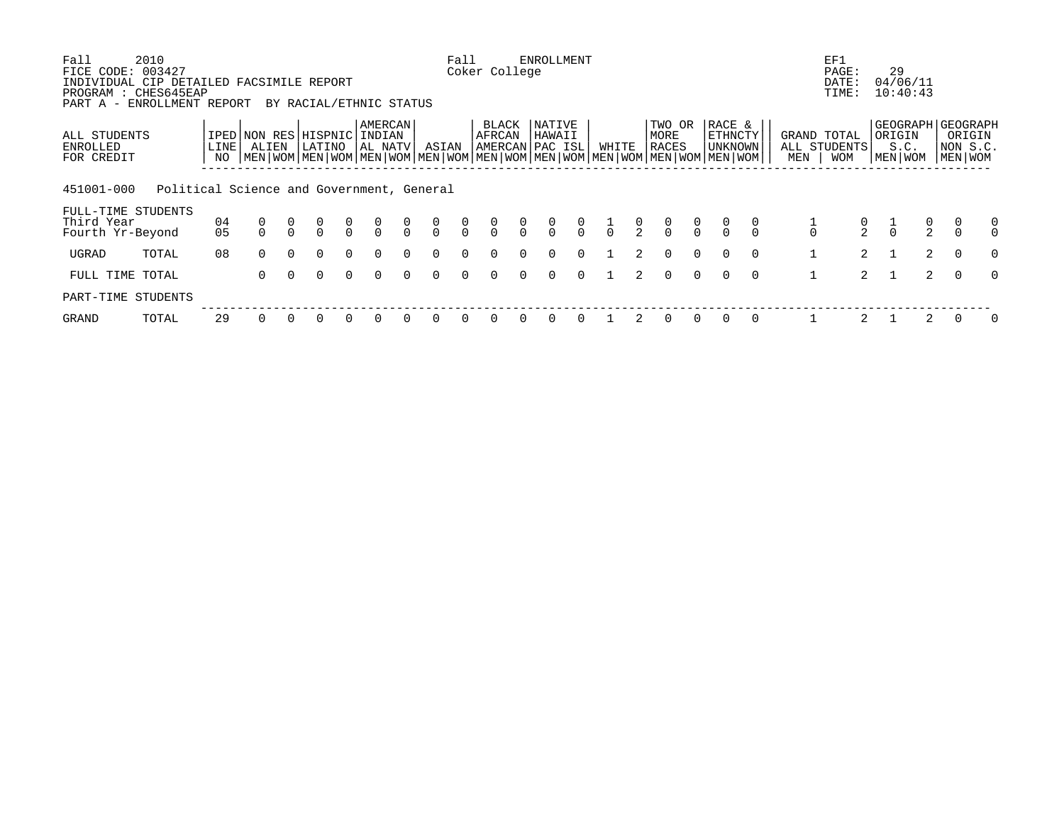| Fall<br>FICE CODE: 003427                                                                      | 2010                                      |                      |                                                                                                                                      |                |                   |                                      |                              |               |                                      | Fall          | Coker College   |               | <b>ENROLLMENT</b>                    |                |               |               |                                |          |                                            |          |               | EF1<br>PAGE:                       | 29                                             |                |                                   |               |
|------------------------------------------------------------------------------------------------|-------------------------------------------|----------------------|--------------------------------------------------------------------------------------------------------------------------------------|----------------|-------------------|--------------------------------------|------------------------------|---------------|--------------------------------------|---------------|-----------------|---------------|--------------------------------------|----------------|---------------|---------------|--------------------------------|----------|--------------------------------------------|----------|---------------|------------------------------------|------------------------------------------------|----------------|-----------------------------------|---------------|
| INDIVIDUAL CIP DETAILED FACSIMILE REPORT<br>PROGRAM : CHES645EAP<br>PART A - ENROLLMENT REPORT |                                           |                      |                                                                                                                                      |                |                   |                                      | BY RACIAL/ETHNIC STATUS      |               |                                      |               |                 |               |                                      |                |               |               |                                |          |                                            |          |               | DATE:<br>TIME:                     | 04/06/11<br>10:40:43                           |                |                                   |               |
| ALL STUDENTS<br>ENROLLED<br>FOR CREDIT                                                         |                                           | <b>LINE</b><br>NO.   | IPED NON RES<br>ALIEN<br>  MEN   WOM   MEN   WOM   MEN   WOM   MEN   WOM   MEN   WOM   MEN   WOM   MEN   WOM   MEN   WOM   MEN   WOM |                | HISPNIC<br>LATINO |                                      | AMERCAN<br>INDIAN<br>AL NATV |               | ASIAN                                |               | BLACK<br>AFRCAN |               | NATIVE<br>HAWAII<br>AMERCAN PAC ISL  |                | WHITE         |               | TWO OR<br>MORE<br><b>RACES</b> |          | RACE &<br><b>ETHNCTY</b><br><b>UNKNOWN</b> |          | MEN           | GRAND TOTAL<br>ALL STUDENTS<br>MOM | GEOGRAPH GEOGRAPH<br>ORIGIN<br>S.C.<br>MEN WOM |                | ORIGIN<br>NON S.C.<br>  MEN   WOM |               |
| 451001-000                                                                                     | Political Science and Government, General |                      |                                                                                                                                      |                |                   |                                      |                              |               |                                      |               |                 |               |                                      |                |               |               |                                |          |                                            |          |               |                                    |                                                |                |                                   |               |
| FULL-TIME STUDENTS<br>Third Year<br>Fourth Yr-Beyond                                           |                                           | 04<br>0 <sub>5</sub> | 0                                                                                                                                    | $\overline{0}$ | 0<br>$\cap$       | $\begin{matrix} 0 \\ 0 \end{matrix}$ | $\frac{0}{0}$                | $\frac{0}{0}$ | $\begin{matrix} 0 \\ 0 \end{matrix}$ | $\frac{0}{0}$ | $\frac{0}{0}$   | $\frac{0}{0}$ | $\begin{matrix} 0 \\ 0 \end{matrix}$ | $\int_{0}^{0}$ | $\frac{1}{0}$ | $\frac{0}{2}$ | $\frac{0}{0}$                  | $\alpha$ |                                            |          | $\frac{1}{0}$ | $\frac{0}{2}$                      | $\frac{1}{0}$                                  | $\frac{0}{2}$  |                                   | 0<br>$\Omega$ |
| UGRAD                                                                                          | TOTAL                                     | 08                   | $\Omega$                                                                                                                             | $\Omega$       | $\Omega$          | $\Omega$                             | $\Omega$                     | $\Omega$      | $\Omega$                             | $\Omega$      | $\Omega$        | $\Omega$      | $\Omega$                             | $\Omega$       |               | 2             | $\Omega$                       | $\Omega$ | $\Omega$                                   | $\Omega$ |               | $\overline{a}$                     |                                                | $\overline{2}$ | $\Omega$                          | $\Omega$      |
| FULL TIME TOTAL                                                                                |                                           |                      | $\Omega$                                                                                                                             | $\Omega$       | $\Omega$          | $\Omega$                             | $\Omega$                     | $\Omega$      | $\Omega$                             | $\Omega$      | $\Omega$        | $\Omega$      | $\Omega$                             | $\Omega$       |               | $2^{\circ}$   | $\Omega$                       | $\Omega$ | $\Omega$                                   | $\Omega$ |               | $\overline{a}$                     |                                                | 2              | $\Omega$                          | $\Omega$      |
| PART-TIME STUDENTS                                                                             |                                           |                      |                                                                                                                                      |                |                   |                                      |                              |               |                                      |               |                 |               |                                      |                |               |               |                                |          |                                            |          |               |                                    |                                                |                |                                   |               |
| GRAND                                                                                          | TOTAL                                     | 29                   |                                                                                                                                      |                |                   |                                      |                              |               | 0                                    |               |                 |               | 0                                    | $\Omega$       |               |               | 0                              | 0        | $\Omega$                                   |          |               | 2                                  |                                                |                |                                   | 0             |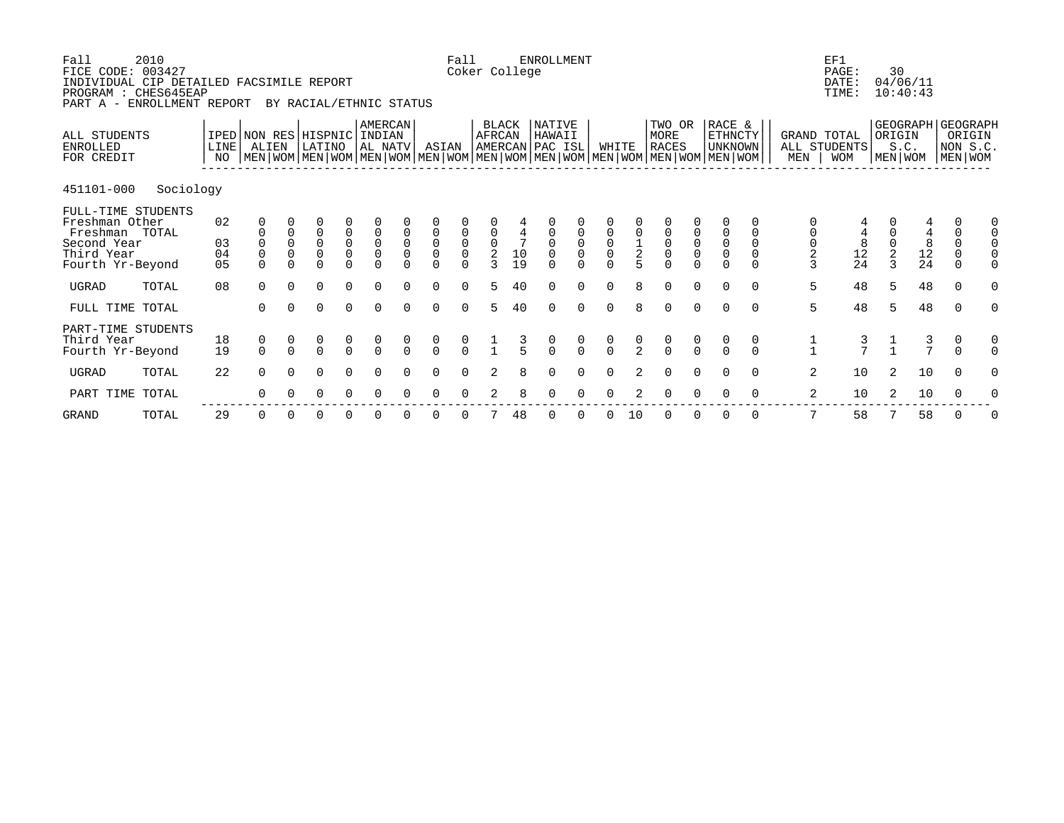| Fall<br>FICE CODE: 003427                                                         | 2010<br>INDIVIDUAL CIP DETAILED FACSIMILE REPORT<br>PROGRAM : CHES645EAP<br>PART A - ENROLLMENT REPORT |                                  |                                                                                                                                                     |                                 | BY RACIAL/ETHNIC STATUS |                                                |                                     |                                                       |                      | Fall                                         | Coker College             |                    | <b>ENROLLMENT</b> |                                                  |                                               |                                              |                           |                                     |                                                |                            |                  | EF1<br>PAGE:<br>DATE:<br>TIME:            | 30     | 04/06/11<br>10:40:43                         |                                        |                                                              |
|-----------------------------------------------------------------------------------|--------------------------------------------------------------------------------------------------------|----------------------------------|-----------------------------------------------------------------------------------------------------------------------------------------------------|---------------------------------|-------------------------|------------------------------------------------|-------------------------------------|-------------------------------------------------------|----------------------|----------------------------------------------|---------------------------|--------------------|-------------------|--------------------------------------------------|-----------------------------------------------|----------------------------------------------|---------------------------|-------------------------------------|------------------------------------------------|----------------------------|------------------|-------------------------------------------|--------|----------------------------------------------|----------------------------------------|--------------------------------------------------------------|
| ALL STUDENTS<br><b>ENROLLED</b><br>FOR CREDIT                                     |                                                                                                        | LINE <sup>[</sup><br>NO          | IPED NON RES HISPNIC INDIAN<br>ALIEN<br>  MEN   WOM   MEN   WOM   MEN   WOM   MEN   WOM   MEN   WOM   MEN   WOM   MEN   WOM   MEN   WOM   MEN   WOM |                                 | LATINO                  |                                                | AMERCAN<br>AL NATV                  |                                                       | ASIAN                |                                              | AFRCAN<br>AMERCAN PAC ISL | BLACK              | NATIVE<br>HAWAII  |                                                  | WHITE                                         |                                              | TWO OR<br>MORE<br>RACES   |                                     | RACE &<br>ETHNCTY<br><b>UNKNOWN</b>            |                            | MEN              | GRAND TOTAL<br>ALL STUDENTS<br><b>WOM</b> | ORIGIN | S.C.<br>MEN WOM                              |                                        | GEOGRAPH GEOGRAPH<br>ORIGIN<br>NON S.C.<br>  MEN   WOM       |
| 451101-000                                                                        | Sociology                                                                                              |                                  |                                                                                                                                                     |                                 |                         |                                                |                                     |                                                       |                      |                                              |                           |                    |                   |                                                  |                                               |                                              |                           |                                     |                                                |                            |                  |                                           |        |                                              |                                        |                                                              |
| Freshman Other<br>Freshman TOTAL<br>Second Year<br>Third Year<br>Fourth Yr-Beyond | FULL-TIME STUDENTS                                                                                     | 02<br>03<br>04<br>0 <sub>5</sub> | 0<br>$\Omega$                                                                                                                                       | $\mathbf 0$<br>0<br>$\mathbf 0$ | 0<br>0<br>0             | 0<br>$\mathsf 0$<br>$\overline{0}$<br>$\Omega$ | 0<br>$\mathsf{O}$<br>$\overline{0}$ | $\mathbf 0$<br>$\mathbf 0$<br>$\mathsf 0$<br>$\Omega$ | 0<br>0<br>0<br>U     | 0<br>$\mathsf 0$<br>$\overline{0}$<br>$\cap$ | 0<br>$\frac{0}{2}$        | $10$<br>19         | 0<br>0            | $\mathsf 0$<br>$_{\rm 0}^{\rm 0}$<br>$\cap$      | $\mathbf 0$<br>$_{\rm 0}^{\rm 0}$<br>$\Omega$ | $\begin{array}{c}\n1 \\ 2 \\ 5\n\end{array}$ | 0<br>0<br>0<br>U          | 0<br>$_{\rm 0}^{\rm 0}$<br>$\Omega$ | 0<br>$\mathbf 0$<br>$\overline{0}$<br>$\Omega$ | $\mathbf 0$<br>$\mathbf 0$ | $\mathsf 0$<br>3 | 4<br>$\frac{8}{24}$                       | 2      | $\begin{array}{c} 8 \\ 12 \\ 24 \end{array}$ | 0<br>$\mathbf 0$<br>0<br>0<br>$\Omega$ | 0<br>$\mathbf 0$<br>$\mathsf{O}$<br>$\mathsf{O}$<br>$\Omega$ |
| <b>UGRAD</b>                                                                      | TOTAL                                                                                                  | 08                               | $\Omega$                                                                                                                                            |                                 | U                       | $\Omega$                                       | $\Omega$                            | $\Omega$                                              | $\Omega$             | $\Omega$                                     | 5                         | 40                 | U                 | $\Omega$                                         | $\Omega$                                      | 8                                            | $\Omega$                  | $\cap$                              | $\Omega$                                       | $\cap$                     | 5                | 48                                        | 5      | 48                                           | $\Omega$                               | $\Omega$                                                     |
| FULL TIME TOTAL                                                                   |                                                                                                        |                                  | $\Omega$                                                                                                                                            | $\Omega$                        | 0                       | 0                                              | $\Omega$                            | $\Omega$                                              | $\Omega$             | $\Omega$                                     | 5                         | 40                 | U                 | $\Omega$                                         | $\Omega$                                      | 8                                            | $\Omega$                  | $\Omega$                            | $\Omega$                                       | $\Omega$                   | 5                | 48                                        | 5      | 48                                           | $\Omega$                               |                                                              |
| Third Year<br>Fourth Yr-Beyond<br><b>UGRAD</b>                                    | PART-TIME STUDENTS<br>TOTAL                                                                            | 18<br>19<br>22                   | 0<br>$\Omega$<br>$\Omega$                                                                                                                           | $\Omega$<br>$\Omega$            | $\Omega$<br>0           | $\cap$<br>$\mathbf 0$                          | $\frac{0}{0}$<br>$\Omega$           | $\Omega$<br>$\Omega$                                  | $\Omega$<br>$\Omega$ | $\frac{0}{0}$<br>$\Omega$                    | 2                         | $\frac{3}{5}$<br>8 | $\cap$<br>0       | $\begin{matrix} 0 \\ 0 \end{matrix}$<br>$\Omega$ | $\frac{0}{0}$<br>$\Omega$                     | $\frac{0}{2}$                                | $\frac{0}{0}$<br>$\Omega$ | $\frac{0}{0}$<br>$\Omega$           | $\Omega$<br>$\Omega$                           | 0<br>$\cap$<br>$\Omega$    | $\overline{a}$   | $\frac{3}{7}$<br>10                       | 2      | $\frac{3}{7}$<br>10                          | 0<br>$\Omega$<br>$\Omega$              | 0<br>$\Omega$<br>0                                           |
| PART TIME                                                                         | TOTAL                                                                                                  |                                  | 0                                                                                                                                                   |                                 |                         |                                                |                                     |                                                       |                      |                                              |                           |                    |                   |                                                  |                                               |                                              |                           |                                     |                                                |                            | 2                | 10                                        |        | 10                                           |                                        |                                                              |

 ------------------------------------------------------------------------------------------------------------- GRAND TOTAL 29 0 0 0 0 0 0 0 0 7 48 0 0 0 10 0 0 0 0 7 58 7 58 0 0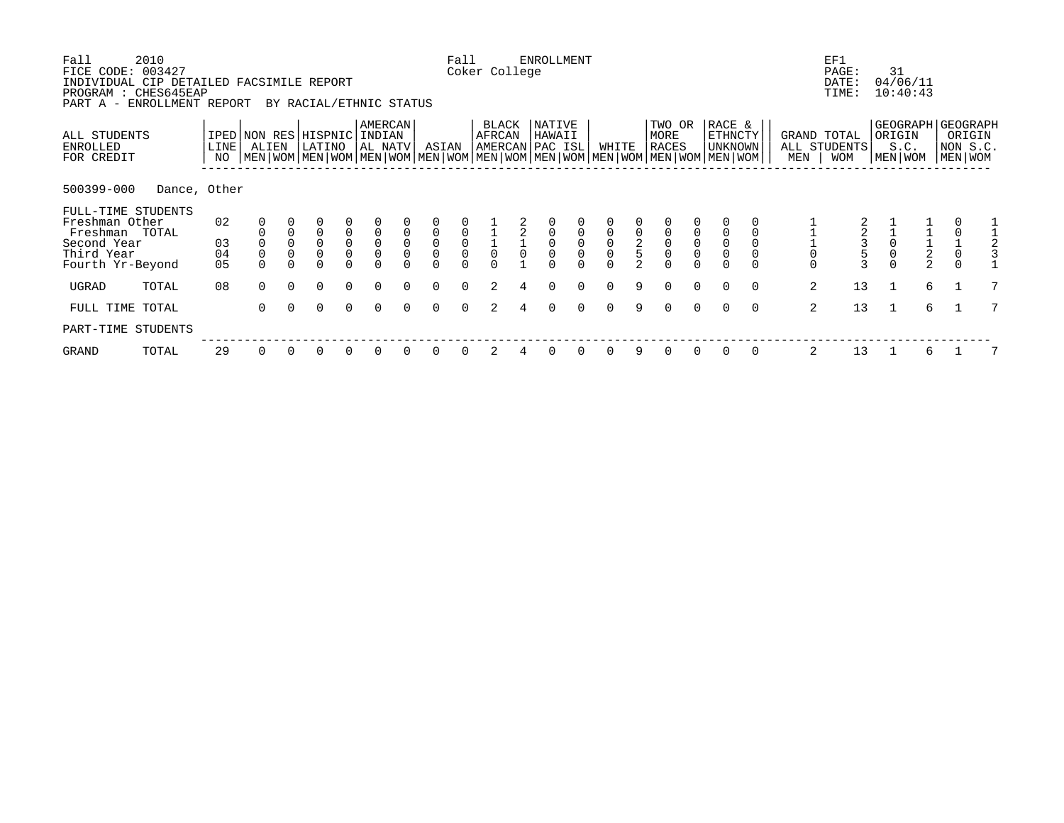| Fall<br>FICE CODE:<br>INDIVIDUAL CIP DETAILED FACSIMILE REPORT | 2010<br>003427 |                |                               |             |                               |                                           |                                       |                  |                                       | Fall                                      | Coker College   | <b>ENROLLMENT</b>                    |          |                |                |                                                |                       |                                                                                                                                                    |          |                                 | EF1<br>PAGE:<br>DATE:      | 31             | 04/06/11                                 |                                   |   |
|----------------------------------------------------------------|----------------|----------------|-------------------------------|-------------|-------------------------------|-------------------------------------------|---------------------------------------|------------------|---------------------------------------|-------------------------------------------|-----------------|--------------------------------------|----------|----------------|----------------|------------------------------------------------|-----------------------|----------------------------------------------------------------------------------------------------------------------------------------------------|----------|---------------------------------|----------------------------|----------------|------------------------------------------|-----------------------------------|---|
| PROGRAM : CHES645EAP<br>PART A - ENROLLMENT REPORT             |                |                |                               |             | BY RACIAL/ETHNIC STATUS       |                                           |                                       |                  |                                       |                                           |                 |                                      |          |                |                |                                                |                       |                                                                                                                                                    |          |                                 | TIME:                      |                | 10:40:43                                 |                                   |   |
| ALL STUDENTS<br>ENROLLED<br>FOR CREDIT                         |                | LINE  <br>NO   | IPED NON RES HISPNIC<br>ALIEN |             | LATINO                        |                                           | <b>AMERCAN</b><br>INDIAN<br>  AL NATV |                  | ASIAN                                 |                                           | BLACK<br>AFRCAN | NATIVE<br>HAWAII<br> AMERCAN PAC ISL |          | WHITE          |                | TWO OR<br>MORE<br><b>RACES</b>                 |                       | RACE &<br><b>ETHNCTY</b><br>UNKNOWN<br>  MEN   WOM   MEN   WOM   MEN   WOM   MEN   WOM   MEN   WOM   MEN   WOM   MEN   WOM   MEN   WOM   MEN   WOM |          | GRAND TOTAL<br>MEN              | ALL STUDENTS<br><b>WOM</b> | ORIGIN         | GEOGRAPH GEOGRAPH<br>S.C.<br>  MEN   WOM | ORIGIN<br>NON S.C.<br>  MEN   WOM |   |
| 500399-000                                                     | Dance, Other   |                |                               |             |                               |                                           |                                       |                  |                                       |                                           |                 |                                      |          |                |                |                                                |                       |                                                                                                                                                    |          |                                 |                            |                |                                          |                                   |   |
| FULL-TIME STUDENTS<br>Freshman Other<br>Freshman TOTAL         |                | 02             |                               |             |                               |                                           | $\overline{0}$                        |                  | $\mathsf 0$                           |                                           |                 |                                      |          |                |                |                                                |                       |                                                                                                                                                    |          |                                 |                            |                |                                          |                                   |   |
| Second Year<br>Third Year<br>Fourth Yr-Beyond                  |                | 03<br>04<br>05 | $\mathsf 0$                   | $\mathsf 0$ | $\mathbf 0$<br>$\overline{0}$ | $\begin{matrix} 0 \\ 0 \\ 0 \end{matrix}$ | $\overline{0}$<br>$\mathsf 0$         | $\mathbf 0$<br>0 | $\mathsf{O}\xspace$<br>$\overline{0}$ | $\begin{matrix} 0 \\ 0 \\ 0 \end{matrix}$ | $\overline{0}$  | $\mathsf{O}$                         |          | $\overline{0}$ | $\overline{2}$ | $\begin{matrix} 0 \\ 0 \\ 0 \\ 0 \end{matrix}$ | $\overline{0}$<br>$0$ | $\mathbf 0$                                                                                                                                        |          | $\mathsf{O}\xspace$<br>$\Omega$ | $\frac{2}{3}$              |                | $\frac{1}{2}$<br>2                       | $\frac{1}{0}$<br>$\Omega$         |   |
| UGRAD                                                          | TOTAL          | 08             | $\Omega$                      | $\Omega$    | $\Omega$                      | $\Omega$                                  | $\Omega$                              | $\Omega$         | $\Omega$                              | $\Omega$                                  |                 | $\Omega$                             | $\Omega$ | $\Omega$       | 9              | $\Omega$                                       | $\Omega$              | $\Omega$                                                                                                                                           | 0        | 2                               | 13                         |                | 6                                        |                                   | 7 |
| FULL TIME TOTAL                                                |                |                | $\Omega$                      | $\Omega$    | $\Omega$                      | $\Omega$                                  | $\Omega$                              |                  | $\Omega$                              | $\cap$                                    |                 | $\Omega$                             | $\Omega$ | $\cap$         | 9              | $\Omega$                                       | $\Omega$              | $\Omega$                                                                                                                                           | $\Omega$ | 2                               | 13                         | $\overline{1}$ | 6                                        |                                   | 7 |
| PART-TIME STUDENTS                                             |                |                |                               |             |                               |                                           |                                       |                  |                                       |                                           |                 |                                      |          |                |                |                                                |                       |                                                                                                                                                    |          |                                 |                            |                |                                          |                                   |   |
| GRAND                                                          | TOTAL          | 29             | 0                             |             | 0                             |                                           |                                       |                  | 0                                     |                                           |                 |                                      |          |                | 9              | 0                                              | 0                     | 0                                                                                                                                                  | 0        | 2                               | 13                         |                | 6                                        |                                   |   |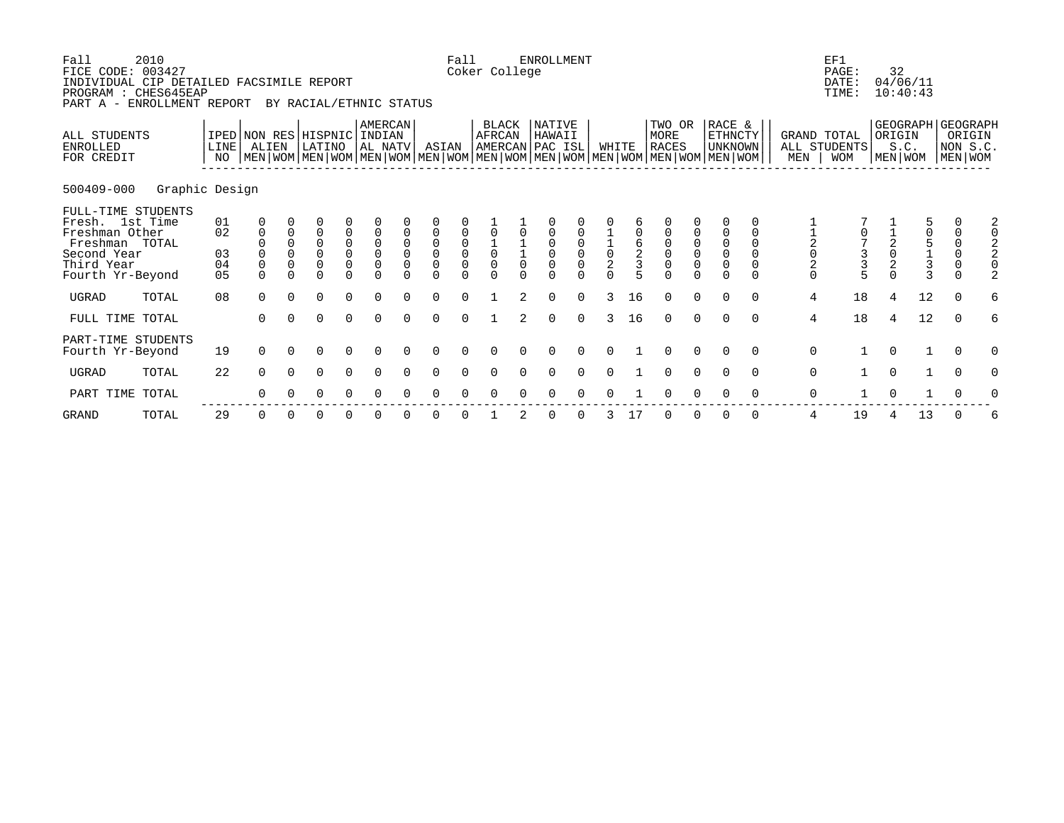| Fall<br>FICE CODE: 003427<br>INDIVIDUAL CIP DETAILED FACSIMILE REPORT<br>PROGRAM : CHES645EAP<br>PART A - ENROLLMENT REPORT | 2010           |                            |                                                          |                                                    | BY RACIAL/ETHNIC STATUS                                                                                                                              |                                                                      |                                                                         |                            |                                                                                  | Fall                                                | Coker College                                         |                | ENROLLMENT       |                                           |                                               |                                            |      |                                                                                                                      |                                                               |                    |                                                               | EF1<br>PAGE:<br>DATE:<br>TIME:               |                   | 32<br>04/06/11<br>10:40:43                       |                                   |                                                            |   |
|-----------------------------------------------------------------------------------------------------------------------------|----------------|----------------------------|----------------------------------------------------------|----------------------------------------------------|------------------------------------------------------------------------------------------------------------------------------------------------------|----------------------------------------------------------------------|-------------------------------------------------------------------------|----------------------------|----------------------------------------------------------------------------------|-----------------------------------------------------|-------------------------------------------------------|----------------|------------------|-------------------------------------------|-----------------------------------------------|--------------------------------------------|------|----------------------------------------------------------------------------------------------------------------------|---------------------------------------------------------------|--------------------|---------------------------------------------------------------|----------------------------------------------|-------------------|--------------------------------------------------|-----------------------------------|------------------------------------------------------------|---|
| ALL STUDENTS<br><b>ENROLLED</b><br>FOR CREDIT                                                                               |                | LINE<br>NO.                | ALIEN                                                    |                                                    | IPED NON RES HISPNIC INDIAN<br>LATINO<br>  MEN   WOM   MEN   WOM   MEN   WOM   MEN   WOM   MEN   WOM   MEN   WOM   MEN   WOM   MEN   WOM   MEN   WOM |                                                                      | AMERCAN<br>AL NATV                                                      |                            | ASIAN                                                                            |                                                     | BLACK<br>AFRCAN<br>AMERCAN PAC ISL                    |                | NATIVE<br>HAWAII |                                           | WHITE                                         |                                            | MORE | TWO OR<br><b>RACES</b>                                                                                               | RACE &                                                        | ETHNCTY<br>UNKNOWN | MEN                                                           | GRAND TOTAL<br>ALL STUDENTS<br><b>WOM</b>    |                   | GEOGRAPH   GEOGRAPH<br>ORIGIN<br>S.C.<br>MEN WOM |                                   | ORIGIN<br>NON S.C.<br>MEN   WOM                            |   |
| 500409-000                                                                                                                  | Graphic Design |                            |                                                          |                                                    |                                                                                                                                                      |                                                                      |                                                                         |                            |                                                                                  |                                                     |                                                       |                |                  |                                           |                                               |                                            |      |                                                                                                                      |                                                               |                    |                                                               |                                              |                   |                                                  |                                   |                                                            |   |
| FULL-TIME STUDENTS<br>Fresh. 1st Time<br>Freshman Other<br>Freshman TOTAL<br>Second Year<br>Third Year<br>Fourth Yr-Beyond  |                | 01<br>02<br>03<br>04<br>05 | 0<br>$\mathbf{0}$<br>$\Omega$<br>$\mathbf 0$<br>$\Omega$ | $\mathbf 0$<br>$\Omega$<br>$\Omega$<br>$\mathbf 0$ | $\overline{0}$<br>$\Omega$<br>0<br>$\overline{0}$<br>$\Omega$                                                                                        | 0<br>$\mathsf 0$<br>$\begin{matrix} 0 \\ 0 \end{matrix}$<br>$\Omega$ | $\mathbf 0$<br>$\mathbf 0$<br>$\overline{0}$<br>$\mathbf 0$<br>$\Omega$ | $\mathbf 0$<br>$\mathbf 0$ | $\overline{0}$<br>$\overline{0}$<br>$\overline{0}$<br>$\overline{0}$<br>$\Omega$ | $\begin{matrix} 0 \\ 0 \\ 0 \end{matrix}$<br>$\cap$ | $\begin{matrix} 1 \\ 0 \\ 0 \end{matrix}$<br>$\Omega$ |                | $\overline{0}$   | $\begin{matrix} 0 \\ 0 \\ 0 \end{matrix}$ | $\begin{smallmatrix}1\\0\\2\end{smallmatrix}$ | $\begin{array}{c} 6 \\ 2 \\ 3 \end{array}$ |      | $\mathsf 0$<br>$\begin{matrix} 0 \\ 0 \\ 0 \end{matrix}$<br>$\begin{matrix} 0 \\ 0 \end{matrix}$<br>$\cap$<br>$\cap$ | $\mathbf 0$<br>$\mathbf 0$<br>$\overline{0}$<br>0<br>$\Omega$ | $\cap$             | $\begin{array}{c}\n1 \\ 2 \\ 0 \\ 2\n\end{array}$<br>$\Omega$ | $\begin{array}{c}\n3 \\ 3 \\ 5\n\end{array}$ | $\frac{1}{2}$ 0 2 |                                                  | 5<br>0<br>5<br>1<br>$\frac{1}{3}$ | 0<br>$\begin{matrix} 0 \\ 0 \\ 0 \end{matrix}$<br>$\Omega$ | 2 |
| <b>UGRAD</b>                                                                                                                | TOTAL          | 08                         | $\Omega$                                                 | $\Omega$                                           | $\Omega$                                                                                                                                             | $\Omega$                                                             | $\Omega$                                                                |                            | $\Omega$                                                                         | $\Omega$                                            |                                                       |                | $\cap$           | $\Omega$                                  |                                               | 16                                         |      | $\cap$<br><sup>n</sup>                                                                                               | $\cap$                                                        | $\cap$             | $\overline{4}$                                                | 18                                           | 4                 | 12                                               |                                   | $\Omega$                                                   | 6 |
| FULL TIME TOTAL                                                                                                             |                |                            | $\Omega$                                                 |                                                    | $\Omega$                                                                                                                                             | $\Omega$                                                             | $\Omega$                                                                | $\Omega$                   | $\Omega$                                                                         | $\Omega$                                            |                                                       | $\overline{a}$ | $\Omega$         | $\Omega$                                  | 3                                             | 16                                         |      | $\Omega$<br>$\Omega$                                                                                                 | $\Omega$                                                      | $\Omega$           | $\overline{4}$                                                | 18                                           | $\overline{4}$    | 12                                               |                                   | $\Omega$                                                   | 6 |
| PART-TIME STUDENTS<br>Fourth Yr-Beyond                                                                                      |                | 19                         | $\Omega$                                                 | $\Omega$                                           | $\Omega$                                                                                                                                             | $\Omega$                                                             | $\Omega$                                                                |                            | $\Omega$                                                                         | $\Omega$                                            | $\Omega$                                              |                |                  |                                           | $\Omega$                                      |                                            |      | $\Omega$                                                                                                             |                                                               | $\Omega$           | $\mathbf 0$                                                   |                                              | $\Omega$          |                                                  |                                   | $\Omega$                                                   |   |
| UGRAD                                                                                                                       | TOTAL          | 22                         | $\Omega$                                                 | $\cap$                                             | $\Omega$                                                                                                                                             | $\Omega$                                                             | $\Omega$                                                                |                            | $\Omega$                                                                         | $\Omega$                                            | $\Omega$                                              |                |                  |                                           |                                               |                                            |      |                                                                                                                      |                                                               | $\Omega$           | $\mathbf 0$                                                   |                                              | $\Omega$          |                                                  |                                   | $\Omega$                                                   |   |
| PART TIME TOTAL                                                                                                             |                |                            |                                                          |                                                    |                                                                                                                                                      |                                                                      | ∩                                                                       |                            | n                                                                                |                                                     |                                                       |                |                  |                                           |                                               |                                            |      |                                                                                                                      |                                                               |                    | $\mathbf 0$                                                   |                                              | ∩                 |                                                  |                                   |                                                            |   |

GRAND TOTAL 29 0 0 0 0 0 0 0 0 1 2 0 0 3 17 0 0 0 0 4 19 4 13 0 6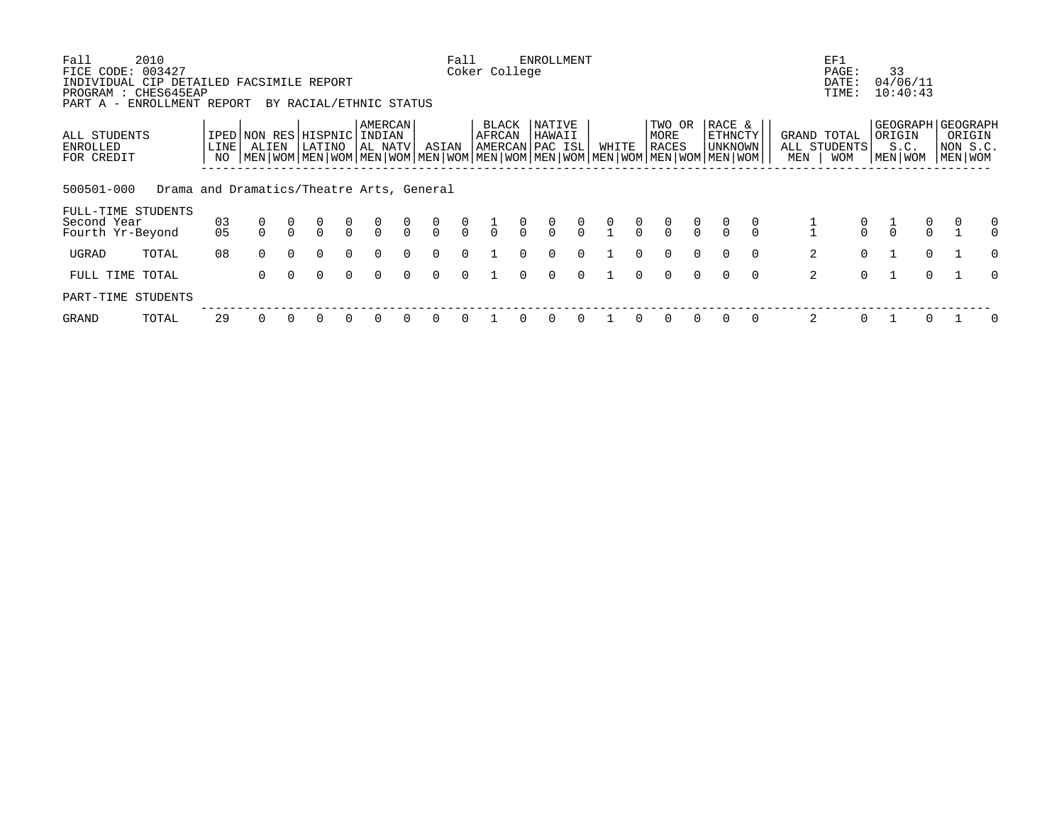| Fall<br>FICE CODE: 003427                                                                      | 2010                                      |                      |                                                                                                                                              |          |                         |               |                              |               |                                      | Fall          | Coker College                      |               | <b>ENROLLMENT</b> |               |       |               |                         |               |                              |          |     | EF1<br>PAGE:                              | 33                                               |          |                                   |               |
|------------------------------------------------------------------------------------------------|-------------------------------------------|----------------------|----------------------------------------------------------------------------------------------------------------------------------------------|----------|-------------------------|---------------|------------------------------|---------------|--------------------------------------|---------------|------------------------------------|---------------|-------------------|---------------|-------|---------------|-------------------------|---------------|------------------------------|----------|-----|-------------------------------------------|--------------------------------------------------|----------|-----------------------------------|---------------|
| INDIVIDUAL CIP DETAILED FACSIMILE REPORT<br>PROGRAM : CHES645EAP<br>PART A - ENROLLMENT REPORT |                                           |                      |                                                                                                                                              |          | BY RACIAL/ETHNIC STATUS |               |                              |               |                                      |               |                                    |               |                   |               |       |               |                         |               |                              |          |     | DATE:<br>TIME:                            | 04/06/11<br>10:40:43                             |          |                                   |               |
| ALL STUDENTS<br>ENROLLED<br>FOR CREDIT                                                         |                                           | LINE<br>NO           | IPED NON RES HISPNIC<br>ALIEN<br>  MEN   WOM   MEN   WOM   MEN   WOM   MEN   WOM   MEN   WOM   MEN   WOM   MEN   WOM   MEN   WOM   MEN   WOM |          | LATINO                  |               | AMERCAN<br>INDIAN<br>AL NATV |               | ASIAN                                |               | BLACK<br>AFRCAN<br>AMERCAN PAC ISL |               | NATIVE<br>HAWAII  |               | WHITE |               | TWO OR<br>MORE<br>RACES |               | RACE &<br>ETHNCTY<br>UNKNOWN |          | MEN | GRAND TOTAL<br>ALL STUDENTS<br><b>WOM</b> | GEOGRAPH   GEOGRAPH<br>ORIGIN<br>S.C.<br>MEN WOM |          | ORIGIN<br>NON S.C.<br>  MEN   WOM |               |
| 500501-000                                                                                     | Drama and Dramatics/Theatre Arts, General |                      |                                                                                                                                              |          |                         |               |                              |               |                                      |               |                                    |               |                   |               |       |               |                         |               |                              |          |     |                                           |                                                  |          |                                   |               |
| FULL-TIME STUDENTS<br>Second Year<br>Fourth Yr-Beyond                                          |                                           | 03<br>0 <sub>5</sub> | 0                                                                                                                                            |          | $\frac{0}{0}$           | $\frac{0}{0}$ | $\frac{0}{0}$                | $\frac{0}{0}$ | $\begin{matrix} 0 \\ 0 \end{matrix}$ | $\frac{0}{0}$ | $\frac{1}{0}$                      | $\frac{0}{0}$ | $\frac{0}{0}$     | $\frac{0}{0}$ |       | $\frac{0}{0}$ | $\frac{0}{0}$           | $\frac{0}{0}$ |                              |          |     | $\frac{0}{0}$                             | $\frac{1}{0}$                                    | $\alpha$ |                                   | 0<br>$\Omega$ |
| UGRAD                                                                                          | TOTAL                                     | 08                   | $\Omega$                                                                                                                                     | $\Omega$ | $\Omega$                | $\Omega$      | $\Omega$                     | $\Omega$      | $\Omega$                             | $\Omega$      |                                    | $\Omega$      | $\Omega$          | $\Omega$      |       | $\Omega$      | $\Omega$                | $\Omega$      |                              | $\Omega$ | 2   | $\Omega$                                  |                                                  | $\Omega$ |                                   | $\Omega$      |
| FULL TIME TOTAL                                                                                |                                           |                      | $\Omega$                                                                                                                                     | $\Omega$ | $\Omega$                | $\Omega$      | $\Omega$                     | $\Omega$      | $\Omega$                             | $\Omega$      |                                    |               | $\Omega$          | $\Omega$      |       | $\Omega$      | $\Omega$                | $\Omega$      |                              | $\Omega$ | 2   | $\Omega$                                  |                                                  | $\cap$   |                                   | $\Omega$      |
| PART-TIME STUDENTS                                                                             |                                           |                      |                                                                                                                                              |          |                         |               |                              |               |                                      |               |                                    |               |                   |               |       |               |                         |               |                              |          |     |                                           |                                                  |          |                                   |               |
| GRAND                                                                                          | TOTAL                                     | 29                   |                                                                                                                                              |          |                         | $\Omega$      | $\Omega$                     |               | $\Omega$                             |               |                                    |               | $\Omega$          | $\Omega$      |       |               |                         |               |                              | $\Omega$ | 2   | 0                                         |                                                  |          |                                   | 0             |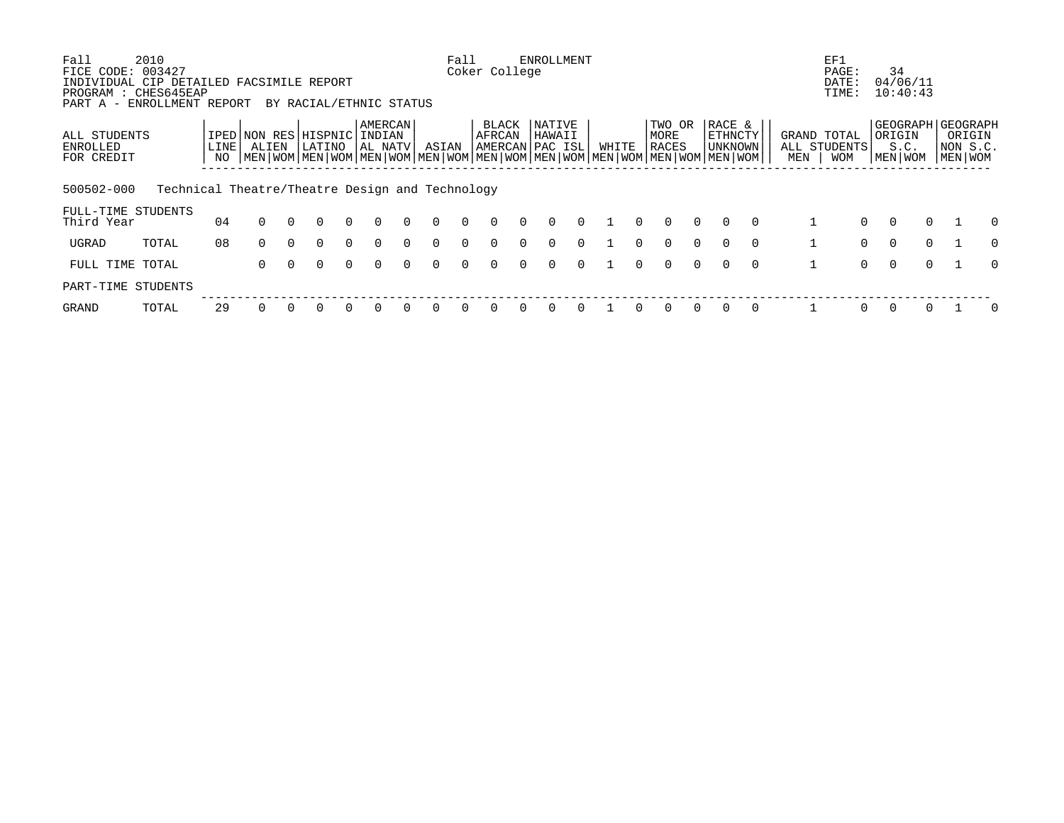| Fall                                                                                  | 2010                                            |            |          |          |                                |          |                              |          |          | Fall         |                                                                                                                           | <b>ENROLLMENT</b> |          |       |          |                         |          |                              |          |     | EF1                                       |          |                                             |                                                  |
|---------------------------------------------------------------------------------------|-------------------------------------------------|------------|----------|----------|--------------------------------|----------|------------------------------|----------|----------|--------------|---------------------------------------------------------------------------------------------------------------------------|-------------------|----------|-------|----------|-------------------------|----------|------------------------------|----------|-----|-------------------------------------------|----------|---------------------------------------------|--------------------------------------------------|
| FICE CODE: 003427<br>INDIVIDUAL CIP DETAILED FACSIMILE REPORT<br>PROGRAM : CHES645EAP |                                                 |            |          |          |                                |          |                              |          |          |              | Coker College                                                                                                             |                   |          |       |          |                         |          |                              |          |     | PAGE:<br>DATE:<br>TIME:                   |          | 34<br>04/06/11<br>10:40:43                  |                                                  |
| PART A -                                                                              | ENROLLMENT REPORT                               |            |          |          | BY RACIAL/ETHNIC STATUS        |          |                              |          |          |              |                                                                                                                           |                   |          |       |          |                         |          |                              |          |     |                                           |          |                                             |                                                  |
| ALL STUDENTS<br>ENROLLED<br>FOR CREDIT                                                |                                                 | LINE<br>NO | ALIEN    |          | IPED NON RES HISPNIC<br>LATINO |          | AMERCAN<br>INDIAN<br>AL NATV |          | ASIAN    |              | BLACK<br>AFRCAN<br>AMERCAN PAC ISL<br>NEN WOM MEN WOM MEN WOM MEN WOM MEN WOM MEN WOM MEN WOM MEN WOM MEN WOM MEN WOM MEN | NATIVE<br>HAWAII  |          | WHITE |          | TWO OR<br>MORE<br>RACES |          | RACE &<br>ETHNCTY<br>UNKNOWN |          | MEN | GRAND TOTAL<br>ALL STUDENTS<br><b>WOM</b> |          | GEOGRAPH  <br>ORIGIN<br>S.C.<br>  MEN   WOM | <b>GEOGRAPH</b><br>ORIGIN<br>NON S.C.<br>MEN WOM |
|                                                                                       |                                                 |            |          |          |                                |          |                              |          |          |              |                                                                                                                           |                   |          |       |          |                         |          |                              |          |     |                                           |          |                                             |                                                  |
| 500502-000                                                                            | Technical Theatre/Theatre Design and Technology |            |          |          |                                |          |                              |          |          |              |                                                                                                                           |                   |          |       |          |                         |          |                              |          |     |                                           |          |                                             |                                                  |
| FULL-TIME STUDENTS<br>Third Year                                                      |                                                 | 04         | $\Omega$ | $\cap$   | $\Omega$                       | $\Omega$ | $\Omega$                     | $\Omega$ | $\Omega$ | $\Omega$     | $\Omega$                                                                                                                  | $\Omega$          | $\Omega$ |       | $\Omega$ | $\Omega$                | $\Omega$ |                              | $\Omega$ |     | $\Omega$                                  | $\Omega$ | $\Omega$                                    | <sup>n</sup>                                     |
| UGRAD                                                                                 | TOTAL                                           | 08         | $\Omega$ | $\Omega$ | 0                              | $\Omega$ | $\Omega$                     | $\Omega$ | $\Omega$ | $\Omega$     |                                                                                                                           | $\Omega$          | $\Omega$ |       |          | $\Omega$                | $\Omega$ |                              | $\Omega$ |     | $\Omega$                                  | $\Omega$ | $\Omega$                                    | <sup>0</sup>                                     |
| FULL TIME TOTAL                                                                       |                                                 |            | 0        |          | $\Omega$                       | $\Omega$ | $\Omega$                     | $\cap$   | $\Omega$ | <sup>n</sup> | $\Omega$                                                                                                                  | $\cap$            | $\cap$   |       |          |                         | $\cap$   |                              | $\Omega$ |     | $\Omega$                                  | $\Omega$ | $\cap$                                      | <sup>n</sup>                                     |
| PART-TIME STUDENTS                                                                    |                                                 |            |          |          |                                |          |                              |          |          |              |                                                                                                                           |                   |          |       |          |                         |          |                              |          |     |                                           |          |                                             |                                                  |
| GRAND                                                                                 | TOTAL                                           | 29         |          |          |                                | $\Omega$ |                              |          | 0        |              |                                                                                                                           |                   |          |       |          |                         |          |                              | $\Omega$ |     | 0                                         | $\Omega$ |                                             | 0                                                |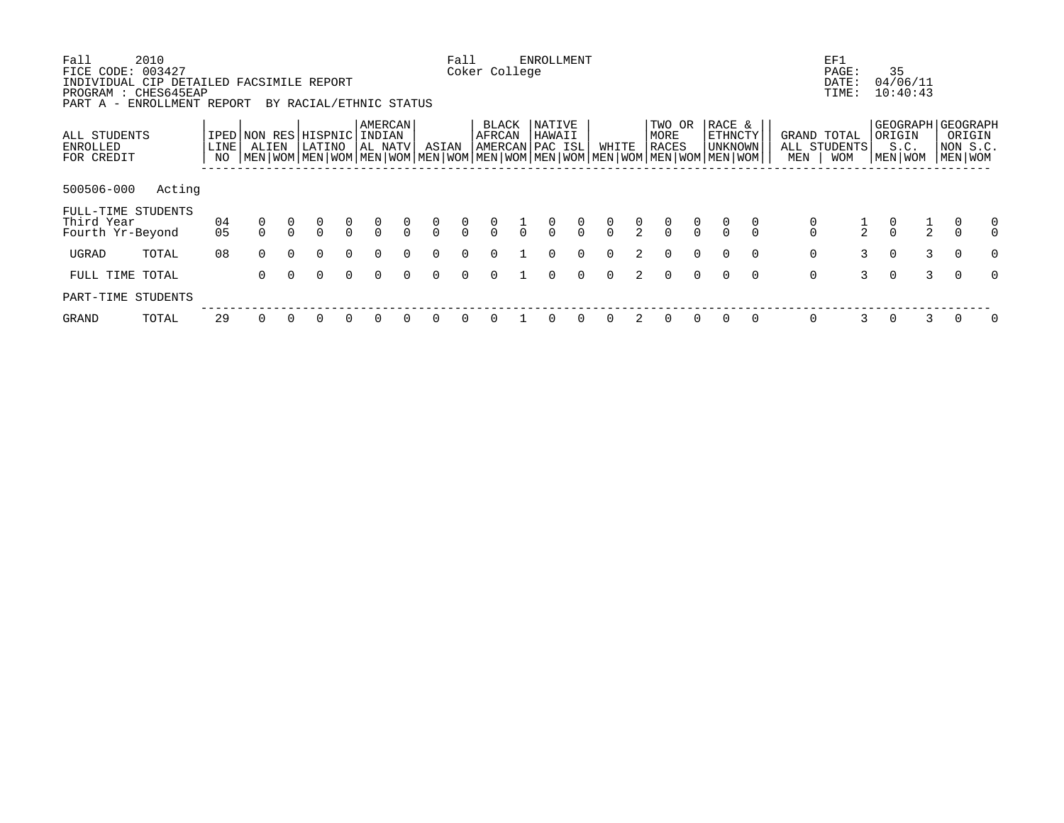| Fall<br>FICE CODE:<br>INDIVIDUAL CIP DETAILED FACSIMILE REPORT<br>PROGRAM : CHES645EAP<br>PART A - ENROLLMENT REPORT | 2010<br>003427 |              |                               |          | BY RACIAL/ETHNIC STATUS |               |                                |                |                                      | Fall          | Coker College                      |               | <b>ENROLLMENT</b> |                |                |               |                                      |               |                                                                                                                                                    |          |                                      | EF1<br>PAGE:<br>DATE:<br>TIME:     | 35             | 04/06/11<br>10:40:43 |                                                    |
|----------------------------------------------------------------------------------------------------------------------|----------------|--------------|-------------------------------|----------|-------------------------|---------------|--------------------------------|----------------|--------------------------------------|---------------|------------------------------------|---------------|-------------------|----------------|----------------|---------------|--------------------------------------|---------------|----------------------------------------------------------------------------------------------------------------------------------------------------|----------|--------------------------------------|------------------------------------|----------------|----------------------|----------------------------------------------------|
| ALL STUDENTS<br><b>ENROLLED</b><br>FOR CREDIT                                                                        |                | LINE  <br>NO | IPED NON RES HISPNIC<br>ALIEN |          | LATINO                  |               | AMERCAN<br>INDIAN<br>  AL NATV |                | ASIAN                                |               | BLACK<br>AFRCAN<br>AMERCAN PAC ISL |               | NATIVE<br>HAWAII  |                | WHITE          |               | TWO OR<br>MORE<br>RACES              |               | RACE &<br><b>ETHNCTY</b><br>UNKNOWN<br>  MEN   WOM   MEN   WOM   MEN   WOM   MEN   WOM   MEN   WOM   MEN   WOM   MEN   WOM   MEN   WOM   MEN   WOM |          | MEN                                  | GRAND TOTAL<br>ALL STUDENTS<br>WOM | ORIGIN         | S.C.<br>MEN   WOM    | GEOGRAPH GEOGRAPH<br>ORIGIN<br>NON S.C.<br>MEN WOM |
| 500506-000                                                                                                           | Acting         |              |                               |          |                         |               |                                |                |                                      |               |                                    |               |                   |                |                |               |                                      |               |                                                                                                                                                    |          |                                      |                                    |                |                      |                                                    |
| FULL-TIME STUDENTS<br>Third Year<br>Fourth Yr-Beyond                                                                 |                | 04<br>05     |                               |          | $\frac{0}{0}$           | $\frac{0}{0}$ | $\frac{0}{0}$                  | $\int_{0}^{0}$ | $\begin{matrix} 0 \\ 0 \end{matrix}$ | $\frac{0}{0}$ | $\frac{0}{0}$                      | $\frac{0}{1}$ | $\frac{0}{0}$     | $\int_{0}^{0}$ | $\int_{0}^{0}$ | $\frac{0}{2}$ | $\begin{matrix} 0 \\ 0 \end{matrix}$ | $\frac{0}{0}$ |                                                                                                                                                    |          | $\begin{matrix} 0 \\ 0 \end{matrix}$ | $rac{1}{2}$                        | $\int_{0}^{0}$ | $\frac{1}{2}$        | 0                                                  |
| UGRAD                                                                                                                | TOTAL          | 08           | $\Omega$                      | $\Omega$ | $\Omega$                | $\Omega$      | $\Omega$                       | $\Omega$       | $\Omega$                             | $\Omega$      |                                    |               | $\Omega$          | $\Omega$       | $\Omega$       | 2             | $\Omega$                             | $\Omega$      | $\Omega$                                                                                                                                           | $\Omega$ | $\mathsf{O}$                         | $\overline{3}$                     | $\Omega$       | 3                    | $\overline{0}$<br>$\Omega$                         |
| FULL TIME TOTAL                                                                                                      |                |              | 0                             | $\Omega$ | $\Omega$                | $\Omega$      | $\Omega$                       | $\Omega$       | $\Omega$                             | $\Omega$      |                                    |               | $\Omega$          | $\Omega$       | $\Omega$       | $2^{\circ}$   | $\Omega$                             | $\Omega$      | $\Omega$                                                                                                                                           | $\Omega$ | $\mathsf{O}$                         | 3                                  | $\Omega$       | $\mathcal{E}$        | $\Omega$<br>$\Omega$                               |
| PART-TIME STUDENTS                                                                                                   |                |              |                               |          |                         |               |                                |                |                                      |               |                                    |               |                   |                |                |               |                                      |               |                                                                                                                                                    |          |                                      |                                    |                |                      |                                                    |
| GRAND                                                                                                                | TOTAL          | 29           | 0                             |          | 0                       | $\Omega$      |                                |                |                                      |               |                                    |               |                   |                |                |               | 0                                    | $\Omega$      |                                                                                                                                                    | 0        | 0                                    |                                    |                | 3                    | 0                                                  |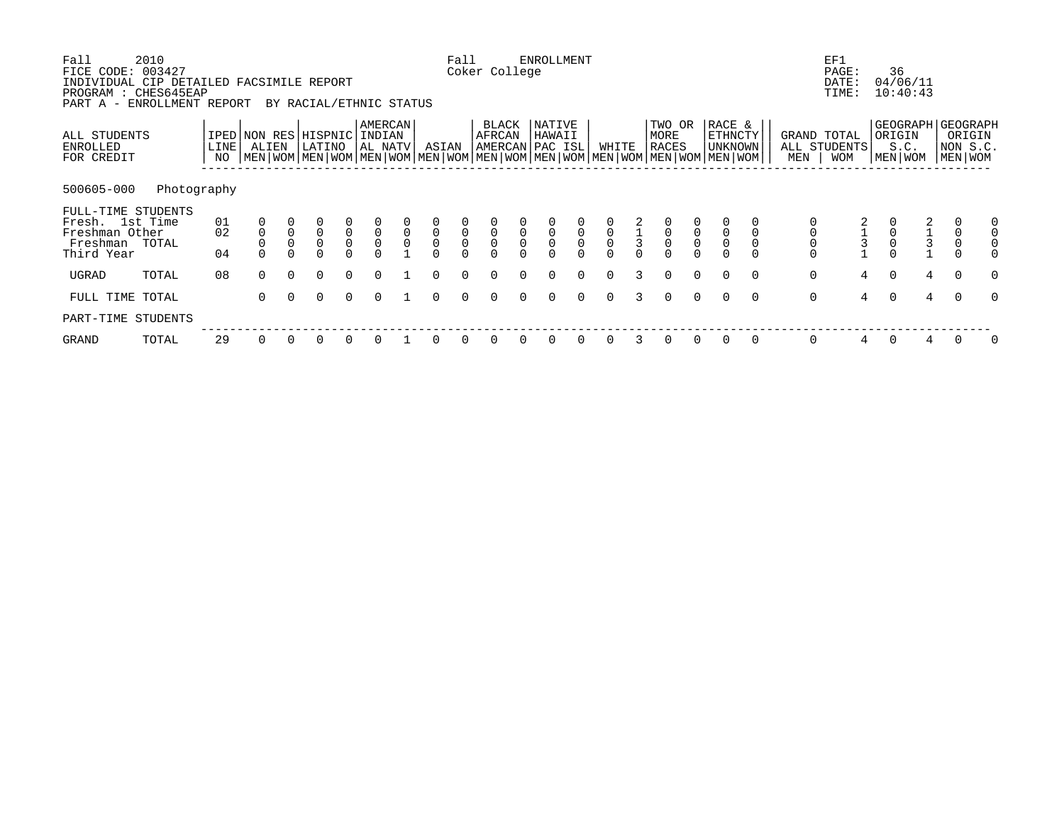| Fall<br>FICE CODE: 003427<br>INDIVIDUAL CIP DETAILED FACSIMILE REPORT<br>PROGRAM : CHES645EAP<br>PART A - ENROLLMENT REPORT | 2010        |                |                               |             | BY RACIAL/ETHNIC STATUS                |                     |                                |                            |                                         | Fall                                 | Coker College                      |                   | <b>ENROLLMENT</b>          |                                      |                     |              |                                                                                                                                               |                     |                              |          |                            | EF1<br>PAGE:<br>DATE:<br>TIME: | 36       | 04/06/11<br>10:40:43                       |                                                        |          |
|-----------------------------------------------------------------------------------------------------------------------------|-------------|----------------|-------------------------------|-------------|----------------------------------------|---------------------|--------------------------------|----------------------------|-----------------------------------------|--------------------------------------|------------------------------------|-------------------|----------------------------|--------------------------------------|---------------------|--------------|-----------------------------------------------------------------------------------------------------------------------------------------------|---------------------|------------------------------|----------|----------------------------|--------------------------------|----------|--------------------------------------------|--------------------------------------------------------|----------|
| ALL STUDENTS<br>ENROLLED<br>FOR CREDIT                                                                                      |             | LINE<br>NO     | IPED NON RES HISPNIC<br>ALIEN |             | LATINO                                 |                     | AMERCAN<br>  INDIAN<br>AL NATV |                            | ASIAN                                   |                                      | BLACK<br>AFRCAN<br>AMERCAN PAC ISL |                   | NATIVE<br>HAWAII           |                                      | WHITE               |              | TWO OR<br>MORE<br><b>RACES</b><br>  MEN   WOM   MEN   WOM   MEN   WOM   MEN   WOM   MEN   WOM   MEN   WOM   MEN   WOM   MEN   WOM   MEN   WOM |                     | RACE &<br>ETHNCTY<br>UNKNOWN |          | GRAND TOTAL<br>MEN         | ALL STUDENTS<br><b>WOM</b>     | ORIGIN   | S.C.<br>MEN   WOM                          | GEOGRAPH GEOGRAPH<br>ORIGIN<br>NON S.C.<br>  MEN   WOM |          |
| 500605-000                                                                                                                  | Photography |                |                               |             |                                        |                     |                                |                            |                                         |                                      |                                    |                   |                            |                                      |                     |              |                                                                                                                                               |                     |                              |          |                            |                                |          |                                            |                                                        |          |
| FULL-TIME STUDENTS<br>Fresh. 1st Time<br>Freshman Other<br>Freshman<br>Third Year                                           | TOTAL       | 01<br>02<br>04 |                               | $\mathsf 0$ | $\mathsf 0$<br>$\mathbf 0$<br>$\Omega$ | $\overline{0}$<br>0 | $\overline{0}$<br>$\mathsf{O}$ | $\mathbf 0$<br>$\mathbf 0$ | $\mathsf 0$<br>$\mathsf{O}$<br>$\Omega$ | $\begin{matrix} 0 \\ 0 \end{matrix}$ | $\overline{0}$<br>0                | 0<br>$\mathsf{O}$ | $\mathsf 0$<br>$\mathsf 0$ | $\begin{matrix} 0 \\ 0 \end{matrix}$ | $\overline{0}$<br>0 | $\mathbf{3}$ | $\overline{0}$<br>0                                                                                                                           | $\overline{0}$<br>0 | $\mathbf 0$                  |          | $\mathsf 0$<br>$\mathbf 0$ |                                |          | $\begin{array}{c} 2 \\ 1 \\ 3 \end{array}$ | $\mathbf 0$<br>$\mathsf{O}$<br>$\Omega$                |          |
| UGRAD                                                                                                                       | TOTAL       | 08             | $\Omega$                      | $\Omega$    | $\Omega$                               | $\Omega$            | $\Omega$                       |                            |                                         |                                      |                                    |                   |                            | $\Omega$                             |                     |              | $\Omega$                                                                                                                                      | $\Omega$            | $\Omega$                     | $\Omega$ | $\mathsf{O}$               | 4                              | $\Omega$ | $4\overline{ }$                            | $\Omega$                                               | O        |
| FULL TIME TOTAL                                                                                                             |             |                | $\Omega$                      | $\Omega$    | $\Omega$                               | $\Omega$            | $\Omega$                       |                            | $\Omega$                                | $\Omega$                             | $\Omega$                           | $\Omega$          | $\Omega$                   | $\Omega$                             | $\Omega$            | 3            | $\Omega$                                                                                                                                      | $\Omega$            | $\Omega$                     | $\Omega$ | $\mathbf 0$                | $4\overline{ }$                | $\Omega$ | 4                                          | $\Omega$                                               | $\Omega$ |
| PART-TIME STUDENTS                                                                                                          |             |                |                               |             |                                        |                     |                                |                            |                                         |                                      |                                    |                   |                            |                                      |                     |              |                                                                                                                                               |                     |                              |          |                            |                                |          |                                            |                                                        |          |
| GRAND                                                                                                                       | TOTAL       | 29             | 0                             |             | 0                                      | 0                   |                                |                            |                                         |                                      |                                    |                   |                            |                                      |                     |              | 0                                                                                                                                             | 0                   | 0                            | 0        | 0                          | 4                              |          | 4                                          |                                                        | 0        |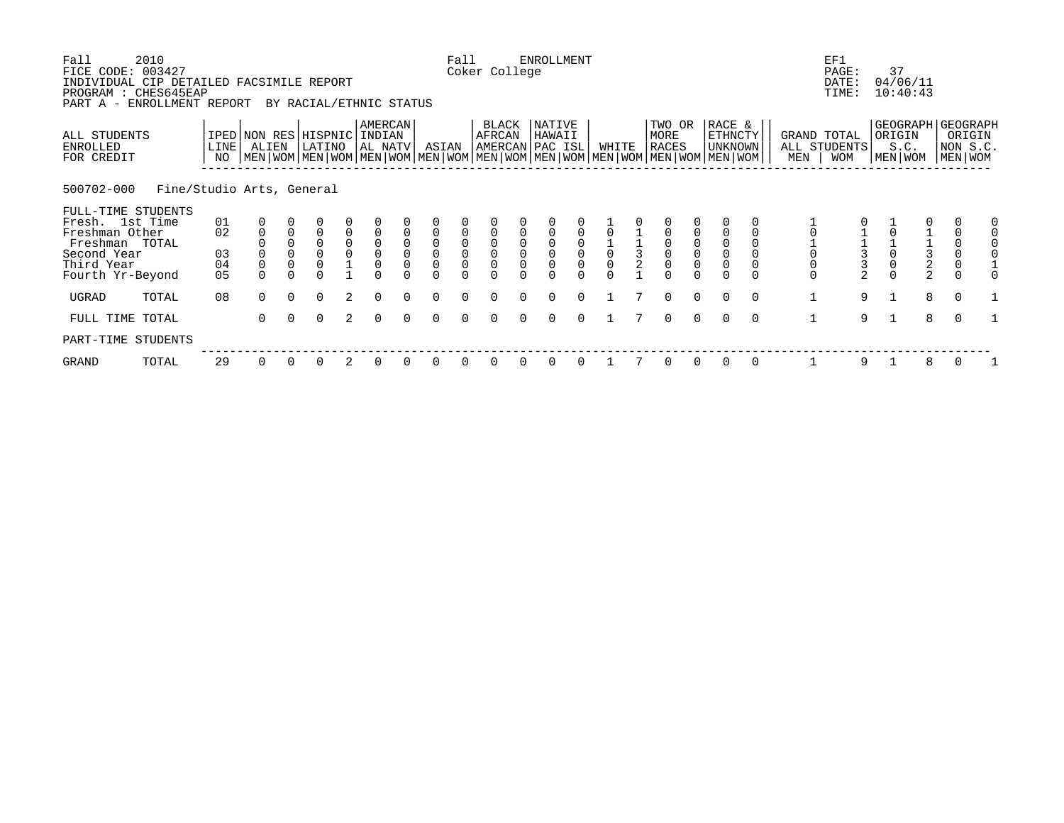| Fall<br>FICE CODE: 003427<br>INDIVIDUAL CIP DETAILED FACSIMILE REPORT<br>PROGRAM : CHES645EAP<br>PART A - ENROLLMENT REPORT | 2010                      |            |                                                                                                                                                     |             | BY RACIAL/ETHNIC STATUS    |                                             |                                            |          |                                            | Fall                                         | Coker College                              | <b>ENROLLMENT</b> |          |       |               |                                                              |                                                                   |                                       |          |                     | EF1<br>PAGE:<br>DATE:<br>TIME:            | 37<br>04/06/11<br>10:40:43                       |                                              |                                    |  |
|-----------------------------------------------------------------------------------------------------------------------------|---------------------------|------------|-----------------------------------------------------------------------------------------------------------------------------------------------------|-------------|----------------------------|---------------------------------------------|--------------------------------------------|----------|--------------------------------------------|----------------------------------------------|--------------------------------------------|-------------------|----------|-------|---------------|--------------------------------------------------------------|-------------------------------------------------------------------|---------------------------------------|----------|---------------------|-------------------------------------------|--------------------------------------------------|----------------------------------------------|------------------------------------|--|
| ALL STUDENTS<br>ENROLLED<br>FOR CREDIT                                                                                      |                           | LINE<br>NO | IPED NON RES HISPNIC INDIAN<br>ALIEN<br>  MEN   WOM   MEN   WOM   MEN   WOM   MEN   WOM   MEN   WOM   MEN   WOM   MEN   WOM   MEN   WOM   MEN   WOM |             | LATINO                     |                                             | <b>AMERCAN</b><br>AL NATV                  |          | ASIAN                                      |                                              | BLACK<br>AFRCAN<br>AMERCAN PAC ISL         | NATIVE<br>HAWAII  |          | WHITE |               | TWO OR<br>MORE<br><b>RACES</b>                               |                                                                   | RACE &<br>ETHNCTY<br><b>UNKNOWN</b>   |          | MEN                 | GRAND TOTAL<br>ALL STUDENTS<br><b>WOM</b> | GEOGRAPH GEOGRAPH<br>ORIGIN<br>S.C.<br>MEN   WOM |                                              | ORIGIN<br>NON S.C.<br>MEN WOM      |  |
| 500702-000                                                                                                                  | Fine/Studio Arts, General |            |                                                                                                                                                     |             |                            |                                             |                                            |          |                                            |                                              |                                            |                   |          |       |               |                                                              |                                                                   |                                       |          |                     |                                           |                                                  |                                              |                                    |  |
| FULL-TIME STUDENTS                                                                                                          |                           |            |                                                                                                                                                     |             |                            |                                             |                                            |          |                                            |                                              |                                            |                   |          |       |               |                                                              |                                                                   |                                       |          |                     |                                           |                                                  |                                              |                                    |  |
| Fresh. 1st Time<br>Freshman Other<br>Freshman TOTAL                                                                         |                           | 01<br>02   | $\mathbf 0$                                                                                                                                         | $\mathbf 0$ | $\Omega$<br>$\overline{0}$ | 0                                           |                                            | $\Omega$ | $\mathbf 0$                                |                                              |                                            |                   |          |       |               |                                                              |                                                                   | $\mathbf 0$                           |          |                     |                                           |                                                  |                                              | $\mathbf 0$                        |  |
| Second Year<br>Third Year                                                                                                   |                           | 03<br>04   | $\overline{0}$                                                                                                                                      | $\Omega$    | $\overline{0}$             | $\begin{smallmatrix}0\0\0\end{smallmatrix}$ | $\begin{smallmatrix}0\\0\end{smallmatrix}$ | $\Omega$ | $\begin{smallmatrix}0\\0\end{smallmatrix}$ | $\begin{smallmatrix} 0\\0 \end{smallmatrix}$ | $\begin{smallmatrix}0\\0\end{smallmatrix}$ |                   |          |       | $\frac{1}{3}$ | $\begin{smallmatrix}0\\0\end{smallmatrix}$<br>$\overline{0}$ | $\begin{smallmatrix}0\\0\end{smallmatrix}$<br>$\mathsf{O}\xspace$ | $\mathsf{O}\xspace$<br>$\overline{0}$ |          |                     |                                           |                                                  | $\begin{array}{c}\n1 \\ 3 \\ 2\n\end{array}$ | $\mathsf{O}\xspace$<br>$\mathbf 0$ |  |
| Fourth Yr-Beyond                                                                                                            |                           | 05         | $\Omega$                                                                                                                                            |             | $\Omega$                   |                                             |                                            |          | $\Omega$                                   |                                              |                                            |                   |          |       |               | $\Omega$                                                     |                                                                   |                                       |          | $\overline{0}$<br>0 | $\overline{a}$                            |                                                  |                                              |                                    |  |
| UGRAD                                                                                                                       | TOTAL                     | 08         | $\Omega$                                                                                                                                            | $\Omega$    | $\Omega$                   | 2                                           | $\Omega$                                   |          | $\Omega$                                   |                                              |                                            |                   | $\Omega$ |       |               | $\Omega$                                                     | $\Omega$                                                          | $\Omega$                              | $\Omega$ | $\mathbf 1$         | 9                                         |                                                  | 8                                            | $\Omega$                           |  |
| FULL TIME TOTAL                                                                                                             |                           |            | $\Omega$                                                                                                                                            | $\Omega$    | $\Omega$                   | 2                                           | $\Omega$                                   |          | $\Omega$                                   |                                              |                                            | $\Omega$          | $\Omega$ |       |               | $\Omega$                                                     | $\Omega$                                                          |                                       | $\Omega$ | $\mathbf{1}$        | 9                                         | $\mathbf{1}$                                     | 8                                            | $\Omega$                           |  |
| PART-TIME STUDENTS                                                                                                          |                           |            |                                                                                                                                                     |             |                            |                                             |                                            |          |                                            |                                              |                                            |                   |          |       |               |                                                              |                                                                   |                                       |          |                     |                                           |                                                  |                                              |                                    |  |
| GRAND                                                                                                                       | TOTAL                     | 29         | 0                                                                                                                                                   |             | 0                          | 2                                           | 0                                          |          |                                            |                                              |                                            |                   |          |       |               | 0                                                            | 0                                                                 | 0                                     | 0        |                     | 9                                         |                                                  | 8                                            |                                    |  |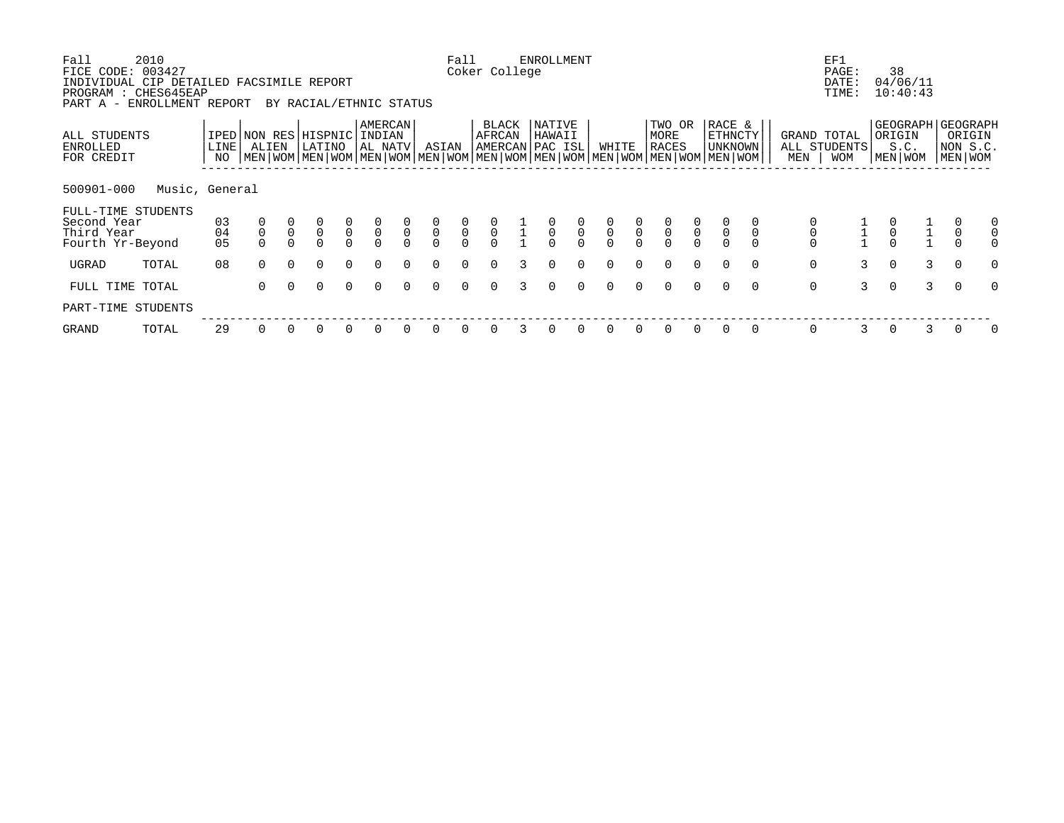| Fall<br>FICE CODE:<br>INDIVIDUAL CIP DETAILED FACSIMILE REPORT<br>PROGRAM : CHES645EAP | 2010<br>003427 |                |                               |                     |                                                  |                                           |                                       |                         |                            | Fall                                      | Coker College                             |               | <b>ENROLLMENT</b>                         |                                           |                                           |                          |                                           |                                           |                                                                                                                                             |                         | EF1<br>PAGE:<br>DATE:<br>TIME:            | 38                  | 04/06/11<br>10:40:43 |                            |                                                    |
|----------------------------------------------------------------------------------------|----------------|----------------|-------------------------------|---------------------|--------------------------------------------------|-------------------------------------------|---------------------------------------|-------------------------|----------------------------|-------------------------------------------|-------------------------------------------|---------------|-------------------------------------------|-------------------------------------------|-------------------------------------------|--------------------------|-------------------------------------------|-------------------------------------------|---------------------------------------------------------------------------------------------------------------------------------------------|-------------------------|-------------------------------------------|---------------------|----------------------|----------------------------|----------------------------------------------------|
| PART A - ENROLLMENT REPORT                                                             |                |                |                               |                     | BY RACIAL/ETHNIC STATUS                          |                                           |                                       |                         |                            |                                           |                                           |               |                                           |                                           |                                           |                          |                                           |                                           |                                                                                                                                             |                         |                                           |                     |                      |                            |                                                    |
| ALL STUDENTS<br>ENROLLED<br>FOR CREDIT                                                 |                | LINE<br>NO     | IPED NON RES HISPNIC<br>ALIEN |                     | LATINO                                           |                                           | <b>AMERCAN</b><br>  INDIAN<br>AL NATV |                         | ASIAN                      |                                           | <b>BLACK</b><br>AFRCAN<br>AMERCAN PAC ISL |               | NATIVE<br>HAWAII                          |                                           | WHITE                                     |                          | TWO OR<br>MORE<br>RACES                   |                                           | RACE &<br>ETHNCTY<br>UNKNOWN<br>  MEN   WOM   MEN   WOM   MEN   WOM   MEN   WOM   MEN   WOM   MEN   WOM   MEN   WOM   MEN   WOM   MEN   WOM | MEN                     | GRAND TOTAL<br>ALL STUDENTS<br><b>WOM</b> | ORIGIN<br>MEN   WOM | S.C.                 |                            | GEOGRAPH GEOGRAPH<br>ORIGIN<br>NON S.C.<br>MEN WOM |
| 500901-000                                                                             | Music, General |                |                               |                     |                                                  |                                           |                                       |                         |                            |                                           |                                           |               |                                           |                                           |                                           |                          |                                           |                                           |                                                                                                                                             |                         |                                           |                     |                      |                            |                                                    |
| FULL-TIME STUDENTS<br>Second Year<br>Third Year<br>Fourth Yr-Beyond                    |                | 03<br>04<br>05 | $\mathsf 0$                   | $\ddot{\mathbf{0}}$ | $\begin{matrix} 0 \\ 0 \end{matrix}$<br>$\Omega$ | $\begin{matrix} 0 \\ 0 \\ 0 \end{matrix}$ | $\overline{0}$                        | $\frac{0}{0}$<br>$\cap$ | $\overline{0}$<br>$\Omega$ | $\begin{matrix} 0 \\ 0 \\ 0 \end{matrix}$ | $\frac{0}{0}$<br>$\cap$                   | $\frac{1}{1}$ | $\begin{matrix} 0 \\ 0 \\ 0 \end{matrix}$ | $\begin{matrix} 0 \\ 0 \\ 0 \end{matrix}$ | $\begin{matrix} 0 \\ 0 \\ 0 \end{matrix}$ | $\int_{0}^{0}$<br>$\cap$ | $\begin{matrix} 0 \\ 0 \\ 0 \end{matrix}$ | $\begin{matrix} 0 \\ 0 \\ 0 \end{matrix}$ | $\overline{0}$<br>$\mathbf 0$                                                                                                               | $\mathsf 0$<br>$\Omega$ |                                           | $\frac{0}{0}$       | $\frac{1}{1}$        | $\overline{0}$<br>$\Omega$ |                                                    |
| UGRAD                                                                                  | TOTAL          | 08             | $\Omega$                      | $\Omega$            | $\Omega$                                         | $\Omega$                                  | $\Omega$                              | $\cap$                  | $\Omega$                   | $\Omega$                                  |                                           | 3             | $\Omega$                                  | $\Omega$                                  | $\Omega$                                  | $\Omega$                 | $\Omega$                                  | $\Omega$                                  | $\Omega$<br>$\Omega$                                                                                                                        | $\mathbf 0$             | 3                                         | $\Omega$            | 3                    | $\Omega$                   | O                                                  |
| FULL TIME TOTAL                                                                        |                |                | $\Omega$                      | $\Omega$            | $\Omega$                                         | $\Omega$                                  | $\Omega$                              | $\Omega$                | $\Omega$                   | $\Omega$                                  | $\Omega$                                  | 3             | $\Omega$                                  | $\Omega$                                  | $\Omega$                                  | $\Omega$                 | $\Omega$                                  | $\Omega$                                  | $\Omega$<br>$\Omega$                                                                                                                        | 0                       | 3                                         | $\mathbf 0$         | 3                    | $\overline{0}$             | $\Omega$                                           |
| PART-TIME STUDENTS                                                                     |                |                |                               |                     |                                                  |                                           |                                       |                         |                            |                                           |                                           |               |                                           |                                           |                                           |                          |                                           |                                           |                                                                                                                                             |                         |                                           |                     |                      |                            |                                                    |
| GRAND                                                                                  | TOTAL          | 29             | 0                             |                     | 0                                                |                                           |                                       |                         |                            |                                           |                                           |               |                                           |                                           |                                           |                          |                                           | 0                                         | $\Omega$                                                                                                                                    | 0                       | 3                                         |                     | 3                    |                            | 0                                                  |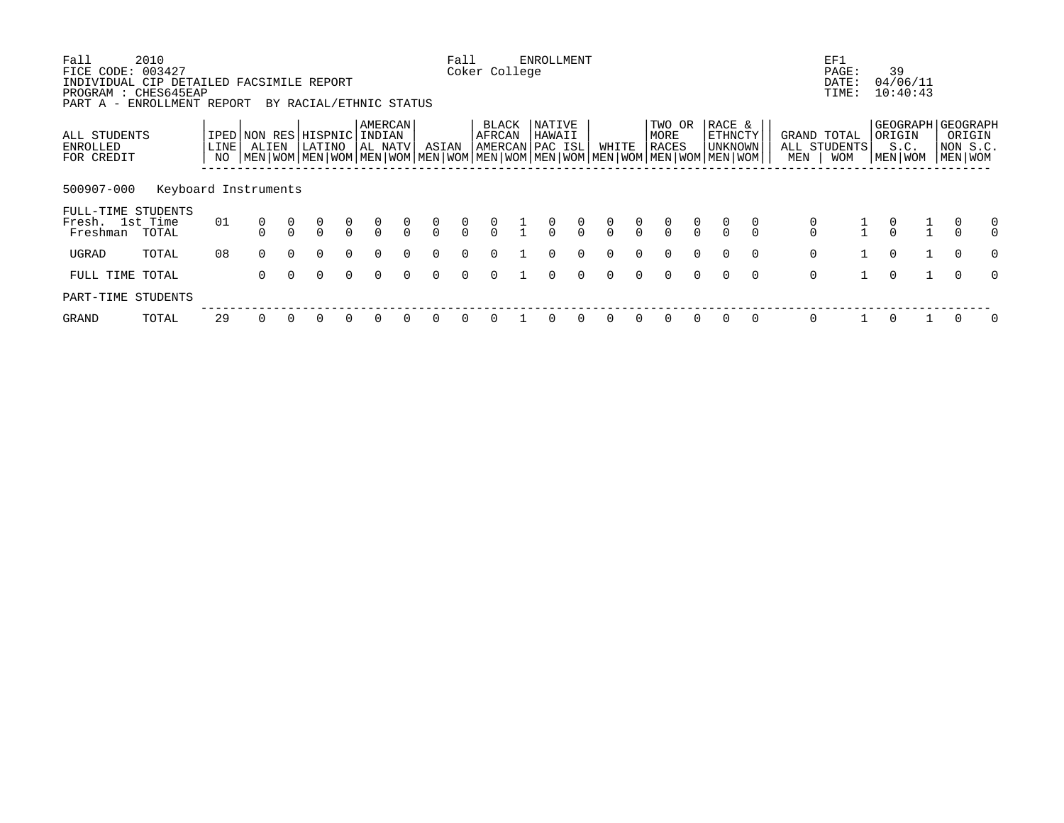| Fall<br>FICE CODE:                                                                             | 2010<br>003427       |                              |          |          |                                      |               |                                      |                |                                      | Fall           | Coker College   |               | <b>ENROLLMENT</b>                     |                                  |                |                |                         |               |                                                                                                                                                           |          |             | EF1<br>PAGE:                              |               | 39                        |                                                        |                                      |
|------------------------------------------------------------------------------------------------|----------------------|------------------------------|----------|----------|--------------------------------------|---------------|--------------------------------------|----------------|--------------------------------------|----------------|-----------------|---------------|---------------------------------------|----------------------------------|----------------|----------------|-------------------------|---------------|-----------------------------------------------------------------------------------------------------------------------------------------------------------|----------|-------------|-------------------------------------------|---------------|---------------------------|--------------------------------------------------------|--------------------------------------|
| INDIVIDUAL CIP DETAILED FACSIMILE REPORT<br>PROGRAM : CHES645EAP<br>PART A - ENROLLMENT REPORT |                      |                              |          |          | BY RACIAL/ETHNIC STATUS              |               |                                      |                |                                      |                |                 |               |                                       |                                  |                |                |                         |               |                                                                                                                                                           |          |             | DATE:<br>TIME:                            |               | 04/06/11<br>10:40:43      |                                                        |                                      |
| ALL STUDENTS<br>ENROLLED<br>FOR CREDIT                                                         |                      | IPED NON RES<br>LINE  <br>NO | ALIEN    |          | HISPNIC<br>LATINO                    |               | AMERCAN<br>INDIAN<br>AL NATV         |                | ASIAN                                |                | BLACK<br>AFRCAN |               | NATIVE<br>HAWAII<br>AMERCAN   PAC ISL |                                  | WHITE          |                | TWO OR<br>MORE<br>RACES |               | RACE &<br><b>ETHNCTY</b><br><b>UNKNOWN</b><br>  MEN   WOM   MEN   WOM   MEN   WOM   MEN   WOM   MEN   WOM   MEN   WOM   MEN   WOM   MEN   WOM   MEN   WOM |          | MEN         | GRAND TOTAL<br>ALL STUDENTS<br><b>WOM</b> |               | ORIGIN<br>S.C.<br>MEN WOM | GEOGRAPH GEOGRAPH<br>ORIGIN<br>NON S.C.<br>  MEN   WOM |                                      |
| 500907-000                                                                                     | Keyboard Instruments |                              |          |          |                                      |               |                                      |                |                                      |                |                 |               |                                       |                                  |                |                |                         |               |                                                                                                                                                           |          |             |                                           |               |                           |                                                        |                                      |
| FULL-TIME STUDENTS<br>Fresh. 1st Time<br>Freshman                                              | TOTAL                | 01                           |          |          | $\begin{matrix} 0 \\ 0 \end{matrix}$ | $\frac{0}{0}$ | $\begin{matrix} 0 \\ 0 \end{matrix}$ | $\int_{0}^{0}$ | $\begin{matrix} 0 \\ 0 \end{matrix}$ | $\int_{0}^{0}$ | $\int_{0}^{0}$  | $\frac{1}{1}$ | $\frac{0}{0}$                         | $\begin{matrix}0\\0\end{matrix}$ | $\int_{0}^{0}$ | $\int_{0}^{0}$ | $\frac{0}{0}$           | $\frac{0}{0}$ | $\alpha$                                                                                                                                                  |          |             | $\frac{1}{1}$                             | $\frac{0}{0}$ |                           |                                                        | $\begin{matrix} 0 \\ 0 \end{matrix}$ |
| UGRAD                                                                                          | TOTAL                | 08                           | $\Omega$ | $\Omega$ | $\Omega$                             | $\Omega$      | $\Omega$                             | $\Omega$       | $\Omega$                             | $\Omega$       | $\Omega$        |               | $\Omega$                              | $\Omega$                         | $\Omega$       | $\Omega$       | $\Omega$                | $\Omega$      | $\Omega$                                                                                                                                                  | $\Omega$ | $\mathbf 0$ |                                           | $\Omega$      |                           | $\Omega$                                               | $\Omega$                             |
| FULL TIME TOTAL                                                                                |                      |                              | $\Omega$ |          | $\Omega$                             | $\Omega$      | $\Omega$                             | $\cap$         | 0                                    | $\Omega$       |                 |               | 0                                     | $\Omega$                         | $\cap$         | $\cap$         | $\Omega$                | $\Omega$      | $\Omega$                                                                                                                                                  | $\Omega$ | $\mathbf 0$ |                                           | $\Omega$      |                           | $\Omega$                                               | $\Omega$                             |
| PART-TIME STUDENTS                                                                             |                      |                              |          |          |                                      |               |                                      |                |                                      |                |                 |               |                                       |                                  |                |                |                         |               |                                                                                                                                                           |          |             |                                           |               |                           |                                                        |                                      |
| GRAND                                                                                          | TOTAL                | 29                           |          |          |                                      |               |                                      |                |                                      |                |                 |               |                                       |                                  | $\Omega$       |                |                         |               | $\Omega$                                                                                                                                                  | $\Omega$ | $\Omega$    |                                           | 0             |                           |                                                        | $\Omega$                             |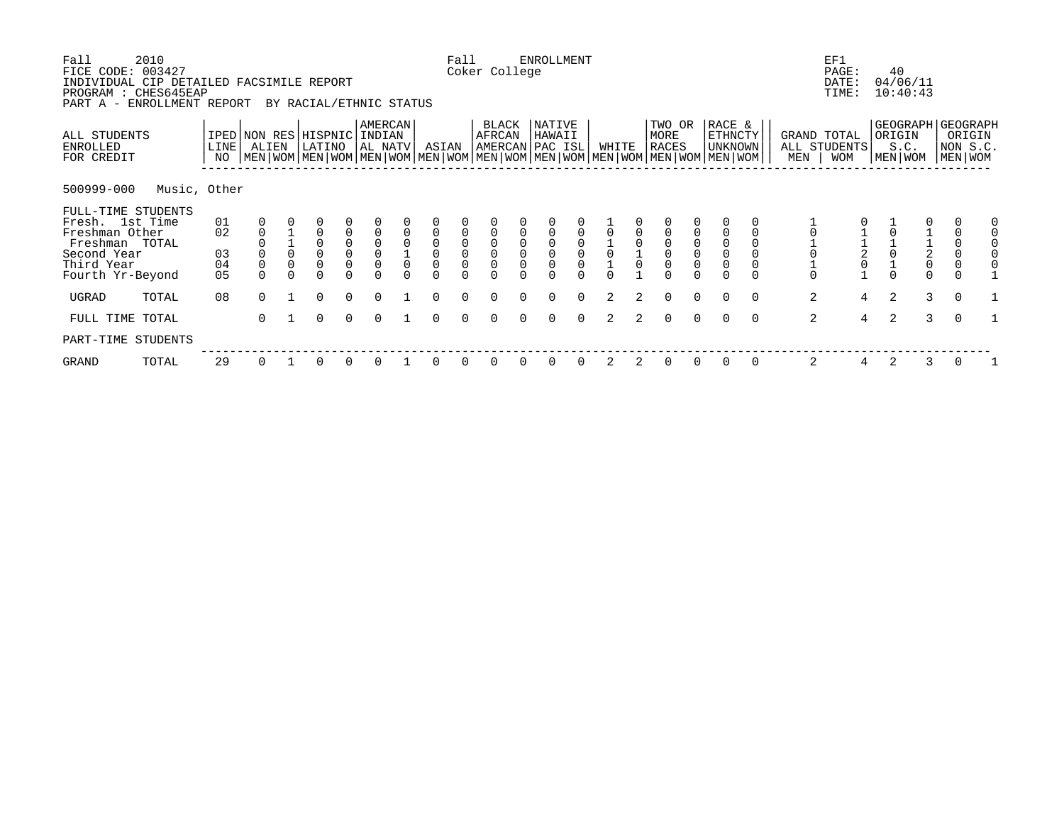| Fall<br>FICE CODE: 003427<br>INDIVIDUAL CIP DETAILED FACSIMILE REPORT<br>PROGRAM : CHES645EAP<br>PART A - ENROLLMENT REPORT         | 2010         |                                  |                                                 |   | BY RACIAL/ETHNIC STATUS                                                               |                                                            |                                                                               |                      |                                                                                      | Fall                                       | Coker College                                          |             | <b>ENROLLMENT</b>               |          |       |                |                                                                                                                                               |                                                                                           |                                                                                      |          |                     | EF1<br>PAGE:<br>DATE:<br>TIME:            |                | 40<br>04/06/11<br>10:40:43                       |                                                             |                                                                              |  |
|-------------------------------------------------------------------------------------------------------------------------------------|--------------|----------------------------------|-------------------------------------------------|---|---------------------------------------------------------------------------------------|------------------------------------------------------------|-------------------------------------------------------------------------------|----------------------|--------------------------------------------------------------------------------------|--------------------------------------------|--------------------------------------------------------|-------------|---------------------------------|----------|-------|----------------|-----------------------------------------------------------------------------------------------------------------------------------------------|-------------------------------------------------------------------------------------------|--------------------------------------------------------------------------------------|----------|---------------------|-------------------------------------------|----------------|--------------------------------------------------|-------------------------------------------------------------|------------------------------------------------------------------------------|--|
| ALL STUDENTS<br>ENROLLED<br>FOR CREDIT                                                                                              |              | LINE<br>NO                       | ALIEN                                           |   | IPED NON RES HISPNIC<br>LATINO                                                        |                                                            | <b>AMERCAN</b><br>  INDIAN<br>AL NATV                                         |                      | ASIAN                                                                                |                                            | BLACK<br>AFRCAN<br>AMERCAN PAC ISL                     |             | NATIVE<br>HAWAII                |          | WHITE |                | TWO OR<br>MORE<br><b>RACES</b><br>  MEN   WOM   MEN   WOM   MEN   WOM   MEN   WOM   MEN   WOM   MEN   WOM   MEN   WOM   MEN   WOM   MEN   WOM |                                                                                           | RACE &<br>ETHNCTY<br><b>UNKNOWN</b>                                                  |          | MEN                 | GRAND TOTAL<br>ALL STUDENTS<br><b>WOM</b> |                | GEOGRAPH GEOGRAPH<br>ORIGIN<br>S.C.<br>MEN   WOM |                                                             | ORIGIN<br>NON S.C.<br>MEN WOM                                                |  |
| 500999-000                                                                                                                          | Music, Other |                                  |                                                 |   |                                                                                       |                                                            |                                                                               |                      |                                                                                      |                                            |                                                        |             |                                 |          |       |                |                                                                                                                                               |                                                                                           |                                                                                      |          |                     |                                           |                |                                                  |                                                             |                                                                              |  |
| FULL-TIME STUDENTS<br>Fresh. 1st Time<br>Freshman Other<br>Freshman TOTAL<br>Second Year<br>Third Year<br>Fourth Yr-Beyond<br>UGRAD | TOTAL        | 01<br>02<br>03<br>04<br>05<br>08 | $\mathbf 0$<br>$\Omega$<br>$\Omega$<br>$\Omega$ | 0 | $\Omega$<br>$\overline{0}$<br>$\mathsf{O}\xspace$<br>$\Omega$<br>$\Omega$<br>$\Omega$ | 0<br>$\begin{matrix} 0 \\ 0 \\ 0 \end{matrix}$<br>$\Omega$ | $\begin{smallmatrix}0\\0\end{smallmatrix}$<br>$\mathsf{O}\xspace$<br>$\Omega$ | $\Omega$<br>$\Omega$ | $\overline{0}$<br>$\begin{smallmatrix}0\\0\end{smallmatrix}$<br>$\Omega$<br>$\Omega$ | $\begin{smallmatrix}0\\0\end{smallmatrix}$ | $\begin{smallmatrix}0\\0\end{smallmatrix}$<br>$\Omega$ | $\mathbf 0$ | $\mathsf{O}\xspace$<br>$\Omega$ | $\Omega$ | 2     | $\overline{2}$ | $\begin{smallmatrix}0\\0\end{smallmatrix}$<br>$\overline{0}$<br>$\Omega$<br>$\Omega$                                                          | $\begin{smallmatrix}0\\0\end{smallmatrix}$<br>$\mathsf{O}\xspace$<br>$\Omega$<br>$\Omega$ | $\begin{smallmatrix}0\\0\end{smallmatrix}$<br>$\overline{0}$<br>$\Omega$<br>$\Omega$ | $\Omega$ | $\overline{0}$<br>2 | $\frac{2}{0}$<br>$\overline{4}$           | $\Omega$<br>2  |                                                  | $\begin{array}{c} 1 \\ 2 \\ 0 \end{array}$<br>$\Omega$<br>3 | $\mathsf 0$<br>$\mathsf{O}\xspace$<br>$\mathbf 0$<br>$\Omega$<br>$\mathbf 0$ |  |
| FULL TIME TOTAL                                                                                                                     |              |                                  | $\Omega$                                        |   | $\Omega$                                                                              | $\Omega$                                                   | $\Omega$                                                                      |                      | $\Omega$                                                                             |                                            |                                                        |             | $\Omega$                        | $\Omega$ | 2     | $\mathcal{L}$  | $\Omega$                                                                                                                                      | $\Omega$                                                                                  | $\Omega$                                                                             | $\Omega$ | 2                   | $\overline{4}$                            | $\overline{2}$ |                                                  | 3                                                           | $\Omega$                                                                     |  |
| PART-TIME STUDENTS                                                                                                                  |              |                                  |                                                 |   |                                                                                       |                                                            |                                                                               |                      |                                                                                      |                                            |                                                        |             |                                 |          |       |                |                                                                                                                                               |                                                                                           |                                                                                      |          |                     |                                           |                |                                                  |                                                             |                                                                              |  |
| GRAND                                                                                                                               | TOTAL        | 29                               | 0                                               |   | 0                                                                                     | 0                                                          |                                                                               |                      |                                                                                      |                                            |                                                        |             |                                 |          | 2     | 2              | 0                                                                                                                                             | 0                                                                                         | 0                                                                                    | 0        | 2                   | 4                                         | 2              |                                                  | 3                                                           | 0                                                                            |  |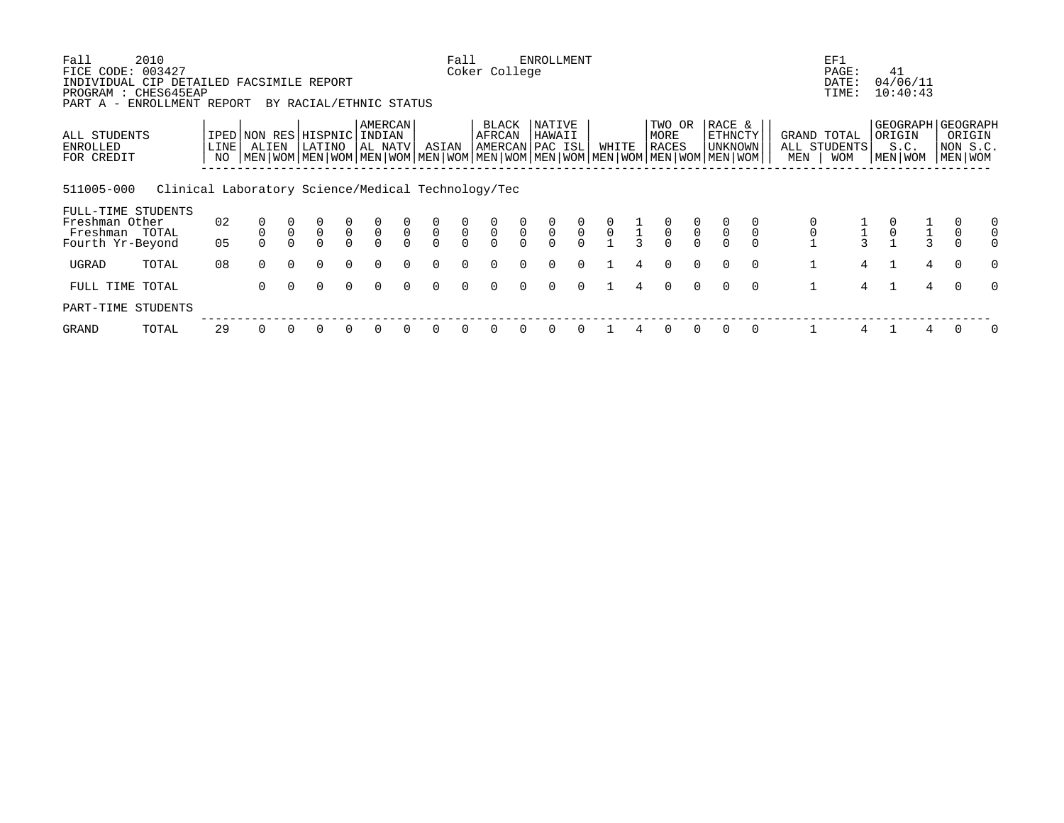| Fall<br>FICE CODE:                                                                             | 2010<br>003427                                     |            |          |               |                                |                                           |                              |               |                                           | Fall                                      | Coker College                             |                                           | <b>ENROLLMENT</b>                         |                                           |                                           |               |                                           |                                           |                                                                                                                                             |          |                    | EF1<br>PAGE:               | 41            |                                        |              |                               |          |
|------------------------------------------------------------------------------------------------|----------------------------------------------------|------------|----------|---------------|--------------------------------|-------------------------------------------|------------------------------|---------------|-------------------------------------------|-------------------------------------------|-------------------------------------------|-------------------------------------------|-------------------------------------------|-------------------------------------------|-------------------------------------------|---------------|-------------------------------------------|-------------------------------------------|---------------------------------------------------------------------------------------------------------------------------------------------|----------|--------------------|----------------------------|---------------|----------------------------------------|--------------|-------------------------------|----------|
| INDIVIDUAL CIP DETAILED FACSIMILE REPORT<br>PROGRAM : CHES645EAP<br>PART A - ENROLLMENT REPORT |                                                    |            |          |               | BY RACIAL/ETHNIC STATUS        |                                           |                              |               |                                           |                                           |                                           |                                           |                                           |                                           |                                           |               |                                           |                                           |                                                                                                                                             |          |                    | DATE:<br>TIME:             |               | 04/06/11<br>10:40:43                   |              |                               |          |
| ALL STUDENTS<br>ENROLLED<br>FOR CREDIT                                                         |                                                    | LINE<br>NO | ALIEN    |               | IPED NON RES HISPNIC<br>LATINO |                                           | AMERCAN<br>INDIAN<br>AL NATV |               | ASIAN                                     |                                           | BLACK<br>AFRCAN                           |                                           | NATIVE<br>HAWAII<br>AMERCAN PAC ISL       |                                           | WHITE                                     |               | TWO OR<br>MORE<br>RACES                   |                                           | RACE &<br>ETHNCTY<br>UNKNOWN<br>  MEN   WOM   MEN   WOM   MEN   WOM   MEN   WOM   MEN   WOM   MEN   WOM   MEN   WOM   MEN   WOM   MEN   WOM |          | GRAND TOTAL<br>MEN | ALL STUDENTS<br><b>WOM</b> | ORIGIN        | GEOGRAPH   GEOGRAPH<br>S.C.<br>MEN WOM |              | ORIGIN<br>NON S.C.<br>MEN WOM |          |
| 511005-000<br>FULL-TIME STUDENTS                                                               | Clinical Laboratory Science/Medical Technology/Tec |            |          |               |                                |                                           |                              |               |                                           |                                           |                                           |                                           |                                           |                                           |                                           |               |                                           |                                           |                                                                                                                                             |          |                    |                            |               |                                        |              |                               |          |
| Freshman Other<br>Freshman TOTAL                                                               |                                                    | 02         |          | $\frac{0}{0}$ | $\frac{0}{0}$                  | $\begin{matrix} 0 \\ 0 \\ 0 \end{matrix}$ | $\overline{0}$               | $\frac{0}{0}$ | $\begin{matrix} 0 \\ 0 \\ 0 \end{matrix}$ | $\begin{matrix} 0 \\ 0 \\ 0 \end{matrix}$ | $\begin{matrix} 0 \\ 0 \\ 0 \end{matrix}$ | $\begin{matrix} 0 \\ 0 \\ 0 \end{matrix}$ | $\begin{matrix} 0 \\ 0 \\ 0 \end{matrix}$ | $\begin{matrix} 0 \\ 0 \\ 0 \end{matrix}$ | $\begin{matrix} 0 \\ 0 \\ 1 \end{matrix}$ | $\frac{1}{3}$ | $\begin{matrix} 0 \\ 0 \\ 0 \end{matrix}$ | $\begin{matrix} 0 \\ 0 \\ 0 \end{matrix}$ | $\overline{0}$                                                                                                                              |          |                    |                            | $\frac{0}{0}$ |                                        |              |                               | $\Omega$ |
| Fourth Yr-Beyond                                                                               |                                                    | 05         |          |               |                                |                                           |                              | $\cap$        |                                           |                                           |                                           |                                           |                                           |                                           |                                           |               |                                           |                                           |                                                                                                                                             |          |                    |                            |               |                                        | $\mathbf{3}$ |                               |          |
| UGRAD                                                                                          | TOTAL                                              | 08         | $\Omega$ | $\Omega$      | $\Omega$                       | $\Omega$                                  | $\Omega$                     | $\Omega$      | $\Omega$                                  | $\Omega$                                  | $\Omega$                                  | $\cap$                                    | $\Omega$                                  | $\Omega$                                  |                                           | 4             | $\Omega$                                  | $\Omega$                                  | $\Omega$                                                                                                                                    | $\Omega$ |                    | 4                          | $\mathbf{1}$  |                                        | 4            | $\Omega$                      | $\Omega$ |
| FULL TIME TOTAL                                                                                |                                                    |            | 0        | $\Omega$      | $\Omega$                       | $\Omega$                                  | $\Omega$                     | $\Omega$      | $\Omega$                                  | $\Omega$                                  | $\Omega$                                  | $\Omega$                                  | $\Omega$                                  | $\Omega$                                  |                                           | 4             | $\Omega$                                  | $\Omega$                                  | $\Omega$                                                                                                                                    | $\Omega$ |                    | 4                          |               |                                        | 4            | $\Omega$                      | $\Omega$ |
| PART-TIME STUDENTS                                                                             |                                                    |            |          |               |                                |                                           |                              |               |                                           |                                           |                                           |                                           |                                           |                                           |                                           |               |                                           |                                           |                                                                                                                                             |          |                    |                            |               |                                        |              |                               |          |
| GRAND                                                                                          | TOTAL                                              | 29         |          |               |                                |                                           | $\Omega$                     |               |                                           |                                           |                                           |                                           |                                           |                                           |                                           |               |                                           |                                           |                                                                                                                                             |          |                    |                            |               |                                        |              |                               |          |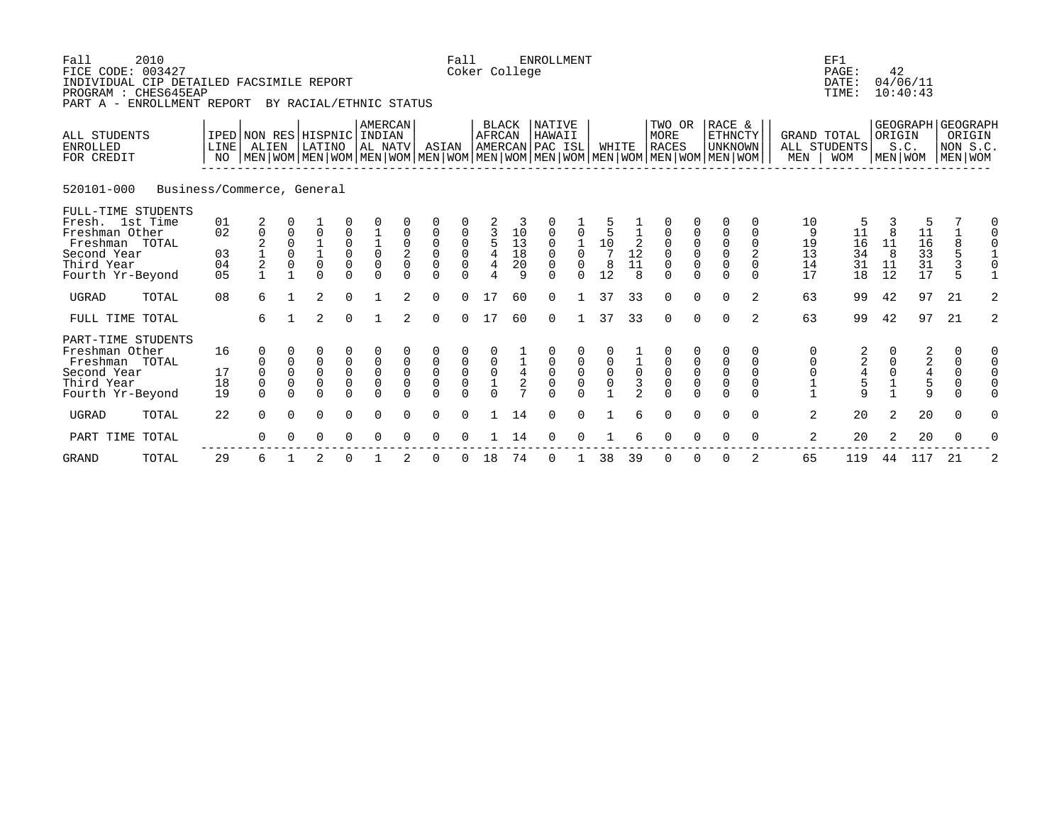| Fall<br>FICE CODE: 003427                                                                            | 2010<br>INDIVIDUAL CIP DETAILED FACSIMILE REPORT<br>PROGRAM : CHES645EAP<br>PART A - ENROLLMENT REPORT |                                        |                                                                                                                                                     |                                                             | BY RACIAL/ETHNIC STATUS                                  |                                                                            |                                                   |                                                                  |                              | Fall                                                                    | Coker College                                  |                                              | <b>ENROLLMENT</b>                   |                                              |                                               |                                                      |                             |                                                                          |                                                                              |                                                      |                                 | EF1<br>PAGE:<br>DATE:<br>TIME:  | 42                                                    | 04/06/11<br>10:40:43            |                                                            |                                                               |
|------------------------------------------------------------------------------------------------------|--------------------------------------------------------------------------------------------------------|----------------------------------------|-----------------------------------------------------------------------------------------------------------------------------------------------------|-------------------------------------------------------------|----------------------------------------------------------|----------------------------------------------------------------------------|---------------------------------------------------|------------------------------------------------------------------|------------------------------|-------------------------------------------------------------------------|------------------------------------------------|----------------------------------------------|-------------------------------------|----------------------------------------------|-----------------------------------------------|------------------------------------------------------|-----------------------------|--------------------------------------------------------------------------|------------------------------------------------------------------------------|------------------------------------------------------|---------------------------------|---------------------------------|-------------------------------------------------------|---------------------------------|------------------------------------------------------------|---------------------------------------------------------------|
| ALL STUDENTS<br><b>ENROLLED</b><br>FOR CREDIT                                                        |                                                                                                        | LINE I<br>NO                           | IPED NON RES HISPNIC INDIAN<br>ALIEN<br>  MEN   WOM   MEN   WOM   MEN   WOM   MEN   WOM   MEN   WOM   MEN   WOM   MEN   WOM   MEN   WOM   MEN   WOM |                                                             | LATINO                                                   |                                                                            | AMERCAN<br>AL NATV                                |                                                                  | ASIAN                        |                                                                         | AFRCAN                                         | BLACK                                        | NATIVE<br>HAWAII<br>AMERCAN PAC ISL |                                              | WHITE                                         |                                                      | TWO OR<br>MORE<br>RACES     |                                                                          | RACE &<br><b>ETHNCTY</b><br>UNKNOWN                                          |                                                      | GRAND TOTAL<br>MEN              | ALL STUDENTS<br><b>WOM</b>      | ORIGIN<br>MEN WOM                                     | S.C.                            | GEOGRAPH GEOGRAPH<br>ORIGIN<br>NON S.C.<br>MEN WOM         |                                                               |
| 520101-000                                                                                           | Business/Commerce, General                                                                             |                                        |                                                                                                                                                     |                                                             |                                                          |                                                                            |                                                   |                                                                  |                              |                                                                         |                                                |                                              |                                     |                                              |                                               |                                                      |                             |                                                                          |                                                                              |                                                      |                                 |                                 |                                                       |                                 |                                                            |                                                               |
| Fresh. 1st Time<br>Freshman Other<br>Freshman TOTAL<br>Second Year<br>Third Year<br>Fourth Yr-Beyond | FULL-TIME STUDENTS                                                                                     | 01<br>02<br>03<br>04<br>0 <sub>5</sub> | 2<br>0<br>$\begin{array}{c} 2 \\ 1 \\ 2 \end{array}$                                                                                                | 0<br>$\begin{matrix} 0 \\ 0 \end{matrix}$<br>$\overline{1}$ | 0<br>$\begin{matrix} 1\\ 1\\ 0 \end{matrix}$<br>$\Omega$ | 0<br>0<br>$\mathsf{O}\xspace$<br>$\mathbf 0$<br>$\Omega$                   | $\begin{matrix} 1\\0\\0 \end{matrix}$<br>$\Omega$ | 0<br>$\begin{smallmatrix} 0\\2\\0 \end{smallmatrix}$<br>$\Omega$ | 0<br>0<br>0<br>0<br>$\Omega$ | 0<br>$\begin{matrix} 0 \\ 0 \\ 0 \end{matrix}$<br>$\cap$                | 3<br>5<br>4<br>4<br>$\overline{4}$             | $10$<br>$13$<br>$18$<br>$\overline{20}$<br>9 | 0<br>0<br>0<br>0<br>$\Omega$        | $\mathbf 1$<br>$\mathsf{O}$<br>$\cap$        | 5<br>5<br>$10\,$<br>$\overline{7}$<br>8<br>12 | -2<br>$\frac{1}{11}$<br>$\mathsf{R}$                 | 0<br>0<br>0<br>$\Omega$     | $\begin{matrix} 0 \\ 0 \\ 0 \end{matrix}$<br>$\Omega$                    | 0<br>$\begin{matrix} 0 \\ 0 \\ 0 \end{matrix}$<br>$\Omega$                   | $\Omega$<br>$\mathbf 0$<br>2<br>$\Omega$<br>$\Omega$ | 10<br>9<br>19<br>13<br>14<br>17 | 5<br>11<br>16<br>34<br>31<br>18 | 8<br>11<br>8<br>11<br>12                              | 5<br>11<br>16<br>33<br>31<br>17 | 8<br>5<br>3<br>5                                           | 0<br>0<br>$\mathbf 0$<br>$\frac{1}{0}$<br>$\mathbf{1}$        |
| <b>UGRAD</b>                                                                                         | TOTAL                                                                                                  | 08                                     | 6                                                                                                                                                   | $\mathbf{1}$                                                | $\overline{2}$                                           | $\Omega$                                                                   | $\mathbf{1}$                                      | 2                                                                | $\Omega$                     | $\Omega$                                                                | 17                                             | 60                                           | $\Omega$                            |                                              | 37                                            | 33                                                   | $\Omega$                    | $\Omega$                                                                 | $\Omega$                                                                     | 2                                                    | 63                              | 99                              | 42                                                    | 97                              | 21                                                         | 2                                                             |
| FULL TIME TOTAL                                                                                      |                                                                                                        |                                        | 6                                                                                                                                                   | $\mathbf{1}$                                                | $\overline{2}$                                           | $\Omega$                                                                   | $\mathbf{1}$                                      | $\overline{2}$                                                   | $\Omega$                     | $\Omega$                                                                | 17                                             | 60                                           | $\Omega$                            | $\mathbf{1}$                                 | 37                                            | 33                                                   | $\Omega$                    | $\Omega$                                                                 | $\Omega$                                                                     | 2                                                    | 63                              | 99                              | 42                                                    | 97                              | 21                                                         | $\overline{2}$                                                |
| Freshman Other<br>Freshman TOTAL<br>Second Year<br>Third Year<br>Fourth Yr-Beyond                    | PART-TIME STUDENTS                                                                                     | 16<br>17<br>18<br>19                   | $\Omega$<br>$\Omega$<br>0<br>$\Omega$                                                                                                               | 0<br>$\mathbf 0$<br>$\Omega$<br>$\mathbf 0$<br>$\Omega$     | 0<br>0<br>0<br>0<br>0                                    | 0<br>$\mathsf{O}\xspace$<br>$\ddot{\mathbf{0}}$<br>$\mathsf 0$<br>$\Omega$ | 0<br>$\mathsf{O}$<br>$\mathbf 0$<br>$\Omega$      | 0<br>$\mathbf 0$<br>$\mathbf 0$<br>$\mathbf 0$<br>$\Omega$       | 0<br>0<br>0<br>0<br>$\Omega$ | 0<br>$\begin{matrix} 0 \\ 0 \end{matrix}$<br>$\overline{0}$<br>$\Omega$ | $\begin{matrix} 0 \\ 0 \\ 1 \\ 0 \end{matrix}$ | $\frac{1}{4}$                                | 0<br>0<br>0<br>$\Omega$             | $\overline{0}$<br>$\overline{0}$<br>$\Omega$ | 0<br>$\overline{0}$                           | $\overline{1}$ 0<br>$\overline{3}$<br>$\overline{2}$ | 0<br>$\mathsf{O}$<br>0<br>U | $\begin{smallmatrix}0\\0\end{smallmatrix}$<br>$\overline{0}$<br>$\Omega$ | $\Omega$<br>$\mathsf 0$<br>$\ddot{\mathbf{0}}$<br>$\overline{0}$<br>$\Omega$ | 0<br>$\Omega$<br>$\Omega$<br>$\Omega$<br>$\Omega$    | 0<br>0<br>$\mathbf 0$           | 22459                           | $\Omega$<br>$\begin{matrix} 0 \\ 0 \\ 1 \end{matrix}$ | 22459                           | 0<br>$\begin{matrix} 0 \\ 0 \\ 0 \end{matrix}$<br>$\Omega$ | 0<br>$\mathsf{O}$<br>$\mathsf{O}$<br>$\mathsf{O}$<br>$\Omega$ |
| <b>UGRAD</b>                                                                                         | TOTAL                                                                                                  | 22                                     | 0                                                                                                                                                   | $\Omega$                                                    | 0                                                        | $\mathbf 0$                                                                | 0                                                 | 0                                                                | 0                            | 0                                                                       |                                                | 14                                           | 0                                   | 0                                            |                                               | 6                                                    | 0                           | $\mathbf 0$                                                              | 0                                                                            | $\Omega$                                             | 2                               | 20                              | $\overline{2}$                                        | 20                              | $\mathbf 0$                                                | 0                                                             |
| PART TIME                                                                                            | TOTAL                                                                                                  |                                        | $\Omega$                                                                                                                                            |                                                             | 0                                                        | $\Omega$                                                                   | $\Omega$                                          |                                                                  | O                            |                                                                         |                                                | 14                                           | 0                                   |                                              |                                               | 6                                                    | $\Omega$                    | $\Omega$                                                                 | 0                                                                            | $\Omega$                                             | 2                               | 20                              | 2                                                     | 20                              | $\Omega$                                                   | $\Omega$                                                      |
| <b>GRAND</b>                                                                                         | TOTAL                                                                                                  | 29                                     | 6                                                                                                                                                   |                                                             | 2                                                        | 0                                                                          |                                                   | 2                                                                | 0                            | 0                                                                       | 18                                             | 74                                           | 0                                   |                                              | 38                                            | 39                                                   | 0                           | 0                                                                        | 0                                                                            | 2                                                    | 65                              | 119                             | 44                                                    | 117                             | 21                                                         | 2                                                             |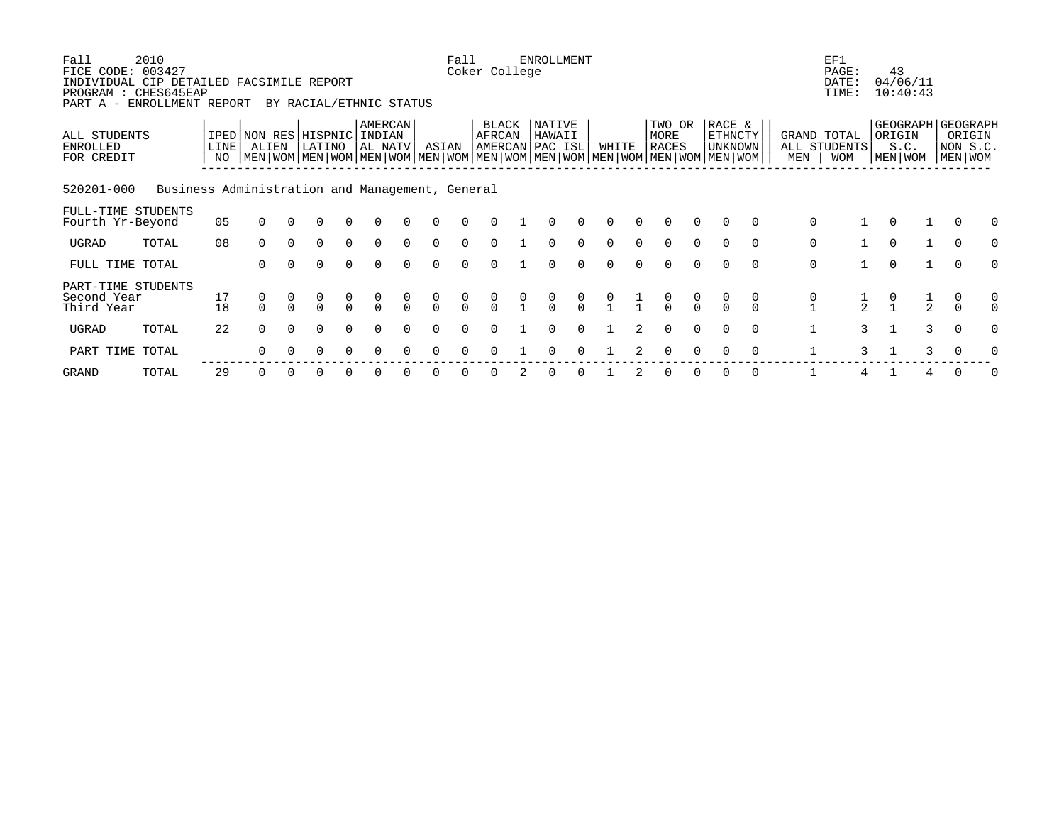| Fall<br>FICE CODE: 003427<br>INDIVIDUAL CIP DETAILED FACSIMILE REPORT<br>PROGRAM : CHES645EAP<br>PART A - ENROLLMENT REPORT | 2010                                            |                          |               |          | BY RACIAL/ETHNIC STATUS                                                                                                                              |                                      |                           |          |               | Fall          | Coker College   |   | <b>ENROLLMENT</b>                    |               |       |   |                                |                                      |                                     |          |                                                | EF1<br>PAGE:<br>DATE:<br>TIME:            |              | 43<br>04/06/11<br>10:40:43                       |   |                               |   |
|-----------------------------------------------------------------------------------------------------------------------------|-------------------------------------------------|--------------------------|---------------|----------|------------------------------------------------------------------------------------------------------------------------------------------------------|--------------------------------------|---------------------------|----------|---------------|---------------|-----------------|---|--------------------------------------|---------------|-------|---|--------------------------------|--------------------------------------|-------------------------------------|----------|------------------------------------------------|-------------------------------------------|--------------|--------------------------------------------------|---|-------------------------------|---|
| ALL STUDENTS<br>ENROLLED<br>FOR CREDIT                                                                                      |                                                 | LINE <sup>[</sup><br>NO. | ALIEN         |          | IPED NON RES HISPNIC INDIAN<br>LATINO<br>  MEN   WOM   MEN   WOM   MEN   WOM   MEN   WOM   MEN   WOM   MEN   WOM   MEN   WOM   MEN   WOM   MEN   WOM |                                      | <b>AMERCAN</b><br>AL NATV |          | ASIAN         |               | BLACK<br>AFRCAN |   | NATIVE<br>HAWAII<br> AMERCAN PAC ISL |               | WHITE |   | TWO OR<br>MORE<br><b>RACES</b> |                                      | RACE &<br><b>ETHNCTY</b><br>UNKNOWN |          | MEN                                            | GRAND TOTAL<br>ALL STUDENTS<br><b>WOM</b> |              | GEOGRAPH GEOGRAPH<br>ORIGIN<br>S.C.<br>MEN   WOM |   | ORIGIN<br>NON S.C.<br>MEN WOM |   |
| 520201-000                                                                                                                  | Business Administration and Management, General |                          |               |          |                                                                                                                                                      |                                      |                           |          |               |               |                 |   |                                      |               |       |   |                                |                                      |                                     |          |                                                |                                           |              |                                                  |   |                               |   |
| FULL-TIME STUDENTS<br>Fourth Yr-Beyond                                                                                      |                                                 | 05                       | $\Omega$      |          | ∩                                                                                                                                                    |                                      |                           |          |               |               |                 |   |                                      |               |       |   |                                |                                      |                                     | $\Omega$ | $\mathbf 0$                                    |                                           |              |                                                  |   |                               |   |
| UGRAD                                                                                                                       | TOTAL                                           | 08                       | $\Omega$      | $\Omega$ | $\Omega$                                                                                                                                             | $\Omega$                             | $\Omega$                  | $\Omega$ | $\Omega$      | $\Omega$      |                 |   |                                      |               |       |   | $\Omega$                       | $\Omega$                             | $\Omega$                            | $\Omega$ | 0                                              |                                           | $\Omega$     | $\mathbf{1}$                                     |   | $\overline{0}$                |   |
| FULL TIME TOTAL                                                                                                             |                                                 |                          | $\Omega$      | $\Omega$ | $\Omega$                                                                                                                                             | $\Omega$                             | $\Omega$                  |          |               |               |                 |   |                                      |               |       |   | $\Omega$                       | $\cap$                               | $\Omega$                            | $\Omega$ | $\mathsf{O}$                                   |                                           | $\Omega$     | $\overline{1}$                                   |   | $\Omega$                      |   |
| PART-TIME STUDENTS<br>Second Year<br>Third Year                                                                             |                                                 | 17<br>18                 | 0<br>$\Omega$ |          | $\Omega$                                                                                                                                             | $\begin{matrix} 0 \\ 0 \end{matrix}$ |                           | $\cap$   | $\frac{0}{0}$ | $\frac{0}{0}$ | $\frac{0}{0}$   |   | $\frac{0}{0}$                        | $\frac{0}{0}$ |       |   | $\frac{0}{0}$                  | $\begin{matrix} 0 \\ 0 \end{matrix}$ |                                     | 0        | $\begin{smallmatrix} 0 \\ 1 \end{smallmatrix}$ | $\frac{1}{2}$                             |              | $\frac{1}{2}$                                    |   | 0<br>$\Omega$                 | 0 |
| UGRAD                                                                                                                       | TOTAL                                           | 22                       | $\Omega$      | $\Omega$ | $\Omega$                                                                                                                                             | $\Omega$                             |                           |          | $\Omega$      |               |                 |   | $\Omega$                             |               |       | 2 | $\Omega$                       | $\Omega$                             | $\Omega$                            | $\Omega$ | $\mathbf{1}$                                   | $\overline{3}$                            | $\mathbf{1}$ |                                                  | 3 | $\overline{0}$                | U |
| PART TIME TOTAL                                                                                                             |                                                 |                          | $\Omega$      |          | ∩                                                                                                                                                    |                                      |                           |          |               |               |                 |   |                                      |               |       |   | $\Omega$                       |                                      |                                     | $\Omega$ |                                                | 3                                         |              |                                                  | 3 |                               |   |
| GRAND                                                                                                                       | TOTAL                                           | 29                       | $\Omega$      | $\Omega$ | O                                                                                                                                                    |                                      |                           |          |               |               |                 | 2 | 0                                    |               |       |   | 0                              |                                      | $\Omega$                            | 0        |                                                | 4                                         |              | 4                                                |   | $\Omega$                      |   |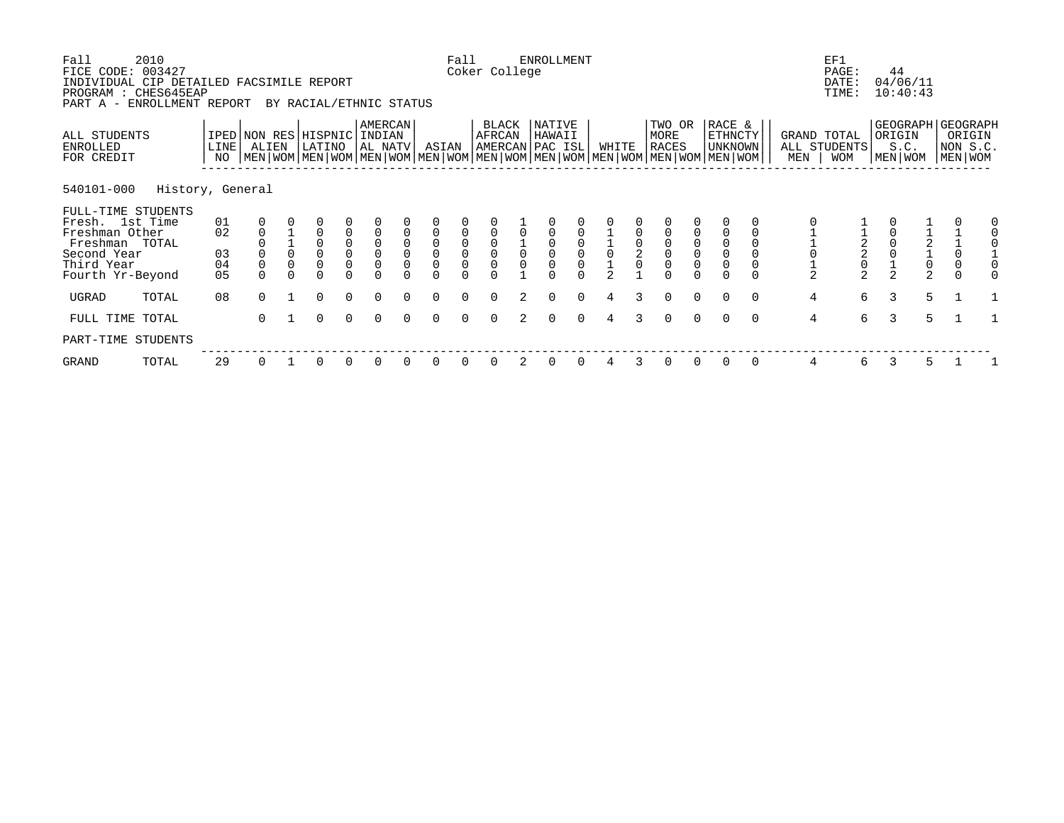| Fall<br>FICE CODE: 003427<br>INDIVIDUAL CIP DETAILED FACSIMILE REPORT<br>PROGRAM : CHES645EAP<br>PART A - ENROLLMENT REPORT | 2010             |            |                |          | BY RACIAL/ETHNIC STATUS                                                                                                                              |                                             |                                            |          |                                            | Fall                                       | Coker College                              |                | <b>ENROLLMENT</b>                   |          |                |               |                                |                                            |                                     |          |                | EF1<br>PAGE:<br>DATE:<br>TIME:            |   | 44<br>04/06/11<br>10:40:43                       |                                                   |                               |  |
|-----------------------------------------------------------------------------------------------------------------------------|------------------|------------|----------------|----------|------------------------------------------------------------------------------------------------------------------------------------------------------|---------------------------------------------|--------------------------------------------|----------|--------------------------------------------|--------------------------------------------|--------------------------------------------|----------------|-------------------------------------|----------|----------------|---------------|--------------------------------|--------------------------------------------|-------------------------------------|----------|----------------|-------------------------------------------|---|--------------------------------------------------|---------------------------------------------------|-------------------------------|--|
| ALL STUDENTS<br><b>ENROLLED</b><br>FOR CREDIT                                                                               |                  | LINE<br>NO | ALIEN          |          | IPED NON RES HISPNIC INDIAN<br>LATINO<br>  MEN   WOM   MEN   WOM   MEN   WOM   MEN   WOM   MEN   WOM   MEN   WOM   MEN   WOM   MEN   WOM   MEN   WOM |                                             | <b>AMERCAN</b><br>AL NATV                  |          | ASIAN                                      |                                            | BLACK<br>AFRCAN                            |                | NATIVE<br>HAWAII<br>AMERCAN PAC ISL |          | WHITE          |               | TWO OR<br>MORE<br><b>RACES</b> |                                            | RACE &<br>ETHNCTY<br><b>UNKNOWN</b> |          | MEN            | GRAND TOTAL<br>ALL STUDENTS<br><b>WOM</b> |   | GEOGRAPH GEOGRAPH<br>ORIGIN<br>S.C.<br>MEN   WOM |                                                   | ORIGIN<br>NON S.C.<br>MEN WOM |  |
| 540101-000                                                                                                                  | History, General |            |                |          |                                                                                                                                                      |                                             |                                            |          |                                            |                                            |                                            |                |                                     |          |                |               |                                |                                            |                                     |          |                |                                           |   |                                                  |                                                   |                               |  |
| FULL-TIME STUDENTS                                                                                                          |                  |            |                |          |                                                                                                                                                      |                                             |                                            |          |                                            |                                            |                                            |                |                                     |          |                |               |                                |                                            |                                     |          |                |                                           |   |                                                  |                                                   |                               |  |
| Fresh. 1st Time<br>Freshman Other                                                                                           |                  | 01<br>02   | $\mathbf 0$    |          | $\Omega$                                                                                                                                             | $\mathbf 0$                                 |                                            | $\Omega$ | $\overline{0}$                             |                                            |                                            |                |                                     |          |                |               |                                |                                            |                                     |          |                |                                           |   |                                                  |                                                   |                               |  |
| Freshman TOTAL                                                                                                              |                  |            |                |          | $\begin{smallmatrix}0\0\0\end{smallmatrix}$                                                                                                          | $\begin{smallmatrix}0\0\0\end{smallmatrix}$ | $\begin{smallmatrix}0\\0\end{smallmatrix}$ |          | $\begin{smallmatrix}0\\0\end{smallmatrix}$ | $\begin{smallmatrix}0\\0\end{smallmatrix}$ | $\begin{smallmatrix}0\\0\end{smallmatrix}$ |                |                                     |          |                | $\frac{0}{2}$ | $_{\rm 0}^{\rm 0}$             | $\begin{smallmatrix}0\\0\end{smallmatrix}$ | $\mathbf 0$                         |          |                | $\overline{a}$                            |   |                                                  |                                                   |                               |  |
| Second Year                                                                                                                 |                  | 03         |                | $\Omega$ |                                                                                                                                                      |                                             |                                            | $\Omega$ |                                            |                                            |                                            |                | $\overline{0}$                      |          |                |               |                                |                                            | $\mathsf 0$                         |          |                | $\overline{a}$                            |   |                                                  | $\begin{array}{c}\n2 \\ 1 \\ 0 \\ 2\n\end{array}$ | $\overline{0}$                |  |
| Third Year                                                                                                                  |                  | 04         | $\overline{0}$ |          |                                                                                                                                                      |                                             | 0                                          |          | $\Omega$                                   |                                            |                                            |                |                                     |          |                |               | $\overline{0}$<br>$\Omega$     | $\mathsf{O}\xspace$                        | $\overline{0}$                      |          | $\frac{1}{2}$  | $\frac{0}{2}$                             |   |                                                  |                                                   | $\mathbf 0$                   |  |
| Fourth Yr-Beyond                                                                                                            |                  | 05         | $\Omega$       |          | $\Omega$                                                                                                                                             |                                             |                                            |          |                                            |                                            |                                            |                |                                     |          | $\overline{2}$ |               |                                |                                            |                                     |          |                |                                           |   | $\overline{2}$                                   |                                                   | $\Omega$                      |  |
| UGRAD                                                                                                                       | TOTAL            | 08         | $\Omega$       |          | $\Omega$                                                                                                                                             | $\Omega$                                    | $\Omega$                                   |          | $\Omega$                                   |                                            |                                            | $\overline{2}$ | $\Omega$                            | $\Omega$ | 4              | 3             | $\Omega$                       | $\Omega$                                   | $\Omega$                            | $\Omega$ | $\overline{4}$ | 6                                         |   | 3                                                | 5                                                 |                               |  |
| FULL TIME TOTAL                                                                                                             |                  |            | $\Omega$       |          | $\Omega$                                                                                                                                             | $\Omega$                                    | $\Omega$                                   |          | $\Omega$                                   | $\cap$                                     |                                            | $\mathcal{L}$  | $\Omega$                            | $\Omega$ | $\overline{4}$ |               | $\Omega$                       | $\Omega$                                   | $\Omega$                            | $\Omega$ | $\overline{4}$ | 6                                         |   | $\mathcal{L}$                                    | 5                                                 |                               |  |
| PART-TIME STUDENTS                                                                                                          |                  |            |                |          |                                                                                                                                                      |                                             |                                            |          |                                            |                                            |                                            |                |                                     |          |                |               |                                |                                            |                                     |          |                |                                           |   |                                                  |                                                   |                               |  |
| GRAND                                                                                                                       | TOTAL            | 29         | 0              |          | 0                                                                                                                                                    | 0                                           |                                            |          |                                            |                                            |                                            | 2              |                                     |          |                | 3             | 0                              | 0                                          | 0                                   | 0        | 4              | 6                                         | 3 |                                                  | 5                                                 |                               |  |